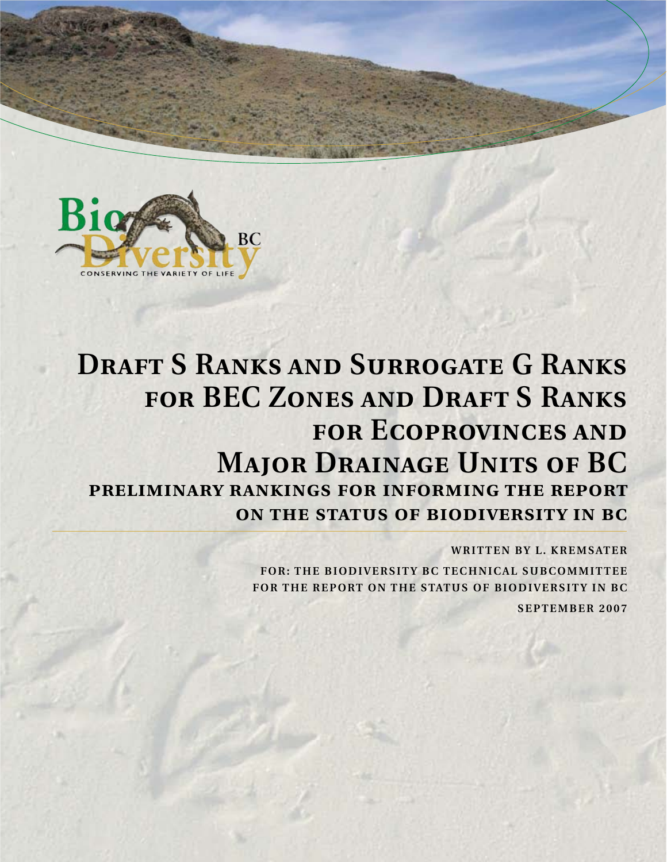

# **DRAFT S RANKS AND SURROGATE G RANKS for BEC ZONES AND DRAFT S RANKS for Ecoprovinces and MAJOR DRAINAGE UNITS OF BC preliminary rankings for informing the report ON THE STATUS OF BIODIVERSITY IN BC**

**WRITTEN BY L. KREMSATER FOR: THE BIODIVERSITY BC TECHNICAL SUBCOMMITTEE FOR THE REPORT ON THE STATUS OF BIODIVERSITY IN BC**

**SEPTEMBER 2007**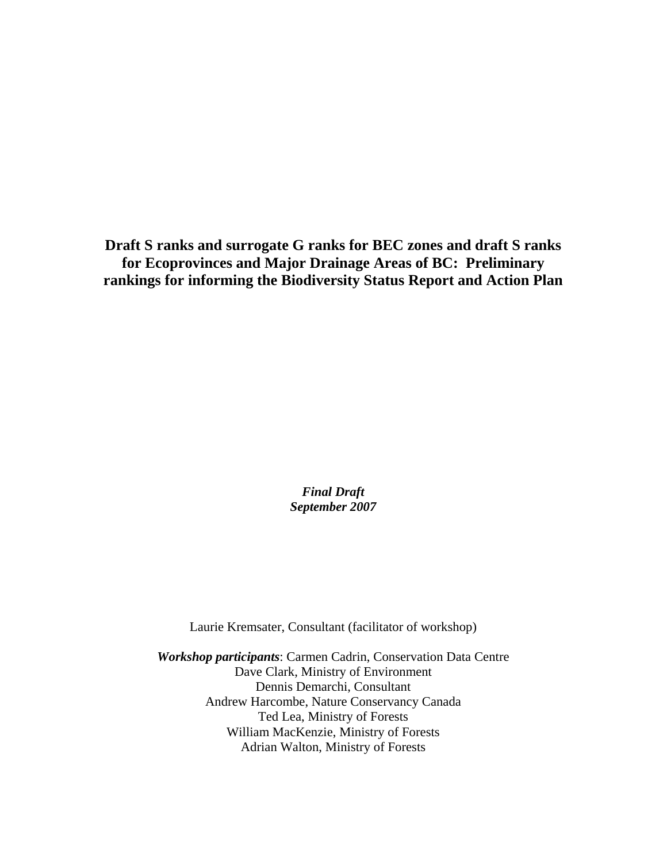**Draft S ranks and surrogate G ranks for BEC zones and draft S ranks for Ecoprovinces and Major Drainage Areas of BC: Preliminary rankings for informing the Biodiversity Status Report and Action Plan** 

> *Final Draft September 2007*

Laurie Kremsater, Consultant (facilitator of workshop)

*Workshop participants*: Carmen Cadrin, Conservation Data Centre Dave Clark, Ministry of Environment Dennis Demarchi, Consultant Andrew Harcombe, Nature Conservancy Canada Ted Lea, Ministry of Forests William MacKenzie, Ministry of Forests Adrian Walton, Ministry of Forests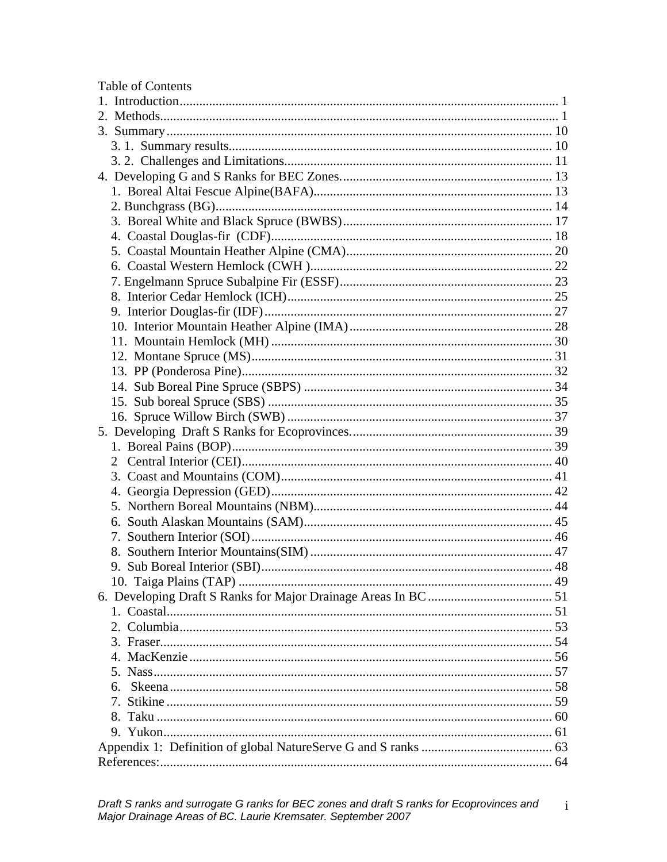| <b>Table of Contents</b> |  |
|--------------------------|--|
|                          |  |
|                          |  |
|                          |  |
|                          |  |
|                          |  |
|                          |  |
|                          |  |
|                          |  |
|                          |  |
|                          |  |
|                          |  |
|                          |  |
|                          |  |
|                          |  |
|                          |  |
|                          |  |
|                          |  |
|                          |  |
|                          |  |
|                          |  |
|                          |  |
|                          |  |
|                          |  |
|                          |  |
|                          |  |
|                          |  |
|                          |  |
|                          |  |
|                          |  |
|                          |  |
|                          |  |
|                          |  |
|                          |  |
|                          |  |
|                          |  |
|                          |  |
|                          |  |
|                          |  |
|                          |  |
| რ. .                     |  |
|                          |  |
|                          |  |
|                          |  |
|                          |  |
|                          |  |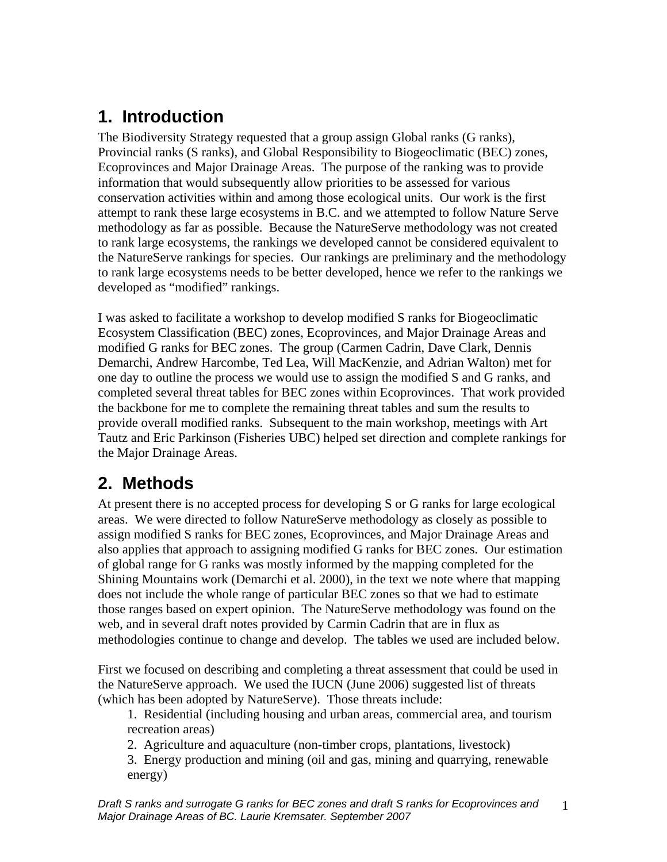## **1. Introduction**

The Biodiversity Strategy requested that a group assign Global ranks (G ranks), Provincial ranks (S ranks), and Global Responsibility to Biogeoclimatic (BEC) zones, Ecoprovinces and Major Drainage Areas. The purpose of the ranking was to provide information that would subsequently allow priorities to be assessed for various conservation activities within and among those ecological units. Our work is the first attempt to rank these large ecosystems in B.C. and we attempted to follow Nature Serve methodology as far as possible. Because the NatureServe methodology was not created to rank large ecosystems, the rankings we developed cannot be considered equivalent to the NatureServe rankings for species. Our rankings are preliminary and the methodology to rank large ecosystems needs to be better developed, hence we refer to the rankings we developed as "modified" rankings.

I was asked to facilitate a workshop to develop modified S ranks for Biogeoclimatic Ecosystem Classification (BEC) zones, Ecoprovinces, and Major Drainage Areas and modified G ranks for BEC zones. The group (Carmen Cadrin, Dave Clark, Dennis Demarchi, Andrew Harcombe, Ted Lea, Will MacKenzie, and Adrian Walton) met for one day to outline the process we would use to assign the modified S and G ranks, and completed several threat tables for BEC zones within Ecoprovinces. That work provided the backbone for me to complete the remaining threat tables and sum the results to provide overall modified ranks. Subsequent to the main workshop, meetings with Art Tautz and Eric Parkinson (Fisheries UBC) helped set direction and complete rankings for the Major Drainage Areas.

## **2. Methods**

At present there is no accepted process for developing S or G ranks for large ecological areas. We were directed to follow NatureServe methodology as closely as possible to assign modified S ranks for BEC zones, Ecoprovinces, and Major Drainage Areas and also applies that approach to assigning modified G ranks for BEC zones. Our estimation of global range for G ranks was mostly informed by the mapping completed for the Shining Mountains work (Demarchi et al. 2000), in the text we note where that mapping does not include the whole range of particular BEC zones so that we had to estimate those ranges based on expert opinion. The NatureServe methodology was found on the web, and in several draft notes provided by Carmin Cadrin that are in flux as methodologies continue to change and develop. The tables we used are included below.

First we focused on describing and completing a threat assessment that could be used in the NatureServe approach. We used the IUCN (June 2006) suggested list of threats (which has been adopted by NatureServe). Those threats include:

1. Residential (including housing and urban areas, commercial area, and tourism recreation areas)

2. Agriculture and aquaculture (non-timber crops, plantations, livestock)

3. Energy production and mining (oil and gas, mining and quarrying, renewable energy)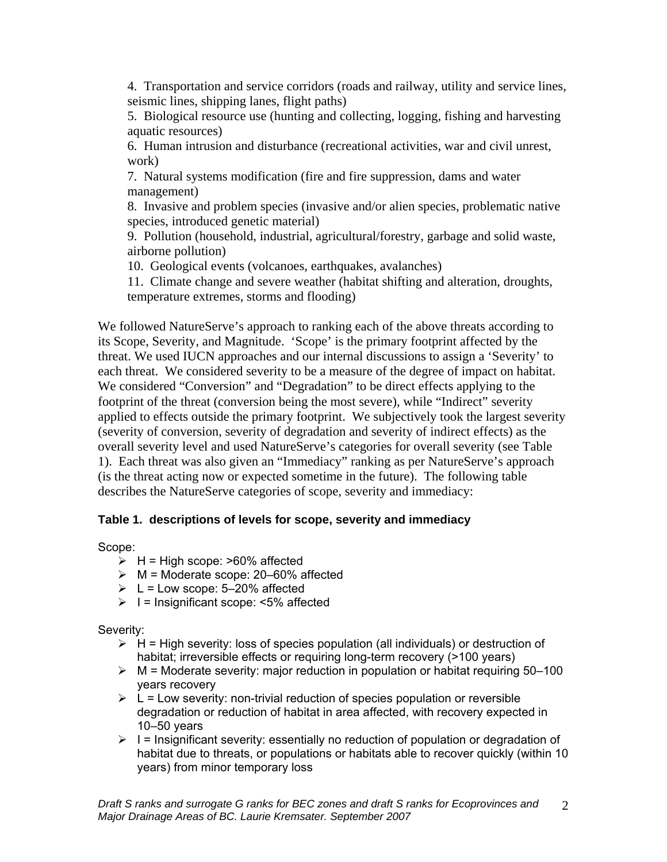4. Transportation and service corridors (roads and railway, utility and service lines, seismic lines, shipping lanes, flight paths)

5. Biological resource use (hunting and collecting, logging, fishing and harvesting aquatic resources)

6. Human intrusion and disturbance (recreational activities, war and civil unrest, work)

7. Natural systems modification (fire and fire suppression, dams and water management)

8. Invasive and problem species (invasive and/or alien species, problematic native species, introduced genetic material)

9. Pollution (household, industrial, agricultural/forestry, garbage and solid waste, airborne pollution)

10. Geological events (volcanoes, earthquakes, avalanches)

11. Climate change and severe weather (habitat shifting and alteration, droughts, temperature extremes, storms and flooding)

We followed NatureServe's approach to ranking each of the above threats according to its Scope, Severity, and Magnitude. 'Scope' is the primary footprint affected by the threat. We used IUCN approaches and our internal discussions to assign a 'Severity' to each threat. We considered severity to be a measure of the degree of impact on habitat. We considered "Conversion" and "Degradation" to be direct effects applying to the footprint of the threat (conversion being the most severe), while "Indirect" severity applied to effects outside the primary footprint. We subjectively took the largest severity (severity of conversion, severity of degradation and severity of indirect effects) as the overall severity level and used NatureServe's categories for overall severity (see Table 1). Each threat was also given an "Immediacy" ranking as per NatureServe's approach (is the threat acting now or expected sometime in the future). The following table describes the NatureServe categories of scope, severity and immediacy:

#### **Table 1. descriptions of levels for scope, severity and immediacy**

Scope:

- $\triangleright$  H = High scope: >60% affected
- $\triangleright$  M = Moderate scope: 20–60% affected
- $\geq L$  = Low scope: 5–20% affected
- $\geq 1$  = Insignificant scope: <5% affected

Severity:

- $\triangleright$  H = High severity: loss of species population (all individuals) or destruction of habitat; irreversible effects or requiring long-term recovery (>100 years)
- $\triangleright$  M = Moderate severity: major reduction in population or habitat requiring 50–100 years recovery
- $\triangleright$  L = Low severity: non-trivial reduction of species population or reversible degradation or reduction of habitat in area affected, with recovery expected in 10–50 years
- $\triangleright$  I = Insignificant severity: essentially no reduction of population or degradation of habitat due to threats, or populations or habitats able to recover quickly (within 10 years) from minor temporary loss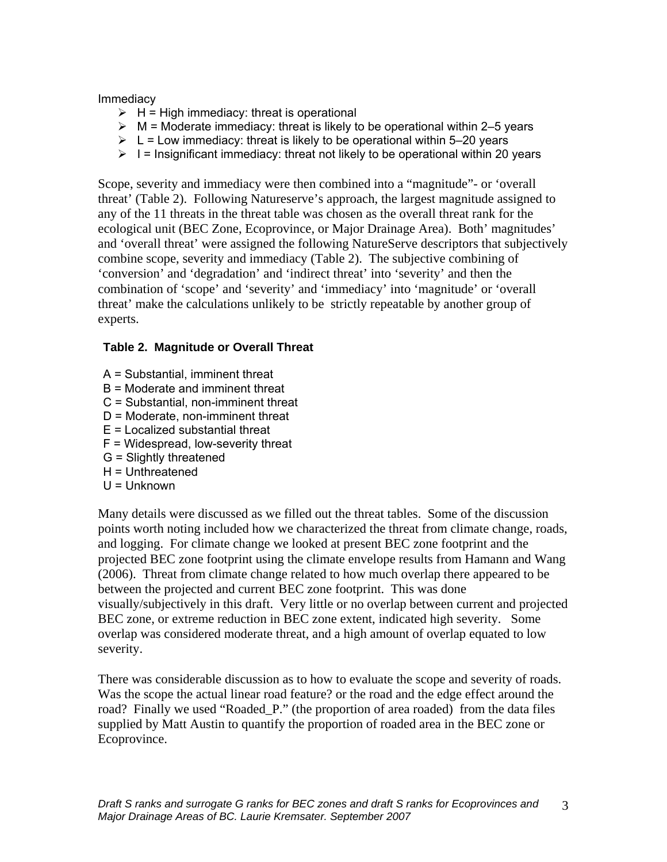Immediacy

- $\triangleright$  H = High immediacy: threat is operational
- $\triangleright$  M = Moderate immediacy: threat is likely to be operational within 2–5 years
- $\triangleright$  L = Low immediacy: threat is likely to be operational within 5–20 years
- $\triangleright$  I = Insignificant immediacy: threat not likely to be operational within 20 years

Scope, severity and immediacy were then combined into a "magnitude"- or 'overall threat' (Table 2). Following Natureserve's approach, the largest magnitude assigned to any of the 11 threats in the threat table was chosen as the overall threat rank for the ecological unit (BEC Zone, Ecoprovince, or Major Drainage Area). Both' magnitudes' and 'overall threat' were assigned the following NatureServe descriptors that subjectively combine scope, severity and immediacy (Table 2). The subjective combining of 'conversion' and 'degradation' and 'indirect threat' into 'severity' and then the combination of 'scope' and 'severity' and 'immediacy' into 'magnitude' or 'overall threat' make the calculations unlikely to be strictly repeatable by another group of experts.

#### **Table 2. Magnitude or Overall Threat**

- A = Substantial, imminent threat
- B = Moderate and imminent threat
- C = Substantial, non-imminent threat
- D = Moderate, non-imminent threat
- E = Localized substantial threat
- F = Widespread, low-severity threat
- G = Slightly threatened
- H = Unthreatened
- U = Unknown

Many details were discussed as we filled out the threat tables. Some of the discussion points worth noting included how we characterized the threat from climate change, roads, and logging. For climate change we looked at present BEC zone footprint and the projected BEC zone footprint using the climate envelope results from Hamann and Wang (2006). Threat from climate change related to how much overlap there appeared to be between the projected and current BEC zone footprint. This was done visually/subjectively in this draft. Very little or no overlap between current and projected BEC zone, or extreme reduction in BEC zone extent, indicated high severity. Some overlap was considered moderate threat, and a high amount of overlap equated to low severity.

There was considerable discussion as to how to evaluate the scope and severity of roads. Was the scope the actual linear road feature? or the road and the edge effect around the road? Finally we used "Roaded P." (the proportion of area roaded) from the data files supplied by Matt Austin to quantify the proportion of roaded area in the BEC zone or Ecoprovince.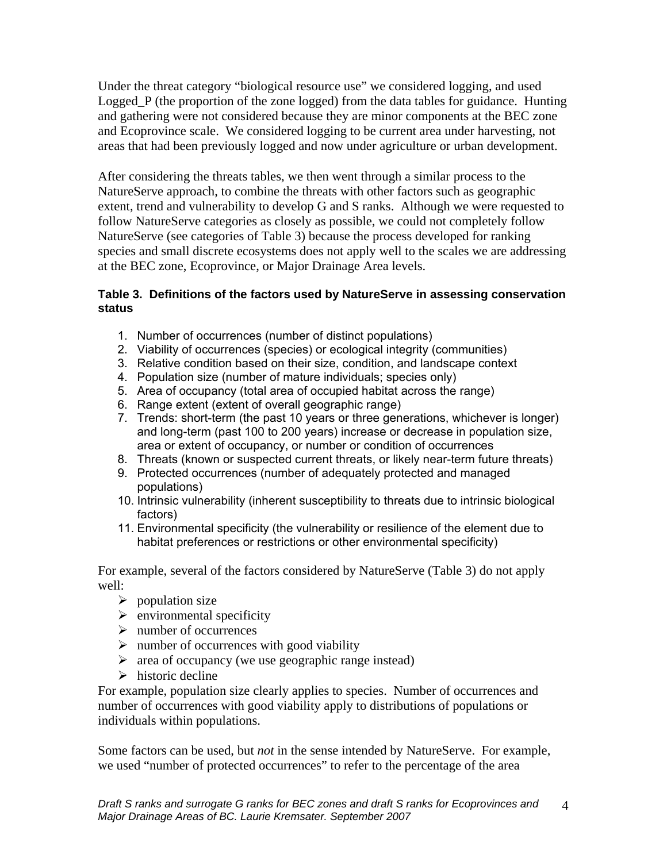Under the threat category "biological resource use" we considered logging, and used Logged<sub>P</sub> (the proportion of the zone logged) from the data tables for guidance. Hunting and gathering were not considered because they are minor components at the BEC zone and Ecoprovince scale. We considered logging to be current area under harvesting, not areas that had been previously logged and now under agriculture or urban development.

After considering the threats tables, we then went through a similar process to the NatureServe approach, to combine the threats with other factors such as geographic extent, trend and vulnerability to develop G and S ranks. Although we were requested to follow NatureServe categories as closely as possible, we could not completely follow NatureServe (see categories of Table 3) because the process developed for ranking species and small discrete ecosystems does not apply well to the scales we are addressing at the BEC zone, Ecoprovince, or Major Drainage Area levels.

#### **Table 3. Definitions of the factors used by NatureServe in assessing conservation status**

- 1. Number of occurrences (number of distinct populations)
- 2. Viability of occurrences (species) or ecological integrity (communities)
- 3. Relative condition based on their size, condition, and landscape context
- 4. Population size (number of mature individuals; species only)
- 5. Area of occupancy (total area of occupied habitat across the range)
- 6. Range extent (extent of overall geographic range)
- 7. Trends: short-term (the past 10 years or three generations, whichever is longer) and long-term (past 100 to 200 years) increase or decrease in population size, area or extent of occupancy, or number or condition of occurrences
- 8. Threats (known or suspected current threats, or likely near-term future threats)
- 9. Protected occurrences (number of adequately protected and managed populations)
- 10. Intrinsic vulnerability (inherent susceptibility to threats due to intrinsic biological factors)
- 11. Environmental specificity (the vulnerability or resilience of the element due to habitat preferences or restrictions or other environmental specificity)

For example, several of the factors considered by NatureServe (Table 3) do not apply well:

- $\triangleright$  population size
- $\triangleright$  environmental specificity
- $\triangleright$  number of occurrences
- $\triangleright$  number of occurrences with good viability
- $\triangleright$  area of occupancy (we use geographic range instead)
- $\triangleright$  historic decline

For example, population size clearly applies to species. Number of occurrences and number of occurrences with good viability apply to distributions of populations or individuals within populations.

Some factors can be used, but *not* in the sense intended by NatureServe. For example, we used "number of protected occurrences" to refer to the percentage of the area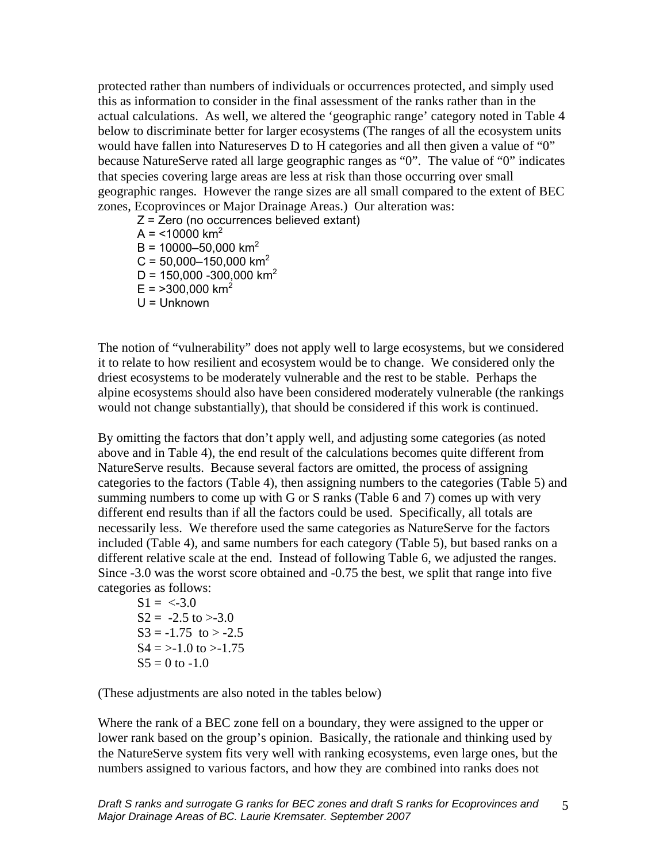protected rather than numbers of individuals or occurrences protected, and simply used this as information to consider in the final assessment of the ranks rather than in the actual calculations. As well, we altered the 'geographic range' category noted in Table 4 below to discriminate better for larger ecosystems (The ranges of all the ecosystem units would have fallen into Natureserves D to H categories and all then given a value of "0" because NatureServe rated all large geographic ranges as "0". The value of "0" indicates that species covering large areas are less at risk than those occurring over small geographic ranges. However the range sizes are all small compared to the extent of BEC zones, Ecoprovinces or Major Drainage Areas.) Our alteration was:

Z = Zero (no occurrences believed extant)  $A = 10000$  km<sup>2</sup>  $B = 10000 - 50,000$  km<sup>2</sup>  $C = 50,000 - 150,000$  km<sup>2</sup>  $D = 150,000 - 300,000$  km<sup>2</sup>  $E = 300,000$  km<sup>2</sup>  $U = Unknown$ 

The notion of "vulnerability" does not apply well to large ecosystems, but we considered it to relate to how resilient and ecosystem would be to change. We considered only the driest ecosystems to be moderately vulnerable and the rest to be stable. Perhaps the alpine ecosystems should also have been considered moderately vulnerable (the rankings would not change substantially), that should be considered if this work is continued.

By omitting the factors that don't apply well, and adjusting some categories (as noted above and in Table 4), the end result of the calculations becomes quite different from NatureServe results. Because several factors are omitted, the process of assigning categories to the factors (Table 4), then assigning numbers to the categories (Table 5) and summing numbers to come up with G or S ranks (Table 6 and 7) comes up with very different end results than if all the factors could be used. Specifically, all totals are necessarily less. We therefore used the same categories as NatureServe for the factors included (Table 4), and same numbers for each category (Table 5), but based ranks on a different relative scale at the end. Instead of following Table 6, we adjusted the ranges. Since -3.0 was the worst score obtained and -0.75 the best, we split that range into five categories as follows:

 $S1 = \langle -3.0 \rangle$  $S2 = -2.5$  to  $>3.0$  $S3 = -1.75$  to  $> -2.5$  $S4 = -1.0$  to  $>1.75$  $S_5 = 0$  to  $-1.0$ 

(These adjustments are also noted in the tables below)

Where the rank of a BEC zone fell on a boundary, they were assigned to the upper or lower rank based on the group's opinion. Basically, the rationale and thinking used by the NatureServe system fits very well with ranking ecosystems, even large ones, but the numbers assigned to various factors, and how they are combined into ranks does not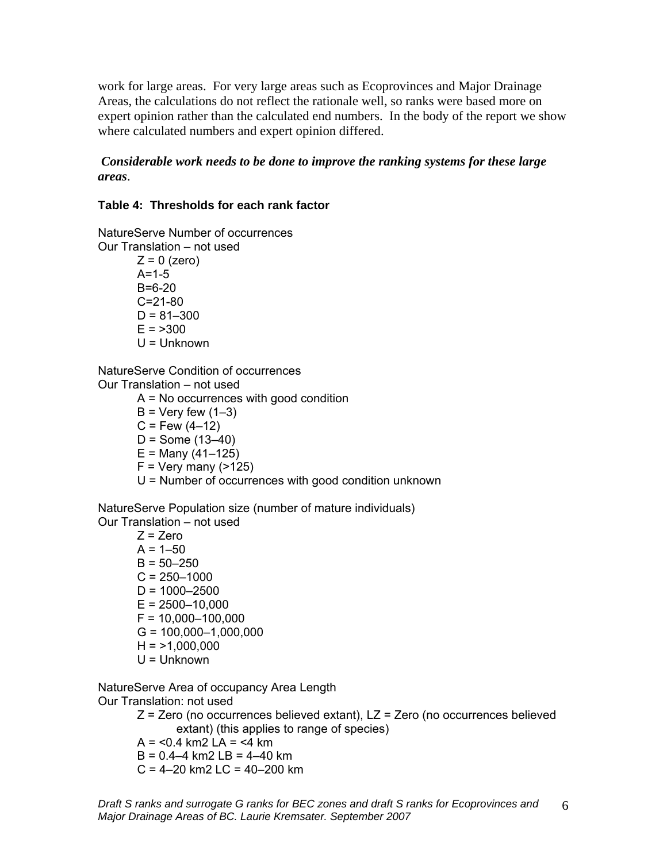work for large areas. For very large areas such as Ecoprovinces and Major Drainage Areas, the calculations do not reflect the rationale well, so ranks were based more on expert opinion rather than the calculated end numbers. In the body of the report we show where calculated numbers and expert opinion differed.

#### *Considerable work needs to be done to improve the ranking systems for these large areas*.

#### **Table 4: Thresholds for each rank factor**

NatureServe Number of occurrences Our Translation – not used  $Z = 0$  (zero)  $A = 1 - 5$ B=6-20  $C = 21 - 80$  $D = 81 - 300$  $E = > 300$  $U = Unknown$ NatureServe Condition of occurrences

Our Translation – not used A = No occurrences with good condition  $B = V$ ery few  $(1-3)$  $C = Few (4-12)$  $D =$  Some (13–40)  $E =$  Many (41–125)  $F = Very$  many (>125) U = Number of occurrences with good condition unknown

NatureServe Population size (number of mature individuals) Our Translation – not used

> $Z = Zero$  $A = 1 - 50$  $B = 50 - 250$  $C = 250 - 1000$  $D = 1000 - 2500$  $E = 2500 - 10,000$  $F = 10,000 - 100,000$  $G = 100,000 - 1,000,000$  $H = 21,000,000$  $U = Unknown$

NatureServe Area of occupancy Area Length Our Translation: not used

> $Z =$  Zero (no occurrences believed extant),  $LZ =$  Zero (no occurrences believed extant) (this applies to range of species)  $A = 0.4$  km2 LA =  $4$  km  $B = 0.4 - 4$  km2 LB = 4-40 km  $C = 4 - 20$  km2 LC = 40-200 km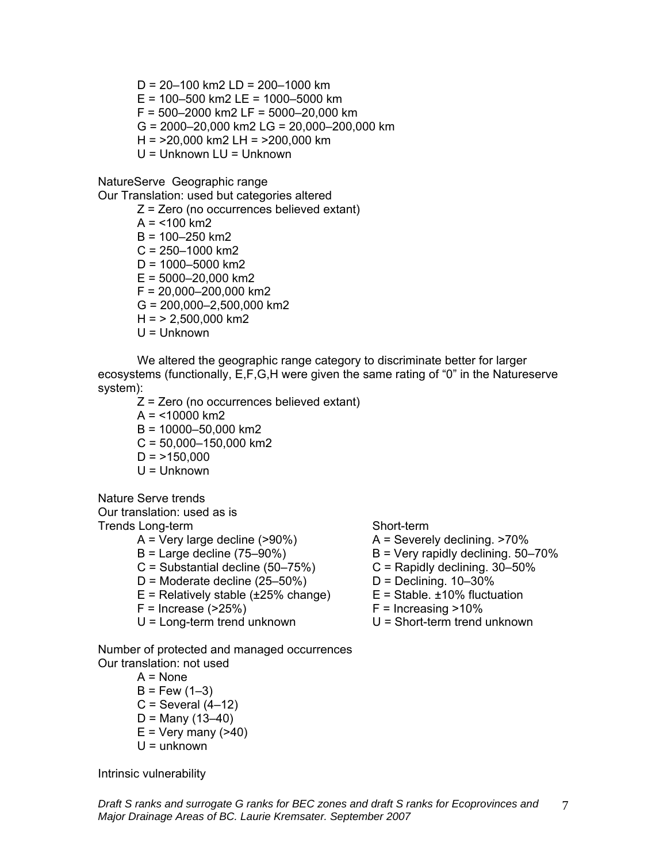D = 20–100 km2 LD = 200–1000 km E = 100–500 km2 LE = 1000–5000 km F = 500–2000 km2 LF = 5000–20,000 km G = 2000–20,000 km2 LG = 20,000–200,000 km H = >20,000 km2 LH = >200,000 km U = Unknown LU = Unknown

NatureServe Geographic range

Our Translation: used but categories altered

Z = Zero (no occurrences believed extant)  $A = 100$  km2  $B = 100 - 250$  km2  $C = 250 - 1000$  km2  $D = 1000 - 5000$  km2  $E = 5000 - 20,000$  km2 F = 20,000–200,000 km2 G = 200,000–2,500,000 km2  $H = 2,500,000$  km2 U = Unknown

We altered the geographic range category to discriminate better for larger ecosystems (functionally, E,F,G,H were given the same rating of "0" in the Natureserve system):

Z = Zero (no occurrences believed extant)  $A = 10000$  km2 B = 10000–50,000 km2  $C = 50,000 - 150,000$  km2  $D = 150,000$  $U =$  Unknown

Nature Serve trends Our translation: used as is

Trends Long-term Short-term Short-term

 $A = \text{Very large decline } (>90\%)$   $A = \text{Several velocity declining.} > 70\%$ 

- 
- $C =$  Substantial decline (50–75%)  $C =$  Rapidly declining. 30–50%
- $D =$ Moderate decline (25–50%)  $D =$ Declining. 10–30%
- $E =$  Relatively stable ( $\pm 25\%$  change)  $E =$  Stable.  $\pm 10\%$  fluctuation
- $F =$  Increase (>25%) F = Increasing >10%
- 

Number of protected and managed occurrences Our translation: not used

> $A = None$  $B = Few (1-3)$  $C =$  Several  $(4-12)$  $D =$  Many (13–40)  $E = V$ ery many (>40)  $U =$ unknown

- 
- $B =$  Large decline (75–90%)  $B =$  Very rapidly declining. 50–70%
	-
	-
	-
	-
- U = Long-term trend unknown U = Short-term trend unknown

Intrinsic vulnerability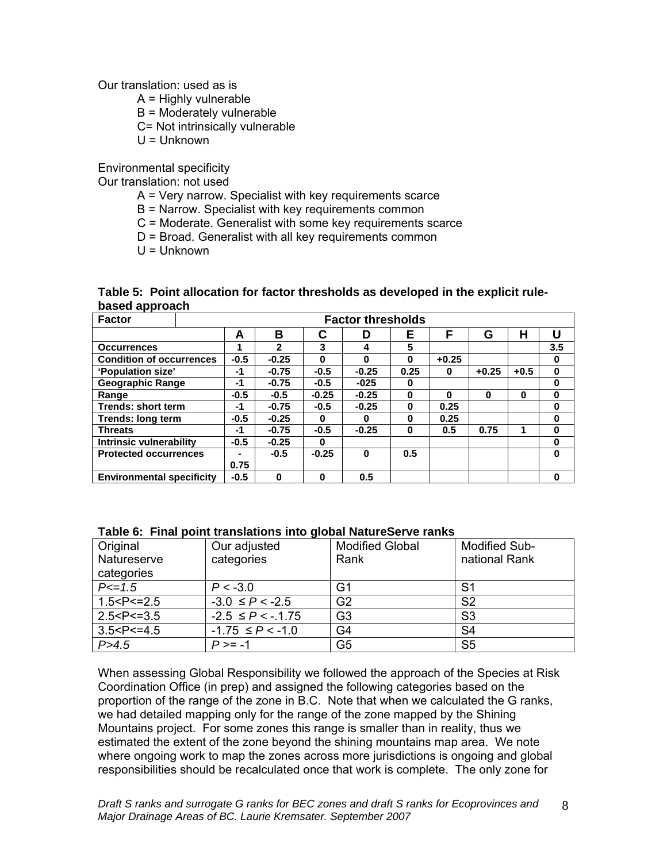Our translation: used as is

A = Highly vulnerable

B = Moderately vulnerable

C= Not intrinsically vulnerable

 $U =$  Unknown

Environmental specificity

Our translation: not used

A = Very narrow. Specialist with key requirements scarce

B = Narrow. Specialist with key requirements common

C = Moderate. Generalist with some key requirements scarce

D = Broad. Generalist with all key requirements common

 $U =$  Unknown

#### **Table 5: Point allocation for factor thresholds as developed in the explicit rulebased approach**

| <b>Factor</b>                    |  |        |              |              | <b>Factor thresholds</b> |              |         |         |          |          |
|----------------------------------|--|--------|--------------|--------------|--------------------------|--------------|---------|---------|----------|----------|
|                                  |  | A      | B            | С            | D                        | Е            | F       | G       | н        | U        |
| <b>Occurrences</b>               |  |        | $\mathbf{2}$ | 3            | 4                        | 5            |         |         |          | 3.5      |
| <b>Condition of occurrences</b>  |  | $-0.5$ | $-0.25$      | $\bf{0}$     | O                        | O            | $+0.25$ |         |          | 0        |
| 'Population size'                |  | -1     | $-0.75$      | $-0.5$       | $-0.25$                  | 0.25         | 0       | $+0.25$ | $+0.5$   | $\bf{0}$ |
| <b>Geographic Range</b>          |  | -1     | $-0.75$      | $-0.5$       | $-025$                   | 0            |         |         |          | $\bf{0}$ |
| Range                            |  | $-0.5$ | $-0.5$       | $-0.25$      | $-0.25$                  | $\bf{0}$     | 0       | U       | $\bf{0}$ | $\bf{0}$ |
| Trends: short term               |  | -1     | $-0.75$      | $-0.5$       | $-0.25$                  | 0            | 0.25    |         |          | $\bf{0}$ |
| <b>Trends: long term</b>         |  | $-0.5$ | $-0.25$      | <sup>0</sup> | O                        | <sup>0</sup> | 0.25    |         |          | $\bf{0}$ |
| <b>Threats</b>                   |  | -1     | $-0.75$      | $-0.5$       | $-0.25$                  | $\bf{0}$     | 0.5     | 0.75    | 1        | $\bf{0}$ |
| Intrinsic vulnerability          |  | $-0.5$ | $-0.25$      | $\bf{0}$     |                          |              |         |         |          | 0        |
| <b>Protected occurrences</b>     |  |        | $-0.5$       | $-0.25$      | $\bf{0}$                 | 0.5          |         |         |          | $\bf{0}$ |
|                                  |  | 0.75   |              |              |                          |              |         |         |          |          |
| <b>Environmental specificity</b> |  | $-0.5$ | $\Omega$     | $\bf{0}$     | 0.5                      |              |         |         |          | 0        |

| Original<br>Natureserve<br>categories | Our adjusted<br>categories | <b>Modified Global</b><br>Rank | <b>Modified Sub-</b><br>national Rank |
|---------------------------------------|----------------------------|--------------------------------|---------------------------------------|
| $P \le 1.5$                           | $P < -3.0$                 | G1                             | -S1                                   |
| 1.5 < P < 2.5                         | $-3.0 \leq P < -2.5$       | G <sub>2</sub>                 | S <sub>2</sub>                        |
| $2.5 < P < = 3.5$                     | $-2.5 \leq P < -1.75$      | G <sub>3</sub>                 | S <sub>3</sub>                        |

#### **Table 6: Final point translations into global NatureServe ranks**

3.5<P<=4.5 | -1.75 ≤ *P* < -1.0 | G4 | S4 *P*>4.5  $\vert P$ >= -1  $\vert G5 \vert$  S5

When assessing Global Responsibility we followed the approach of the Species at Risk Coordination Office (in prep) and assigned the following categories based on the proportion of the range of the zone in B.C. Note that when we calculated the G ranks, we had detailed mapping only for the range of the zone mapped by the Shining Mountains project. For some zones this range is smaller than in reality, thus we estimated the extent of the zone beyond the shining mountains map area. We note where ongoing work to map the zones across more jurisdictions is ongoing and global responsibilities should be recalculated once that work is complete. The only zone for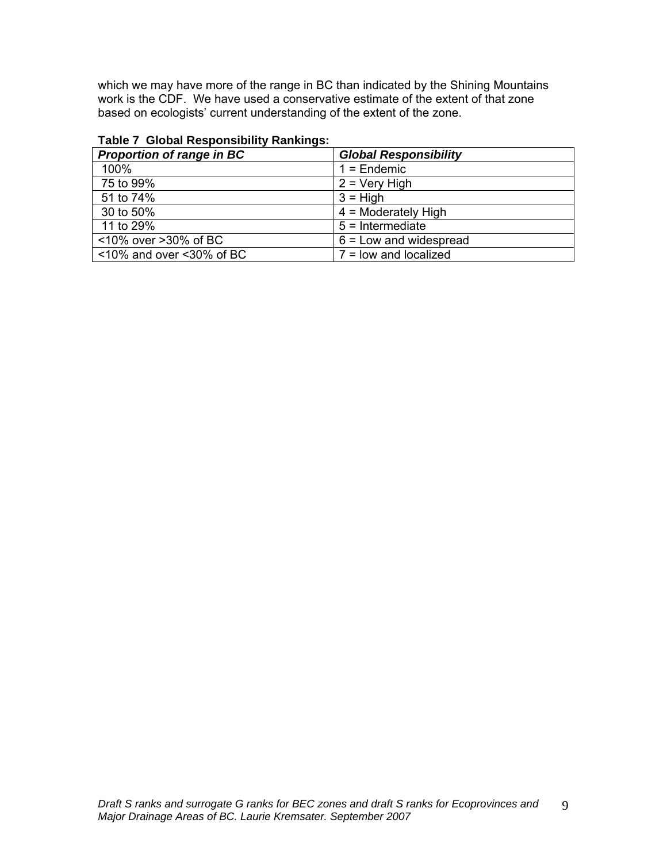which we may have more of the range in BC than indicated by the Shining Mountains work is the CDF. We have used a conservative estimate of the extent of that zone based on ecologists' current understanding of the extent of the zone.

| Proportion of range in BC            | <b>Global Responsibility</b> |
|--------------------------------------|------------------------------|
| 100%                                 | $1 =$ Endemic                |
| 75 to 99%                            | $2 = V$ ery High             |
| 51 to 74%                            | $3 = High$                   |
| 30 to 50%                            | $4 =$ Moderately High        |
| 11 to 29%                            | $5 =$ Intermediate           |
| <10% over >30% of BC                 | $6$ = Low and widespread     |
| $\leq$ 10% and over $\leq$ 30% of BC | $7 =$ low and localized      |

#### **Table 7 Global Responsibility Rankings:**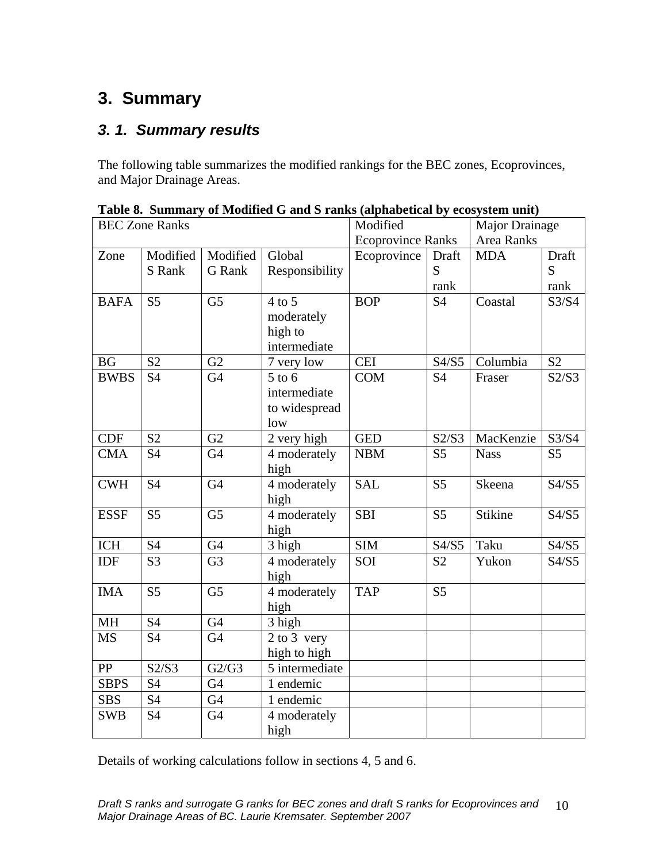## **3. Summary**

## *3. 1. Summary results*

The following table summarizes the modified rankings for the BEC zones, Ecoprovinces, and Major Drainage Areas.

|             | <b>BEC Zone Ranks</b> |                |                          |                          |                | Major Drainage    |                |
|-------------|-----------------------|----------------|--------------------------|--------------------------|----------------|-------------------|----------------|
|             |                       |                |                          | <b>Ecoprovince Ranks</b> |                | <b>Area Ranks</b> |                |
| Zone        | Modified              | Modified       | Global                   | Ecoprovince              | Draft          | <b>MDA</b>        | Draft          |
|             | S Rank                | G Rank         | Responsibility           |                          | S              |                   | S              |
|             |                       |                |                          |                          | rank           |                   | rank           |
| <b>BAFA</b> | S <sub>5</sub>        | G <sub>5</sub> | $4$ to 5                 | <b>BOP</b>               | <b>S4</b>      | Coastal           | S3/S4          |
|             |                       |                | moderately               |                          |                |                   |                |
|             |                       |                | high to                  |                          |                |                   |                |
|             |                       |                | intermediate             |                          |                |                   |                |
| <b>BG</b>   | S <sub>2</sub>        | G2             | 7 very low               | <b>CEI</b>               | S4/S5          | Columbia          | S <sub>2</sub> |
| <b>BWBS</b> | <b>S4</b>             | G <sub>4</sub> | $5$ to $6$               | <b>COM</b>               | <b>S4</b>      | Fraser            | S2/S3          |
|             |                       |                | intermediate             |                          |                |                   |                |
|             |                       |                | to widespread            |                          |                |                   |                |
|             |                       |                | low                      |                          |                |                   |                |
| <b>CDF</b>  | S <sub>2</sub>        | G2             | 2 very high              | <b>GED</b>               | S2/S3          | MacKenzie         | S3/S4          |
| <b>CMA</b>  | S4                    | G <sub>4</sub> | 4 moderately             | <b>NBM</b>               | S <sub>5</sub> | <b>Nass</b>       | S <sub>5</sub> |
|             |                       |                | high                     |                          |                |                   |                |
| <b>CWH</b>  | <b>S4</b>             | G4             | 4 moderately             | <b>SAL</b>               | S <sub>5</sub> | Skeena            | S4/S5          |
|             |                       |                | high                     |                          |                |                   |                |
| <b>ESSF</b> | S <sub>5</sub>        | G <sub>5</sub> | 4 moderately             | <b>SBI</b>               | S <sub>5</sub> | <b>Stikine</b>    | S4/S5          |
|             |                       |                | high                     |                          |                |                   |                |
| <b>ICH</b>  | <b>S4</b>             | G <sub>4</sub> | 3 high                   | <b>SIM</b>               | S4/S5          | Taku              | S4/S5          |
| IDF         | S <sub>3</sub>        | G <sub>3</sub> | 4 moderately             | SOI                      | S <sub>2</sub> | Yukon             | S4/S5          |
|             |                       |                | high                     |                          |                |                   |                |
| <b>IMA</b>  | S <sub>5</sub>        | G <sub>5</sub> | 4 moderately             | <b>TAP</b>               | S <sub>5</sub> |                   |                |
|             |                       |                | high                     |                          |                |                   |                |
| <b>MH</b>   | <b>S4</b>             | G <sub>4</sub> | 3 high                   |                          |                |                   |                |
| <b>MS</b>   | <b>S4</b>             | G4             | $\overline{2}$ to 3 very |                          |                |                   |                |
|             |                       |                | high to high             |                          |                |                   |                |
| PP          | S2/S3                 | G2/G3          | 5 intermediate           |                          |                |                   |                |
| <b>SBPS</b> | S4                    | G <sub>4</sub> | 1 endemic                |                          |                |                   |                |
| <b>SBS</b>  | <b>S4</b>             | G <sub>4</sub> | 1 endemic                |                          |                |                   |                |
| <b>SWB</b>  | <b>S4</b>             | G <sub>4</sub> | 4 moderately             |                          |                |                   |                |
|             |                       |                | high                     |                          |                |                   |                |

|  |  |  | Table 8. Summary of Modified G and S ranks (alphabetical by ecosystem unit) |
|--|--|--|-----------------------------------------------------------------------------|
|  |  |  |                                                                             |

Details of working calculations follow in sections 4, 5 and 6.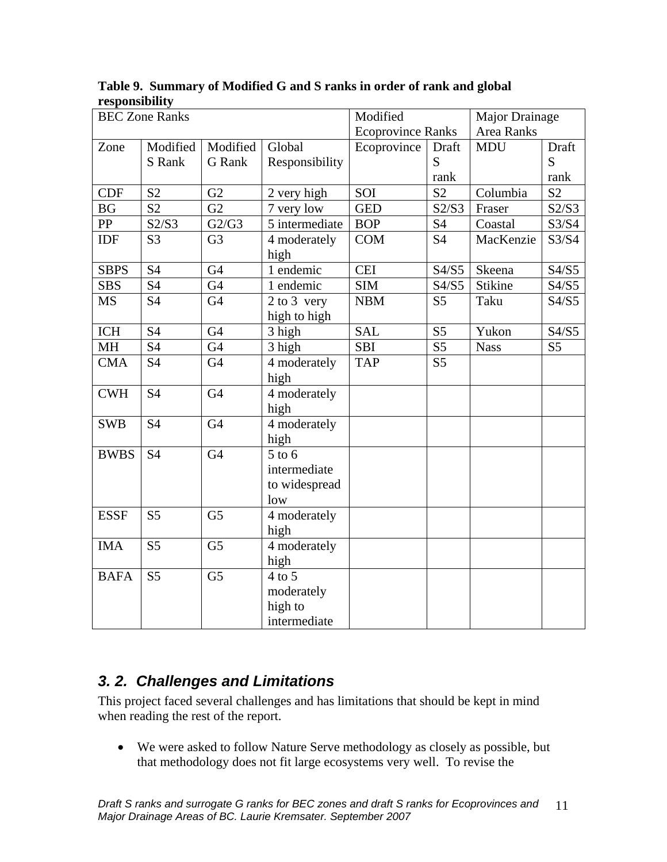|                | Table 9. Summary of Modified G and S ranks in order of rank and global |
|----------------|------------------------------------------------------------------------|
| responsibility |                                                                        |

|             | <b>BEC Zone Ranks</b> |                | Modified             |                          | Major Drainage |                   |                |
|-------------|-----------------------|----------------|----------------------|--------------------------|----------------|-------------------|----------------|
|             |                       |                |                      | <b>Ecoprovince Ranks</b> |                | <b>Area Ranks</b> |                |
| Zone        | Modified              | Modified       | Global               | Ecoprovince              | Draft          | <b>MDU</b>        | Draft          |
|             | S Rank                | G Rank         | Responsibility       |                          | S              |                   | S              |
|             |                       |                |                      |                          | rank           |                   | rank           |
| <b>CDF</b>  | S <sub>2</sub>        | G2             | 2 very high          | SOI                      | S <sub>2</sub> | Columbia          | S <sub>2</sub> |
| BG          | S <sub>2</sub>        | G2             | 7 very low           | <b>GED</b>               | S2/S3          | Fraser            | S2/S3          |
| PP          | S2/S3                 | G2/G3          | 5 intermediate       | <b>BOP</b>               | <b>S4</b>      | Coastal           | S3/S4          |
| IDF         | S <sub>3</sub>        | G <sub>3</sub> | 4 moderately<br>high | <b>COM</b>               | <b>S4</b>      | MacKenzie         | S3/S4          |
| <b>SBPS</b> | <b>S4</b>             | G4             | 1 endemic            | <b>CEI</b>               | S4/S5          | Skeena            | S4/S5          |
| <b>SBS</b>  | S4                    | G4             | 1 endemic            | <b>SIM</b>               | S4/S5          | Stikine           | S4/S5          |
| <b>MS</b>   | S4                    | G4             | $2$ to $3$ very      | <b>NBM</b>               | S <sub>5</sub> | Taku              | S4/S5          |
|             |                       |                | high to high         |                          |                |                   |                |
| ICH         | <b>S4</b>             | G4             | 3 high               | <b>SAL</b>               | S <sub>5</sub> | Yukon             | S4/S5          |
| <b>MH</b>   | S4                    | G4             | 3 high               | <b>SBI</b>               | S <sub>5</sub> | <b>Nass</b>       | S <sub>5</sub> |
| <b>CMA</b>  | S4                    | G4             | 4 moderately         | <b>TAP</b>               | S <sub>5</sub> |                   |                |
|             |                       |                | high                 |                          |                |                   |                |
| <b>CWH</b>  | <b>S4</b>             | G <sub>4</sub> | 4 moderately         |                          |                |                   |                |
|             |                       |                | high                 |                          |                |                   |                |
| <b>SWB</b>  | <b>S4</b>             | G <sub>4</sub> | 4 moderately         |                          |                |                   |                |
|             |                       |                | high                 |                          |                |                   |                |
| <b>BWBS</b> | <b>S4</b>             | G <sub>4</sub> | $5$ to $6$           |                          |                |                   |                |
|             |                       |                | intermediate         |                          |                |                   |                |
|             |                       |                | to widespread        |                          |                |                   |                |
|             |                       |                | low                  |                          |                |                   |                |
| <b>ESSF</b> | S <sub>5</sub>        | G <sub>5</sub> | 4 moderately         |                          |                |                   |                |
|             |                       |                | high                 |                          |                |                   |                |
| <b>IMA</b>  | S <sub>5</sub>        | G <sub>5</sub> | 4 moderately         |                          |                |                   |                |
|             |                       |                | high                 |                          |                |                   |                |
| <b>BAFA</b> | S <sub>5</sub>        | G <sub>5</sub> | $4$ to 5             |                          |                |                   |                |
|             |                       |                | moderately           |                          |                |                   |                |
|             |                       |                | high to              |                          |                |                   |                |
|             |                       |                | intermediate         |                          |                |                   |                |

## *3. 2. Challenges and Limitations*

This project faced several challenges and has limitations that should be kept in mind when reading the rest of the report.

• We were asked to follow Nature Serve methodology as closely as possible, but that methodology does not fit large ecosystems very well. To revise the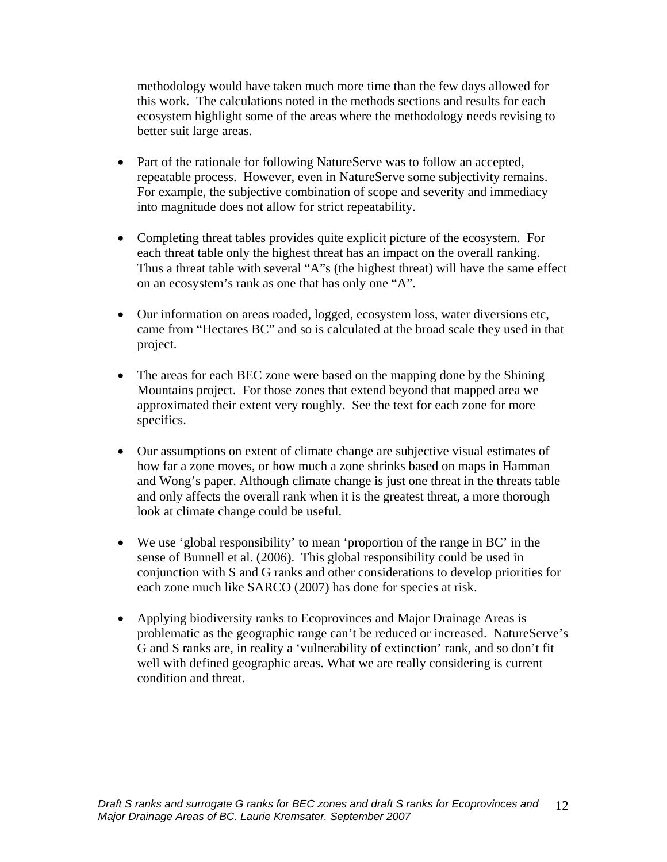methodology would have taken much more time than the few days allowed for this work. The calculations noted in the methods sections and results for each ecosystem highlight some of the areas where the methodology needs revising to better suit large areas.

- Part of the rationale for following NatureServe was to follow an accepted, repeatable process. However, even in NatureServe some subjectivity remains. For example, the subjective combination of scope and severity and immediacy into magnitude does not allow for strict repeatability.
- Completing threat tables provides quite explicit picture of the ecosystem. For each threat table only the highest threat has an impact on the overall ranking. Thus a threat table with several "A"s (the highest threat) will have the same effect on an ecosystem's rank as one that has only one "A".
- Our information on areas roaded, logged, ecosystem loss, water diversions etc, came from "Hectares BC" and so is calculated at the broad scale they used in that project.
- The areas for each BEC zone were based on the mapping done by the Shining Mountains project. For those zones that extend beyond that mapped area we approximated their extent very roughly. See the text for each zone for more specifics.
- Our assumptions on extent of climate change are subjective visual estimates of how far a zone moves, or how much a zone shrinks based on maps in Hamman and Wong's paper. Although climate change is just one threat in the threats table and only affects the overall rank when it is the greatest threat, a more thorough look at climate change could be useful.
- We use 'global responsibility' to mean 'proportion of the range in BC' in the sense of Bunnell et al. (2006). This global responsibility could be used in conjunction with S and G ranks and other considerations to develop priorities for each zone much like SARCO (2007) has done for species at risk.
- Applying biodiversity ranks to Ecoprovinces and Major Drainage Areas is problematic as the geographic range can't be reduced or increased. NatureServe's G and S ranks are, in reality a 'vulnerability of extinction' rank, and so don't fit well with defined geographic areas. What we are really considering is current condition and threat.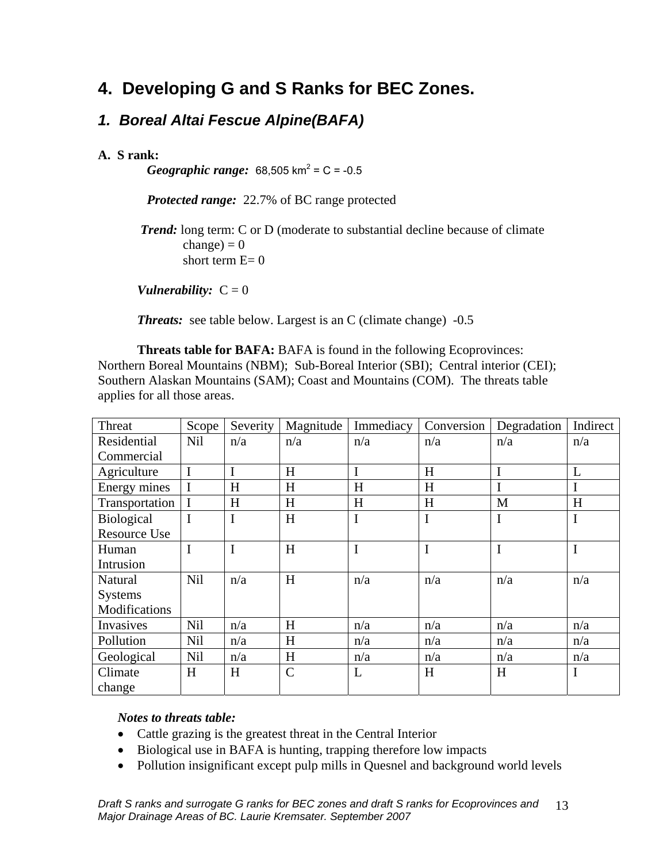## **4. Developing G and S Ranks for BEC Zones.**

## *1. Boreal Altai Fescue Alpine(BAFA)*

### **A. S rank:**

*Geographic range:* 68,505 km<sup>2</sup> = C = -0.5

*Protected range:* 22.7% of BC range protected

*Trend:* long term: C or D (moderate to substantial decline because of climate  $change) = 0$ short term  $E=0$ 

*Vulnerability:*  $C = 0$ 

**Threats:** see table below. Largest is an C (climate change) -0.5

**Threats table for BAFA:** BAFA is found in the following Ecoprovinces: Northern Boreal Mountains (NBM); Sub-Boreal Interior (SBI); Central interior (CEI); Southern Alaskan Mountains (SAM); Coast and Mountains (COM). The threats table applies for all those areas.

| Threat              | Scope        | Severity | Magnitude     | Immediacy   | Conversion | Degradation | Indirect       |
|---------------------|--------------|----------|---------------|-------------|------------|-------------|----------------|
| Residential         | Nil          | n/a      | n/a           | n/a         | n/a        | n/a         | n/a            |
| Commercial          |              |          |               |             |            |             |                |
| Agriculture         | I            |          | H             | I           | H          | I           | L              |
| Energy mines        | $\mathbf{I}$ | H        | H             | H           | H          |             | I              |
| Transportation      |              | H        | H             | H           | H          | M           | H              |
| <b>Biological</b>   | $\mathbf I$  | I        | H             | I           | I          | I           | $\mathbf I$    |
| <b>Resource Use</b> |              |          |               |             |            |             |                |
| Human               | $\mathbf I$  | I        | H             | $\mathbf I$ | I          | I           | $\overline{I}$ |
| Intrusion           |              |          |               |             |            |             |                |
| Natural             | Nil          | n/a      | H             | n/a         | n/a        | n/a         | n/a            |
| Systems             |              |          |               |             |            |             |                |
| Modifications       |              |          |               |             |            |             |                |
| Invasives           | Nil          | n/a      | H             | n/a         | n/a        | n/a         | n/a            |
| Pollution           | Nil          | n/a      | H             | n/a         | n/a        | n/a         | n/a            |
| Geological          | <b>Nil</b>   | n/a      | H             | n/a         | n/a        | n/a         | n/a            |
| Climate             | H            | H        | $\mathcal{C}$ | L           | H          | H           | $\mathbf I$    |
| change              |              |          |               |             |            |             |                |

- Cattle grazing is the greatest threat in the Central Interior
- Biological use in BAFA is hunting, trapping therefore low impacts
- Pollution insignificant except pulp mills in Quesnel and background world levels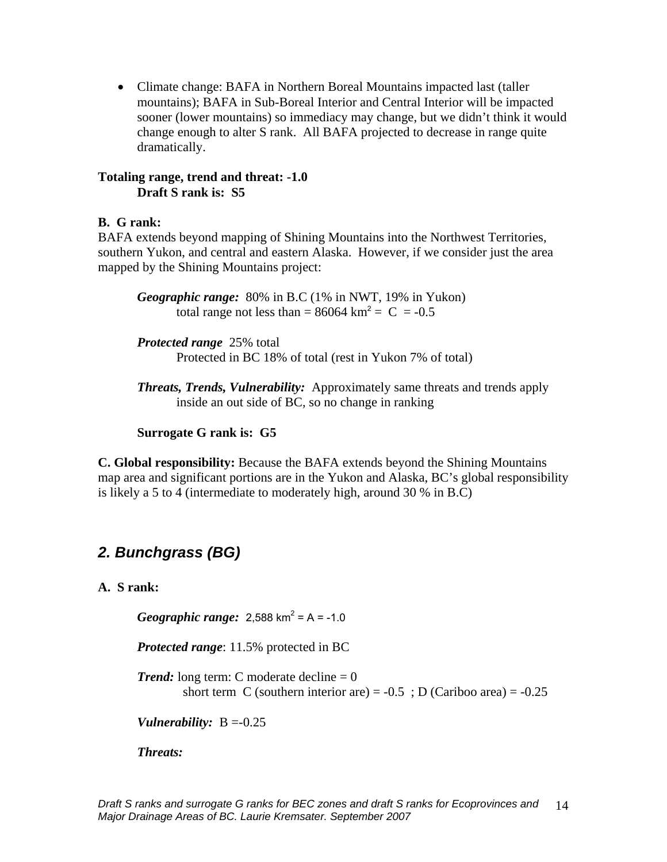• Climate change: BAFA in Northern Boreal Mountains impacted last (taller mountains); BAFA in Sub-Boreal Interior and Central Interior will be impacted sooner (lower mountains) so immediacy may change, but we didn't think it would change enough to alter S rank. All BAFA projected to decrease in range quite dramatically.

#### **Totaling range, trend and threat: -1.0 Draft S rank is: S5**

#### **B. G rank:**

BAFA extends beyond mapping of Shining Mountains into the Northwest Territories, southern Yukon, and central and eastern Alaska. However, if we consider just the area mapped by the Shining Mountains project:

*Geographic range:* 80% in B.C (1% in NWT, 19% in Yukon) total range not less than =  $86064 \text{ km}^2$  = C = -0.5

*Protected range* 25% total Protected in BC 18% of total (rest in Yukon 7% of total)

*Threats, Trends, Vulnerability:* Approximately same threats and trends apply inside an out side of BC, so no change in ranking

**Surrogate G rank is: G5** 

**C. Global responsibility:** Because the BAFA extends beyond the Shining Mountains map area and significant portions are in the Yukon and Alaska, BC's global responsibility is likely a 5 to 4 (intermediate to moderately high, around 30 % in B.C)

## *2. Bunchgrass (BG)*

**A. S rank:** 

*Geographic range:* 2,588 km<sup>2</sup> = A = -1.0

*Protected range*: 11.5% protected in BC

*Trend:* long term: C moderate decline = 0 short term C (southern interior are) =  $-0.5$ ; D (Cariboo area) =  $-0.25$ 

*Vulnerability:*  $B = -0.25$ 

*Threats:*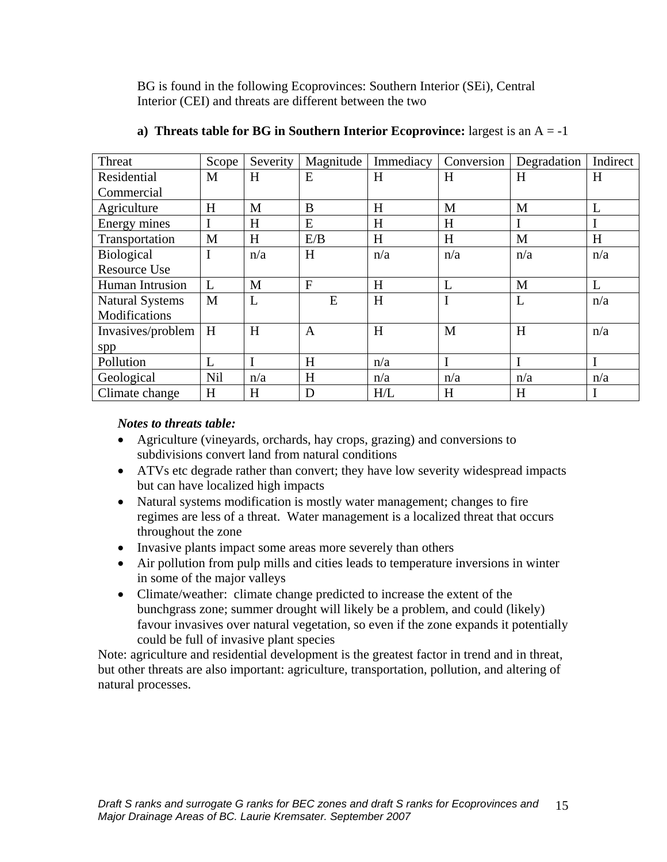BG is found in the following Ecoprovinces: Southern Interior (SEi), Central Interior (CEI) and threats are different between the two

| Threat                 | Scope | Severity | Magnitude    | Immediacy | Conversion | Degradation | Indirect |
|------------------------|-------|----------|--------------|-----------|------------|-------------|----------|
| Residential            | M     | H        | E            | H         | H          | H           | H        |
| Commercial             |       |          |              |           |            |             |          |
| Agriculture            | H     | M        | B            | H         | M          | M           | L        |
| Energy mines           | I     | H        | E            | H         | H          |             | I        |
| Transportation         | M     | H        | E/B          | H         | H          | M           | H        |
| <b>Biological</b>      | I     | n/a      | H            | n/a       | n/a        | n/a         | n/a      |
| <b>Resource Use</b>    |       |          |              |           |            |             |          |
| Human Intrusion        | L     | M        | $\mathbf{F}$ | H         | L          | M           | L        |
| <b>Natural Systems</b> | M     | L        | E            | H         | I          | L           | n/a      |
| Modifications          |       |          |              |           |            |             |          |
| Invasives/problem      | H     | H        | $\mathbf{A}$ | H         | M          | H           | n/a      |
| spp                    |       |          |              |           |            |             |          |
| Pollution              | L     |          | H            | n/a       |            |             |          |
| Geological             | Nil   | n/a      | H            | n/a       | n/a        | n/a         | n/a      |
| Climate change         | H     | H        | D            | H/L       | H          | H           | I        |

#### **a) Threats table for BG in Southern Interior Ecoprovince:** largest is an A = -1

#### *Notes to threats table:*

- Agriculture (vineyards, orchards, hay crops, grazing) and conversions to subdivisions convert land from natural conditions
- ATVs etc degrade rather than convert; they have low severity widespread impacts but can have localized high impacts
- Natural systems modification is mostly water management; changes to fire regimes are less of a threat. Water management is a localized threat that occurs throughout the zone
- Invasive plants impact some areas more severely than others
- Air pollution from pulp mills and cities leads to temperature inversions in winter in some of the major valleys
- Climate/weather: climate change predicted to increase the extent of the bunchgrass zone; summer drought will likely be a problem, and could (likely) favour invasives over natural vegetation, so even if the zone expands it potentially could be full of invasive plant species

Note: agriculture and residential development is the greatest factor in trend and in threat, but other threats are also important: agriculture, transportation, pollution, and altering of natural processes.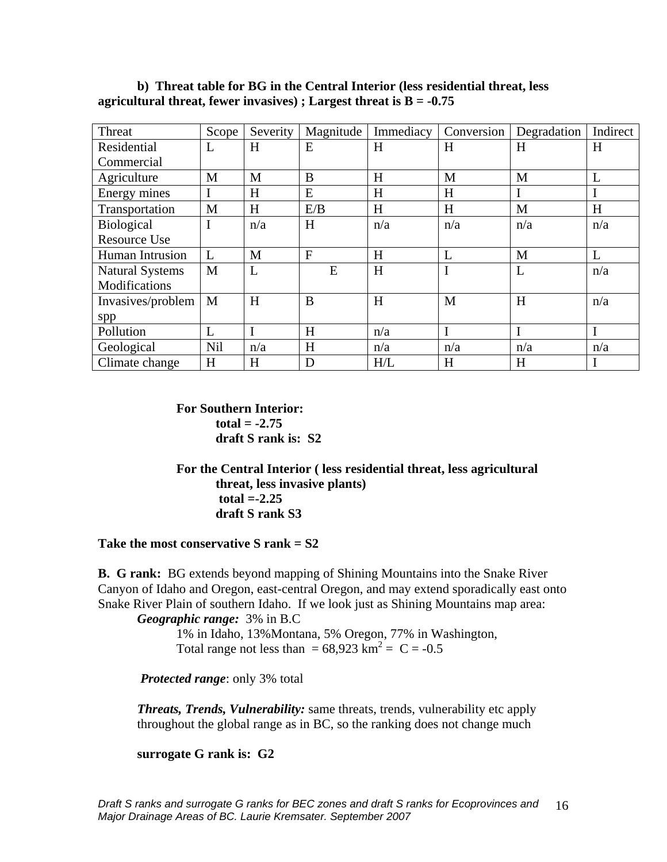| Threat                 | Scope      | Severity    | Magnitude | Immediacy | Conversion | Degradation | Indirect    |
|------------------------|------------|-------------|-----------|-----------|------------|-------------|-------------|
| Residential            | L          | H           | E         | H         | H          | H           | H           |
| Commercial             |            |             |           |           |            |             |             |
| Agriculture            | M          | M           | B         | H         | M          | M           | L           |
| Energy mines           |            | H           | E         | H         | H          | I           | $\mathbf I$ |
| Transportation         | M          | H           | E/B       | H         | H          | M           | H           |
| <b>Biological</b>      | I          | n/a         | H         | n/a       | n/a        | n/a         | n/a         |
| <b>Resource Use</b>    |            |             |           |           |            |             |             |
| Human Intrusion        | L          | M           | F         | H         | L          | M           | L           |
| <b>Natural Systems</b> | M          | L           | E         | H         | I          | L           | n/a         |
| Modifications          |            |             |           |           |            |             |             |
| Invasives/problem      | M          | H           | B         | H         | M          | H           | n/a         |
| spp                    |            |             |           |           |            |             |             |
| Pollution              | L          | $\mathbf I$ | H         | n/a       | I          |             | $\mathbf I$ |
| Geological             | <b>Nil</b> | n/a         | H         | n/a       | n/a        | n/a         | n/a         |
| Climate change         | H          | H           | D         | H/L       | H          | H           | $\mathbf I$ |

#### **b) Threat table for BG in the Central Interior (less residential threat, less agricultural threat, fewer invasives) ; Largest threat is B = -0.75**

**For Southern Interior:**   $total = -2.75$ **draft S rank is: S2** 

**For the Central Interior ( less residential threat, less agricultural threat, less invasive plants) total =-2.25 draft S rank S3** 

#### **Take the most conservative S rank = S2**

**B. G rank:** BG extends beyond mapping of Shining Mountains into the Snake River Canyon of Idaho and Oregon, east-central Oregon, and may extend sporadically east onto Snake River Plain of southern Idaho. If we look just as Shining Mountains map area:

*Geographic range:* 3% in B.C

1% in Idaho, 13%Montana, 5% Oregon, 77% in Washington, Total range not less than =  $68,923$  km<sup>2</sup> = C = -0.5

*Protected range*: only 3% total

*Threats, Trends, Vulnerability:* same threats, trends, vulnerability etc apply throughout the global range as in BC, so the ranking does not change much

**surrogate G rank is: G2**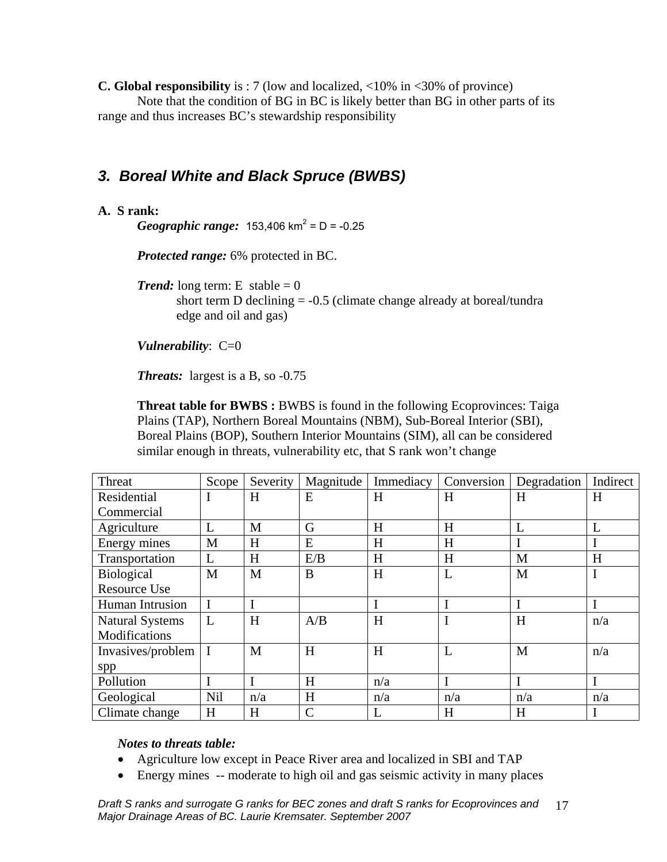**C. Global responsibility** is : 7 (low and localized, <10% in <30% of province)

 Note that the condition of BG in BC is likely better than BG in other parts of its range and thus increases BC's stewardship responsibility

## *3. Boreal White and Black Spruce (BWBS)*

#### **A. S rank:**

*Geographic range:*  $153,406$  km<sup>2</sup> = D = -0.25

*Protected range:* 6% protected in BC.

*Trend:* long term: E stable =  $0$ short term D declining  $= -0.5$  (climate change already at boreal/tundra edge and oil and gas)

*Vulnerability*: C=0

**Threats:** largest is a B, so -0.75

**Threat table for BWBS :** BWBS is found in the following Ecoprovinces: Taiga Plains (TAP), Northern Boreal Mountains (NBM), Sub-Boreal Interior (SBI), Boreal Plains (BOP), Southern Interior Mountains (SIM), all can be considered similar enough in threats, vulnerability etc, that S rank won't change

| Threat                 | Scope       | Severity  | Magnitude     | Immediacy | Conversion | Degradation | Indirect |
|------------------------|-------------|-----------|---------------|-----------|------------|-------------|----------|
| Residential            | $\bf{l}$    | $H_{\rm}$ | E             | H         | H          | H           | H        |
| Commercial             |             |           |               |           |            |             |          |
| Agriculture            | L           | M         | G             | H         | H          | L           | L        |
| Energy mines           | M           | $H_{\rm}$ | E             | H         | H          |             | I        |
| Transportation         | L           | H         | E/B           | H         | H          | M           | H        |
| Biological             | M           | M         | B             | H         | L          | M           | I        |
| <b>Resource Use</b>    |             |           |               |           |            |             |          |
| Human Intrusion        | I           | I         |               |           | I          | I           | I        |
| <b>Natural Systems</b> | L           | H         | A/B           | H         | I          | H           | n/a      |
| Modifications          |             |           |               |           |            |             |          |
| Invasives/problem      | $\mathbf I$ | M         | H             | H         | L          | M           | n/a      |
| spp                    |             |           |               |           |            |             |          |
| Pollution              |             |           | H             | n/a       | I          |             |          |
| Geological             | Nil         | n/a       | H             | n/a       | n/a        | n/a         | n/a      |
| Climate change         | H           | H         | $\mathcal{C}$ | L         | H          | H           | I        |

- Agriculture low except in Peace River area and localized in SBI and TAP
- Energy mines -- moderate to high oil and gas seismic activity in many places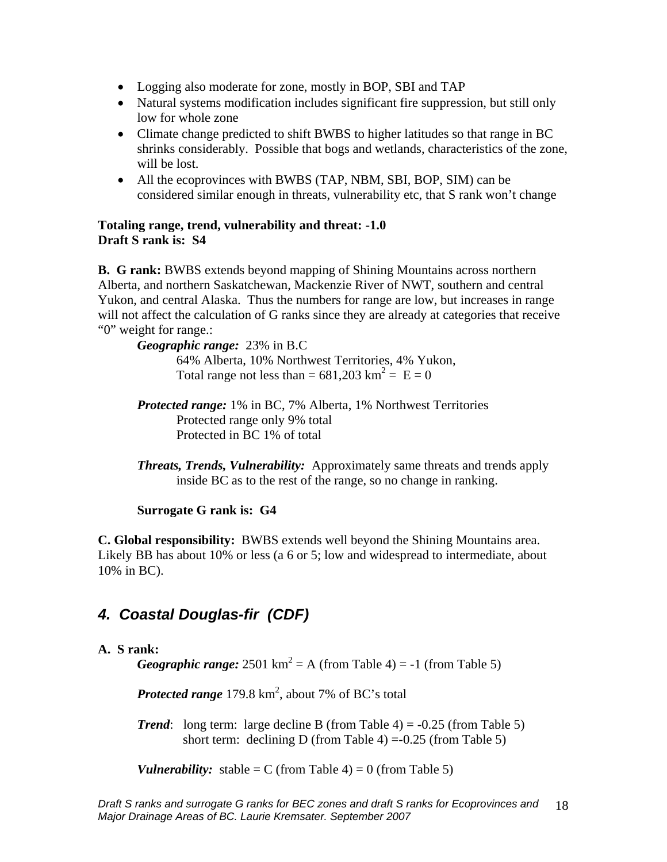- Logging also moderate for zone, mostly in BOP, SBI and TAP
- Natural systems modification includes significant fire suppression, but still only low for whole zone
- Climate change predicted to shift BWBS to higher latitudes so that range in BC shrinks considerably. Possible that bogs and wetlands, characteristics of the zone, will be lost.
- All the ecoprovinces with BWBS (TAP, NBM, SBI, BOP, SIM) can be considered similar enough in threats, vulnerability etc, that S rank won't change

#### **Totaling range, trend, vulnerability and threat: -1.0 Draft S rank is: S4**

**B. G rank:** BWBS extends beyond mapping of Shining Mountains across northern Alberta, and northern Saskatchewan, Mackenzie River of NWT, southern and central Yukon, and central Alaska. Thus the numbers for range are low, but increases in range will not affect the calculation of G ranks since they are already at categories that receive "0" weight for range.:

*Geographic range:* 23% in B.C 64% Alberta, 10% Northwest Territories, 4% Yukon, Total range not less than =  $681,203$  km<sup>2</sup> =  $E = 0$ 

*Protected range:* 1% in BC, 7% Alberta, 1% Northwest Territories Protected range only 9% total Protected in BC 1% of total

*Threats, Trends, Vulnerability:* Approximately same threats and trends apply inside BC as to the rest of the range, so no change in ranking.

#### **Surrogate G rank is: G4**

**C. Global responsibility:** BWBS extends well beyond the Shining Mountains area. Likely BB has about 10% or less (a 6 or 5; low and widespread to intermediate, about 10% in BC).

## *4. Coastal Douglas-fir (CDF)*

#### **A. S rank:**

*Geographic range:*  $2501 \text{ km}^2 = \text{A}$  (from Table 4) = -1 (from Table 5)

**Protected range** 179.8 km<sup>2</sup>, about 7% of BC's total

*Trend*: long term: large decline B (from Table 4) =  $-0.25$  (from Table 5) short term: declining D (from Table 4) =  $-0.25$  (from Table 5)

*Vulnerability:* stable =  $C$  (from Table 4) = 0 (from Table 5)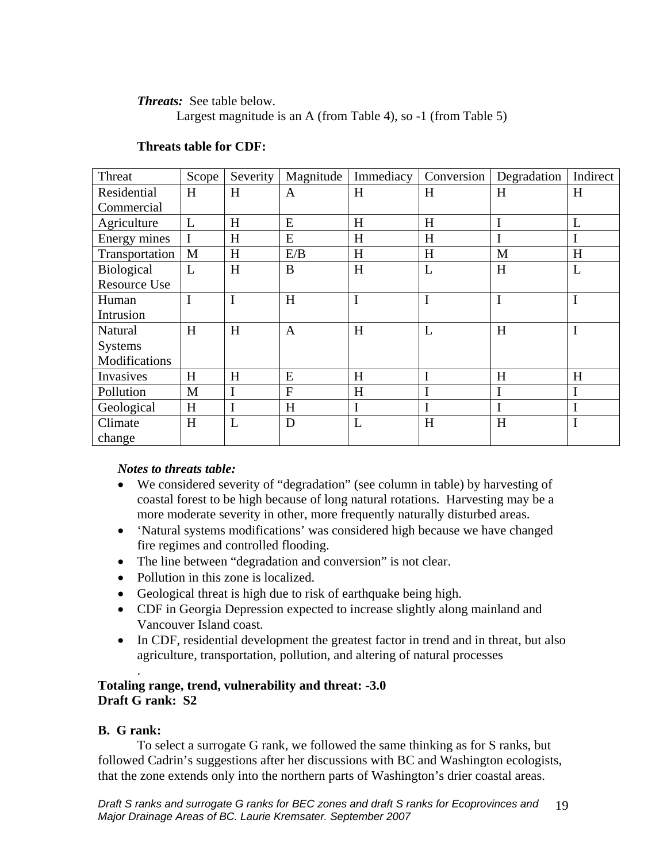#### *Threats:* See table below.

Largest magnitude is an A (from Table 4), so -1 (from Table 5)

| Threat              | Scope | Severity       | Magnitude      | Immediacy | Conversion | Degradation | Indirect |
|---------------------|-------|----------------|----------------|-----------|------------|-------------|----------|
| Residential         | H     | H              | A              | H         | H          | H           | H        |
| Commercial          |       |                |                |           |            |             |          |
| Agriculture         | L     | H              | E              | H         | H          | I           | L        |
| Energy mines        |       | H              | E              | H         | H          |             |          |
| Transportation      | M     | H              | E/B            | H         | H          | M           | H        |
| Biological          | L     | H              | B              | H         | L          | H           | L        |
| <b>Resource Use</b> |       |                |                |           |            |             |          |
| Human               | I     | $\overline{I}$ | H              | I         | I          | I           | I        |
| Intrusion           |       |                |                |           |            |             |          |
| Natural             | H     | H              | $\mathbf{A}$   | H         | L          | H           | I        |
| <b>Systems</b>      |       |                |                |           |            |             |          |
| Modifications       |       |                |                |           |            |             |          |
| Invasives           | H     | H              | E              | H         | I          | H           | H        |
| Pollution           | M     | I              | $\overline{F}$ | H         | I          | I           | I        |
| Geological          | H     | I              | H              | I         |            |             |          |
| Climate             | H     | L              | D              | L         | H          | H           | I        |
| change              |       |                |                |           |            |             |          |

#### **Threats table for CDF:**

#### *Notes to threats table:*

- We considered severity of "degradation" (see column in table) by harvesting of coastal forest to be high because of long natural rotations. Harvesting may be a more moderate severity in other, more frequently naturally disturbed areas.
- 'Natural systems modifications' was considered high because we have changed fire regimes and controlled flooding.
- The line between "degradation and conversion" is not clear.
- Pollution in this zone is localized.
- Geological threat is high due to risk of earthquake being high.
- CDF in Georgia Depression expected to increase slightly along mainland and Vancouver Island coast.
- In CDF, residential development the greatest factor in trend and in threat, but also agriculture, transportation, pollution, and altering of natural processes

#### . **Totaling range, trend, vulnerability and threat: -3.0 Draft G rank: S2**

#### **B. G rank:**

To select a surrogate G rank, we followed the same thinking as for S ranks, but followed Cadrin's suggestions after her discussions with BC and Washington ecologists, that the zone extends only into the northern parts of Washington's drier coastal areas.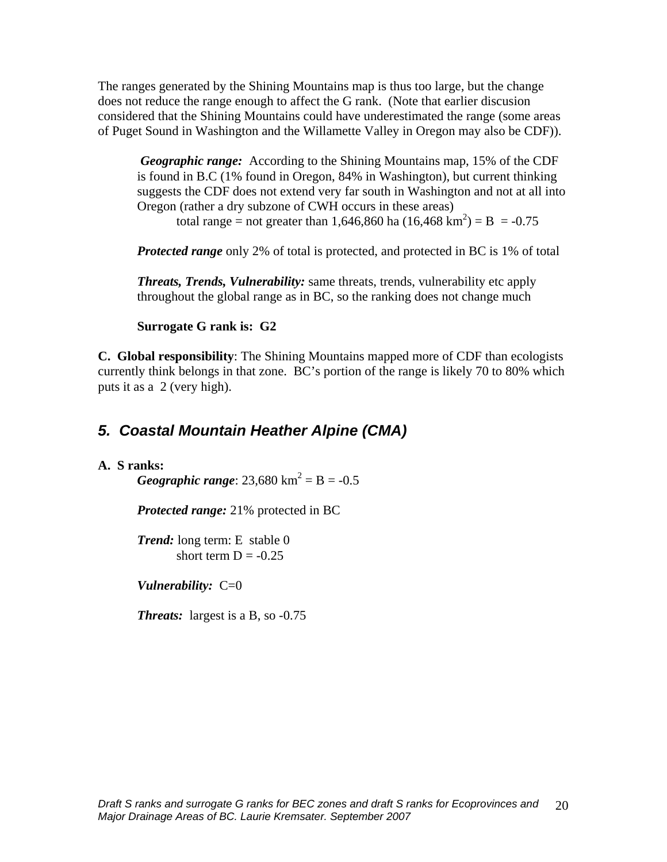The ranges generated by the Shining Mountains map is thus too large, but the change does not reduce the range enough to affect the G rank. (Note that earlier discusion considered that the Shining Mountains could have underestimated the range (some areas of Puget Sound in Washington and the Willamette Valley in Oregon may also be CDF)).

 *Geographic range:* According to the Shining Mountains map, 15% of the CDF is found in B.C (1% found in Oregon, 84% in Washington), but current thinking suggests the CDF does not extend very far south in Washington and not at all into Oregon (rather a dry subzone of CWH occurs in these areas)

total range = not greater than 1,646,860 ha  $(16,468 \text{ km}^2) = B = -0.75$ 

*Protected range* only 2% of total is protected, and protected in BC is 1% of total

*Threats, Trends, Vulnerability:* same threats, trends, vulnerability etc apply throughout the global range as in BC, so the ranking does not change much

**Surrogate G rank is: G2** 

**C. Global responsibility**: The Shining Mountains mapped more of CDF than ecologists currently think belongs in that zone. BC's portion of the range is likely 70 to 80% which puts it as a 2 (very high).

## *5. Coastal Mountain Heather Alpine (CMA)*

#### **A. S ranks:**

*Geographic range*:  $23,680 \text{ km}^2 = \text{B} = -0.5$ 

*Protected range:* 21% protected in BC

*Trend:* long term: E stable 0 short term  $D = -0.25$ 

*Vulnerability:* C=0

*Threats:* largest is a B, so -0.75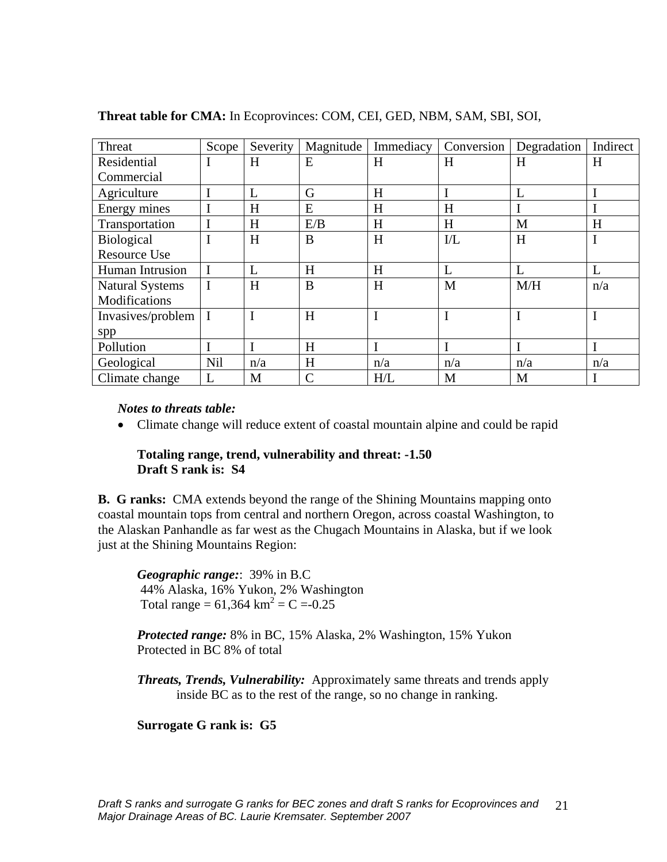| Threat                 | Scope        | Severity | Magnitude     | Immediacy | Conversion            | Degradation | Indirect    |
|------------------------|--------------|----------|---------------|-----------|-----------------------|-------------|-------------|
| Residential            | $\bf{I}$     | H        | E             | H         | H                     | H           | H           |
| Commercial             |              |          |               |           |                       |             |             |
| Agriculture            | I            | L        | G             | H         | I                     | L           | I           |
| Energy mines           |              | H        | E             | H         | H                     |             | I           |
| Transportation         | I            | H        | E/B           | H         | H                     | M           | H           |
| Biological             | I            | H        | B             | H         | $\overline{\text{L}}$ | H           | I           |
| <b>Resource Use</b>    |              |          |               |           |                       |             |             |
| Human Intrusion        | $\mathbf I$  | L        | H             | H         | L                     | L           | L           |
| <b>Natural Systems</b> | $\mathbf I$  | H        | B             | H         | M                     | M/H         | n/a         |
| Modifications          |              |          |               |           |                       |             |             |
| Invasives/problem      | $\mathbf{I}$ | I        | H             |           | I                     |             | I           |
| spp                    |              |          |               |           |                       |             |             |
| Pollution              | I            |          | H             |           | I                     | I           | I           |
| Geological             | <b>Nil</b>   | n/a      | H             | n/a       | n/a                   | n/a         | n/a         |
| Climate change         | L            | M        | $\mathcal{C}$ | H/L       | M                     | M           | $\mathbf I$ |

**Threat table for CMA:** In Ecoprovinces: COM, CEI, GED, NBM, SAM, SBI, SOI,

#### *Notes to threats table:*

• Climate change will reduce extent of coastal mountain alpine and could be rapid

#### **Totaling range, trend, vulnerability and threat: -1.50 Draft S rank is: S4**

**B.** G ranks: CMA extends beyond the range of the Shining Mountains mapping onto coastal mountain tops from central and northern Oregon, across coastal Washington, to the Alaskan Panhandle as far west as the Chugach Mountains in Alaska, but if we look just at the Shining Mountains Region:

*Geographic range:*: 39% in B.C 44% Alaska, 16% Yukon, 2% Washington Total range =  $61,364$  km<sup>2</sup> = C = -0.25

*Protected range:* 8% in BC, 15% Alaska, 2% Washington, 15% Yukon Protected in BC 8% of total

*Threats, Trends, Vulnerability:* Approximately same threats and trends apply inside BC as to the rest of the range, so no change in ranking.

**Surrogate G rank is: G5**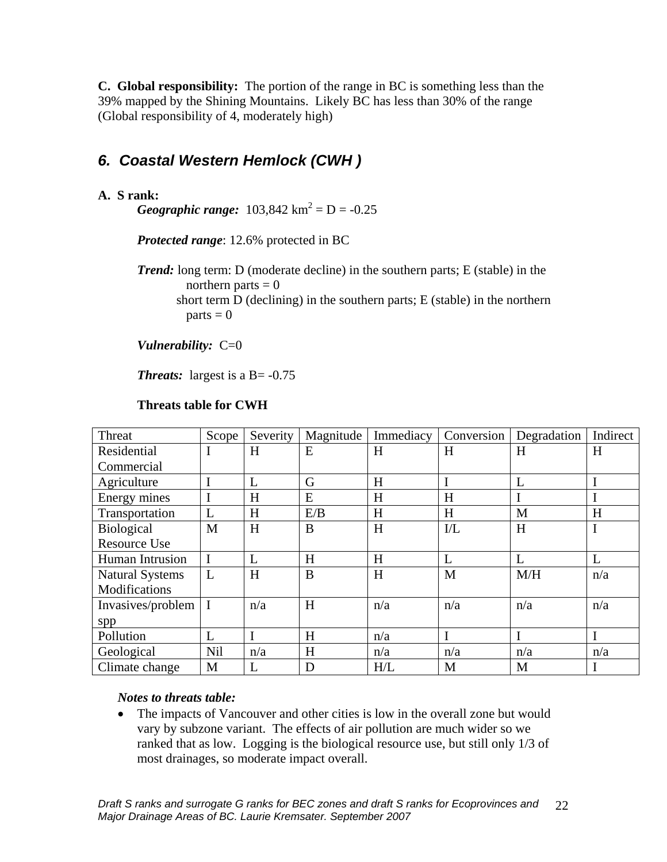**C. Global responsibility:** The portion of the range in BC is something less than the 39% mapped by the Shining Mountains. Likely BC has less than 30% of the range (Global responsibility of 4, moderately high)

## *6. Coastal Western Hemlock (CWH )*

**A. S rank:** 

*Geographic range:*  $103,842 \text{ km}^2 = D = -0.25$ 

*Protected range*: 12.6% protected in BC

*Trend:* long term: D (moderate decline) in the southern parts; E (stable) in the northern parts  $= 0$ short term D (declining) in the southern parts; E (stable) in the northern  $parts = 0$ 

*Vulnerability:* C=0

**Threats:** largest is a  $B = -0.75$ 

| <b>Threats table for CWH</b> |  |  |  |
|------------------------------|--|--|--|
|------------------------------|--|--|--|

| Threat                  | Scope       | Severity | Magnitude | Immediacy | Conversion            | Degradation | Indirect |
|-------------------------|-------------|----------|-----------|-----------|-----------------------|-------------|----------|
| Residential             | I           | H        | E         | H         | H                     | H           | H        |
| Commercial              |             |          |           |           |                       |             |          |
| Agriculture             | I           | L        | G         | H         |                       | L           | I        |
| Energy mines            | I           | H        | E         | H         | H                     |             |          |
| Transportation          | L           | H        | E/B       | H         | H                     | M           | H        |
| <b>Biological</b>       | M           | H        | B         | H         | $\overline{\text{L}}$ | H           | I        |
| <b>Resource Use</b>     |             |          |           |           |                       |             |          |
| Human Intrusion         | $\mathbf I$ | L        | H         | H         | L                     | L           | L        |
| <b>Natural Systems</b>  | L           | H        | B         | H         | M                     | M/H         | n/a      |
| Modifications           |             |          |           |           |                       |             |          |
| Invasives/problem $ I $ |             | n/a      | H         | n/a       | n/a                   | n/a         | n/a      |
| spp                     |             |          |           |           |                       |             |          |
| Pollution               | L           |          | H         | n/a       | I                     |             |          |
| Geological              | <b>Nil</b>  | n/a      | H         | n/a       | n/a                   | n/a         | n/a      |
| Climate change          | M           | L        | D         | H/L       | M                     | M           | I        |

#### *Notes to threats table:*

• The impacts of Vancouver and other cities is low in the overall zone but would vary by subzone variant. The effects of air pollution are much wider so we ranked that as low. Logging is the biological resource use, but still only 1/3 of most drainages, so moderate impact overall.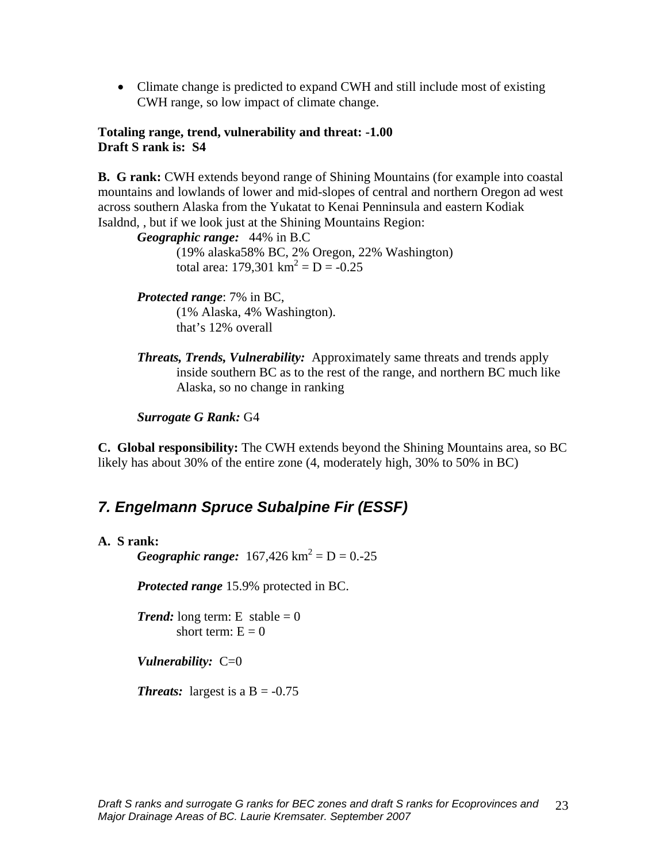• Climate change is predicted to expand CWH and still include most of existing CWH range, so low impact of climate change.

#### **Totaling range, trend, vulnerability and threat: -1.00 Draft S rank is: S4**

**B. G rank:** CWH extends beyond range of Shining Mountains (for example into coastal mountains and lowlands of lower and mid-slopes of central and northern Oregon ad west across southern Alaska from the Yukatat to Kenai Penninsula and eastern Kodiak Isaldnd, , but if we look just at the Shining Mountains Region:

*Geographic range:* 44% in B.C (19% alaska58% BC, 2% Oregon, 22% Washington) total area:  $179,301 \text{ km}^2 = \text{D} = -0.25$ 

*Protected range*: 7% in BC, (1% Alaska, 4% Washington). that's 12% overall

*Threats, Trends, Vulnerability:* Approximately same threats and trends apply inside southern BC as to the rest of the range, and northern BC much like Alaska, so no change in ranking

*Surrogate G Rank:* G4

**C. Global responsibility:** The CWH extends beyond the Shining Mountains area, so BC likely has about 30% of the entire zone (4, moderately high, 30% to 50% in BC)

## *7. Engelmann Spruce Subalpine Fir (ESSF)*

#### **A. S rank:**

*Geographic range:*  $167,426 \text{ km}^2 = D = 0.25$ 

*Protected range* 15.9% protected in BC.

*Trend:* long term: E stable  $= 0$ short term:  $E = 0$ 

*Vulnerability:* C=0

**Threats:** largest is a  $B = -0.75$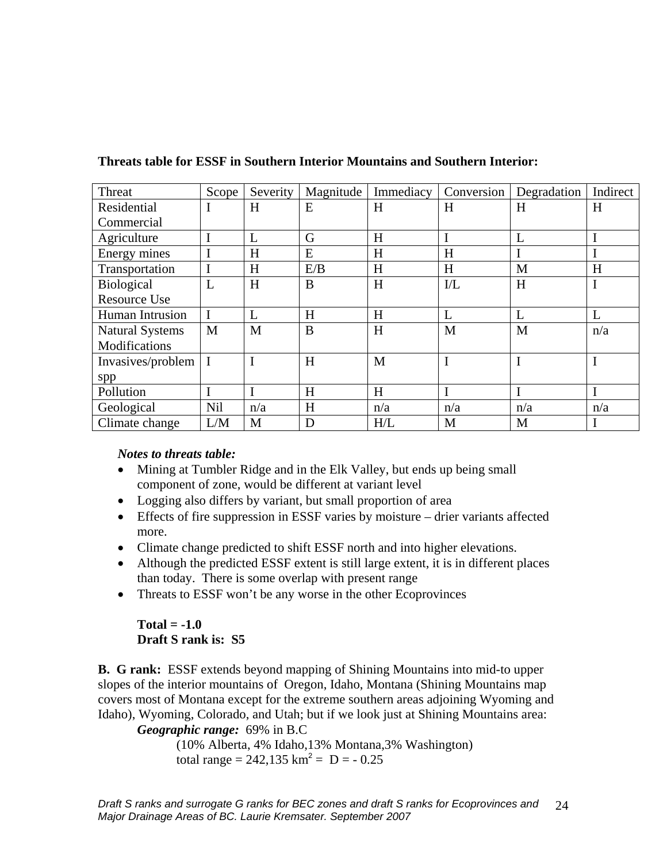| Threat                 | Scope       | Severity | Magnitude | Immediacy | Conversion              | Degradation | Indirect |
|------------------------|-------------|----------|-----------|-----------|-------------------------|-------------|----------|
|                        |             |          |           |           |                         |             |          |
| Residential            | I           | H        | E         | H         | H                       | H           | H        |
| Commercial             |             |          |           |           |                         |             |          |
| Agriculture            | I           | L        | G         | H         | I                       | L           |          |
| Energy mines           | I           | H        | E         | H         | H                       |             |          |
| Transportation         | I           | H        | E/B       | H         | H                       | M           | H        |
| <b>Biological</b>      | L           | H        | B         | H         | $\mathbf{I}/\mathbf{L}$ | H           | I        |
| <b>Resource Use</b>    |             |          |           |           |                         |             |          |
| Human Intrusion        | $\mathbf I$ | L        | H         | H         | L                       | L           |          |
| <b>Natural Systems</b> | M           | M        | B         | H         | M                       | M           | n/a      |
| Modifications          |             |          |           |           |                         |             |          |
| Invasives/problem      |             |          | H         | M         | I                       |             | I        |
| spp                    |             |          |           |           |                         |             |          |
| Pollution              | I           |          | H         | H         | I                       |             | I        |
| Geological             | Nil         | n/a      | H         | n/a       | n/a                     | n/a         | n/a      |
| Climate change         | L/M         | M        | D         | H/L       | M                       | M           |          |

#### **Threats table for ESSF in Southern Interior Mountains and Southern Interior:**

#### *Notes to threats table:*

- Mining at Tumbler Ridge and in the Elk Valley, but ends up being small component of zone, would be different at variant level
- Logging also differs by variant, but small proportion of area
- Effects of fire suppression in ESSF varies by moisture drier variants affected more.
- Climate change predicted to shift ESSF north and into higher elevations.
- Although the predicted ESSF extent is still large extent, it is in different places than today. There is some overlap with present range
- Threats to ESSF won't be any worse in the other Ecoprovinces

**Total = -1.0 Draft S rank is: S5** 

**B. G rank:** ESSF extends beyond mapping of Shining Mountains into mid-to upper slopes of the interior mountains of Oregon, Idaho, Montana (Shining Mountains map covers most of Montana except for the extreme southern areas adjoining Wyoming and Idaho), Wyoming, Colorado, and Utah; but if we look just at Shining Mountains area:

*Geographic range:* 69% in B.C

(10% Alberta, 4% Idaho,13% Montana,3% Washington) total range =  $242,135$  km<sup>2</sup> = D = - 0.25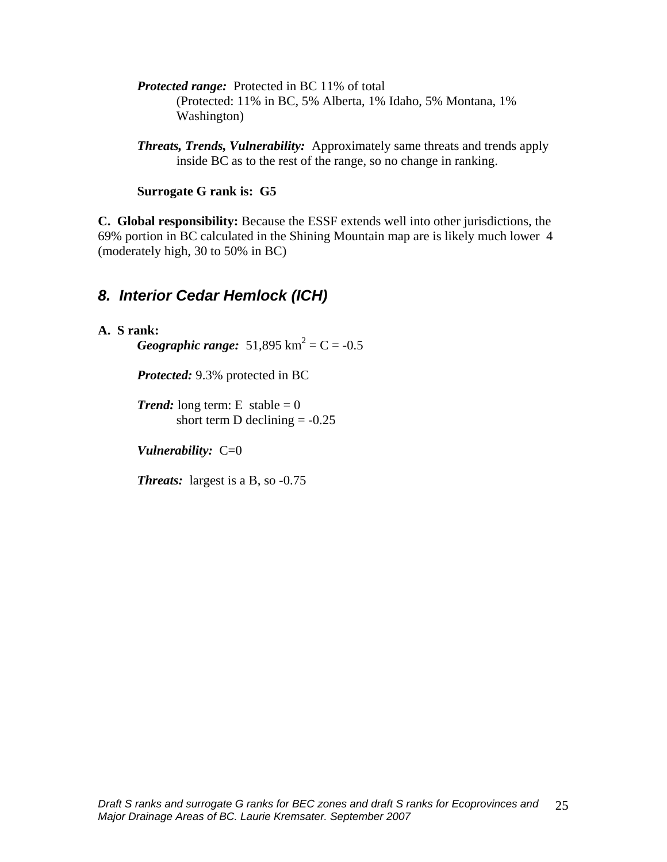*Protected range:* Protected in BC 11% of total (Protected: 11% in BC, 5% Alberta, 1% Idaho, 5% Montana, 1% Washington)

*Threats, Trends, Vulnerability:* Approximately same threats and trends apply inside BC as to the rest of the range, so no change in ranking.

**Surrogate G rank is: G5** 

**C. Global responsibility:** Because the ESSF extends well into other jurisdictions, the 69% portion in BC calculated in the Shining Mountain map are is likely much lower 4 (moderately high, 30 to 50% in BC)

## *8. Interior Cedar Hemlock (ICH)*

**A. S rank:** 

*Geographic range:* 51,895 km<sup>2</sup> = C = -0.5

*Protected:* 9.3% protected in BC

*Trend:* long term: E stable  $= 0$ short term D declining  $= -0.25$ 

*Vulnerability:* C=0

**Threats:** largest is a B, so -0.75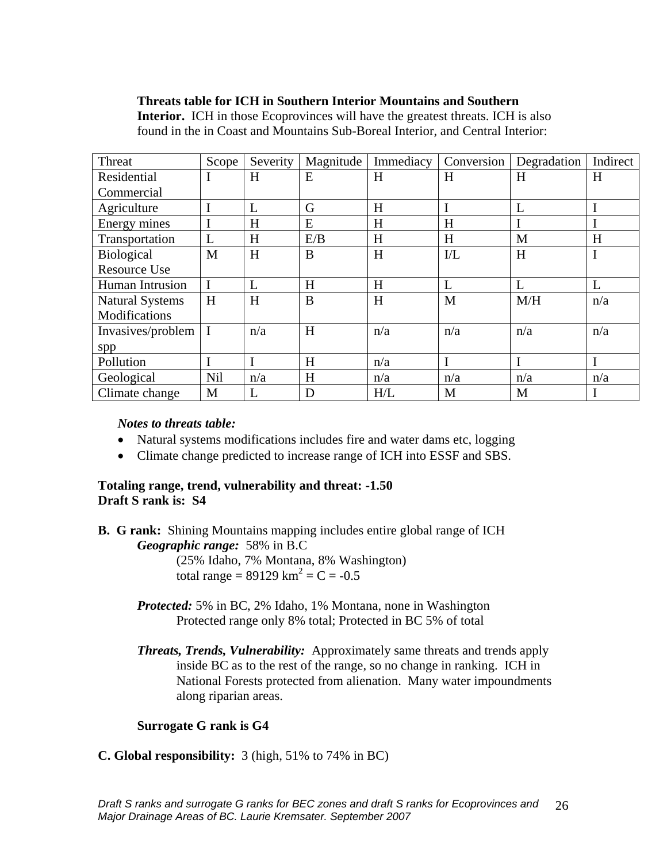#### **Threats table for ICH in Southern Interior Mountains and Southern**

**Interior.** ICH in those Ecoprovinces will have the greatest threats. ICH is also found in the in Coast and Mountains Sub-Boreal Interior, and Central Interior:

| Threat                  | Scope      | Severity | Magnitude | Immediacy | Conversion   | Degradation | Indirect |
|-------------------------|------------|----------|-----------|-----------|--------------|-------------|----------|
| Residential             |            | H        | E         | H         | H            | H           | H        |
| Commercial              |            |          |           |           |              |             |          |
| Agriculture             |            | L        | G         | H         | I            | L           |          |
| Energy mines            |            | H        | E         | H         | H            | I           |          |
| Transportation          | L          | H        | E/B       | H         | H            | M           | H        |
| <b>Biological</b>       | M          | H        | B         | H         | I/L          | H           |          |
| <b>Resource Use</b>     |            |          |           |           |              |             |          |
| Human Intrusion         | I          | L        | H         | H         | $\mathbf{L}$ | L           | L        |
| <b>Natural Systems</b>  | H          | H        | B         | H         | M            | M/H         | n/a      |
| Modifications           |            |          |           |           |              |             |          |
| Invasives/problem $ I $ |            | n/a      | H         | n/a       | n/a          | n/a         | n/a      |
| spp                     |            |          |           |           |              |             |          |
| Pollution               | I          | I        | H         | n/a       | I            | I           |          |
| Geological              | <b>Nil</b> | n/a      | H         | n/a       | n/a          | n/a         | n/a      |
| Climate change          | M          | L        | D         | H/L       | M            | M           |          |

#### *Notes to threats table:*

- Natural systems modifications includes fire and water dams etc, logging
- Climate change predicted to increase range of ICH into ESSF and SBS.

#### **Totaling range, trend, vulnerability and threat: -1.50 Draft S rank is: S4**

- **B. G rank:** Shining Mountains mapping includes entire global range of ICH *Geographic range:* 58% in B.C
	- (25% Idaho, 7% Montana, 8% Washington) total range =  $89129 \text{ km}^2$  = C = -0.5
	- *Protected:* 5% in BC, 2% Idaho, 1% Montana, none in Washington Protected range only 8% total; Protected in BC 5% of total
	- *Threats, Trends, Vulnerability:* Approximately same threats and trends apply inside BC as to the rest of the range, so no change in ranking. ICH in National Forests protected from alienation. Many water impoundments along riparian areas.

#### **Surrogate G rank is G4**

#### **C. Global responsibility:** 3 (high, 51% to 74% in BC)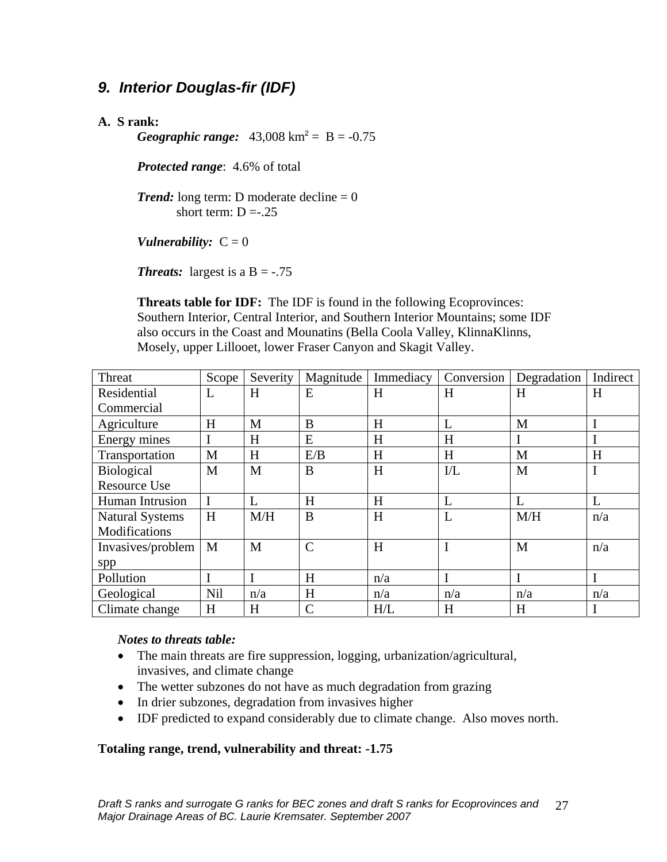## *9. Interior Douglas-fir (IDF)*

#### **A. S rank:**

*Geographic range:*  $43,008 \text{ km}^2 = B = -0.75$ 

*Protected range*: 4.6% of total

*Trend:* long term: D moderate decline = 0 short term:  $D = 0.25$ 

*Vulnerability:*  $C = 0$ 

**Threats:** largest is a  $B = -0.75$ 

**Threats table for IDF:** The IDF is found in the following Ecoprovinces: Southern Interior, Central Interior, and Southern Interior Mountains; some IDF also occurs in the Coast and Mounatins (Bella Coola Valley, KlinnaKlinns, Mosely, upper Lillooet, lower Fraser Canyon and Skagit Valley.

| Threat                 | Scope       | Severity | Magnitude      | Immediacy | Conversion            | Degradation | Indirect    |
|------------------------|-------------|----------|----------------|-----------|-----------------------|-------------|-------------|
| Residential            | L           | H        | E              | H         | H                     | H           | H           |
| Commercial             |             |          |                |           |                       |             |             |
| Agriculture            | H           | M        | B              | H         | L                     | M           |             |
| Energy mines           | $\mathbf I$ | H        | E              | H         | H                     |             |             |
| Transportation         | M           | H        | E/B            | H         | H                     | M           | H           |
| <b>Biological</b>      | M           | M        | B              | H         | $\overline{\text{L}}$ | M           | I           |
| <b>Resource Use</b>    |             |          |                |           |                       |             |             |
| Human Intrusion        | I           | L        | H              | H         | L                     | L           | L           |
| <b>Natural Systems</b> | H           | M/H      | B              | H         | L                     | M/H         | n/a         |
| Modifications          |             |          |                |           |                       |             |             |
| Invasives/problem      | M           | M        | $\mathsf{C}$   | H         | I                     | M           | n/a         |
| spp                    |             |          |                |           |                       |             |             |
| Pollution              | I           |          | H              | n/a       | I                     |             | I           |
| Geological             | <b>Nil</b>  | n/a      | H              | n/a       | n/a                   | n/a         | n/a         |
| Climate change         | H           | H        | $\overline{C}$ | H/L       | H                     | H           | $\mathbf I$ |

#### *Notes to threats table:*

- The main threats are fire suppression, logging, urbanization/agricultural, invasives, and climate change
- The wetter subzones do not have as much degradation from grazing
- In drier subzones, degradation from invasives higher
- IDF predicted to expand considerably due to climate change. Also moves north.

#### **Totaling range, trend, vulnerability and threat: -1.75**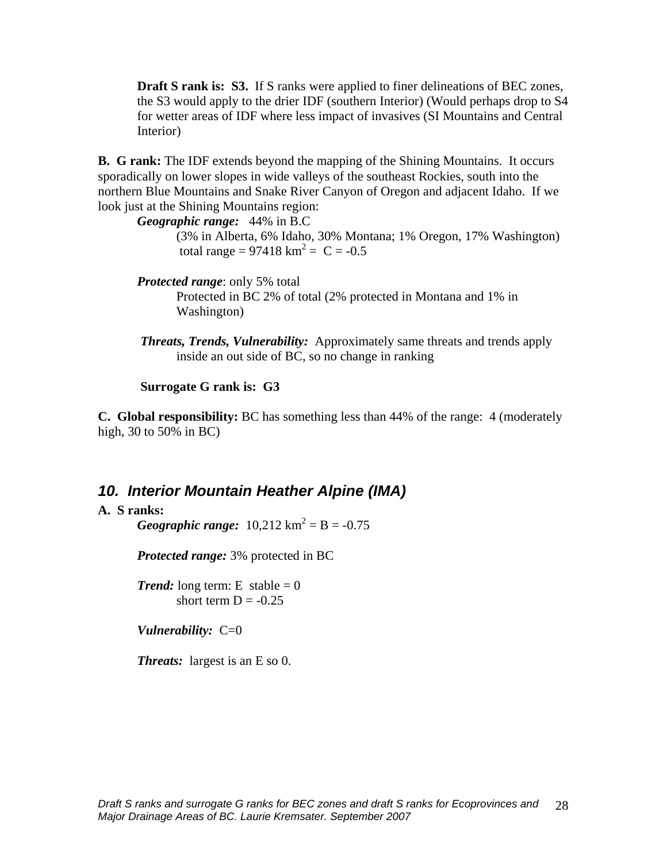**Draft S rank is: S3.** If S ranks were applied to finer delineations of BEC zones, the S3 would apply to the drier IDF (southern Interior) (Would perhaps drop to S4 for wetter areas of IDF where less impact of invasives (SI Mountains and Central Interior)

**B. G rank:** The IDF extends beyond the mapping of the Shining Mountains. It occurs sporadically on lower slopes in wide valleys of the southeast Rockies, south into the northern Blue Mountains and Snake River Canyon of Oregon and adjacent Idaho. If we look just at the Shining Mountains region:

*Geographic range:* 44% in B.C

(3% in Alberta, 6% Idaho, 30% Montana; 1% Oregon, 17% Washington) total range =  $97418 \text{ km}^2 = C = -0.5$ 

*Protected range*: only 5% total

Protected in BC 2% of total (2% protected in Montana and 1% in Washington)

*Threats, Trends, Vulnerability:* Approximately same threats and trends apply inside an out side of BC, so no change in ranking

 **Surrogate G rank is: G3** 

**C. Global responsibility:** BC has something less than 44% of the range: 4 (moderately high,  $30$  to  $50\%$  in BC)

### *10. Interior Mountain Heather Alpine (IMA)*

#### **A. S ranks:**

*Geographic range:*  $10,212 \text{ km}^2 = B = -0.75$ 

*Protected range:* 3% protected in BC

*Trend:* long term: E stable  $= 0$ short term  $D = -0.25$ 

*Vulnerability:* C=0

*Threats:* largest is an E so 0.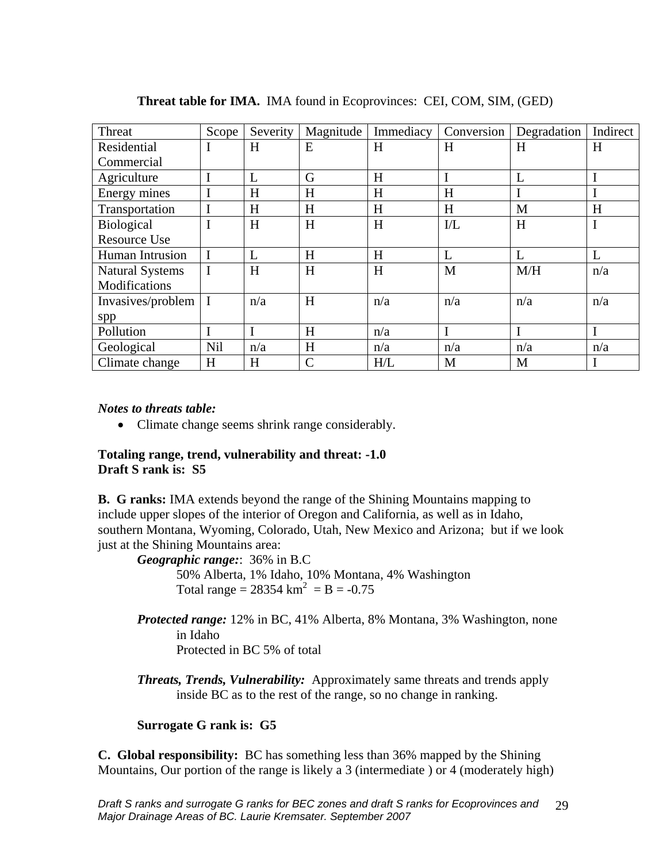| Threat                  | Scope       | Severity | Magnitude     | Immediacy | Conversion | Degradation | Indirect |
|-------------------------|-------------|----------|---------------|-----------|------------|-------------|----------|
| Residential             | 1           | H        | E             | H         | H          | H           | H        |
| Commercial              |             |          |               |           |            |             |          |
| Agriculture             |             | L        | G             | H         | I          | L           |          |
| Energy mines            |             | H        | H             | H         | H          | I           |          |
| Transportation          |             | H        | H             | H         | H          | M           | H        |
| Biological              | I           | H        | H             | H         | I/L        | H           |          |
| <b>Resource Use</b>     |             |          |               |           |            |             |          |
| Human Intrusion         | I           | L        | H             | H         | L          | L           | L        |
| <b>Natural Systems</b>  | $\mathbf I$ | H        | H             | H         | M          | M/H         | n/a      |
| Modifications           |             |          |               |           |            |             |          |
| Invasives/problem $ I $ |             | n/a      | H             | n/a       | n/a        | n/a         | n/a      |
| spp                     |             |          |               |           |            |             |          |
| Pollution               | I           |          | H             | n/a       | I          | I           |          |
| Geological              | Nil         | n/a      | H             | n/a       | n/a        | n/a         | n/a      |
| Climate change          | H           | H        | $\mathcal{C}$ | H/L       | M          | M           |          |

**Threat table for IMA.** IMA found in Ecoprovinces: CEI, COM, SIM, (GED)

#### *Notes to threats table:*

• Climate change seems shrink range considerably.

### **Totaling range, trend, vulnerability and threat: -1.0 Draft S rank is: S5**

**B. G ranks:** IMA extends beyond the range of the Shining Mountains mapping to include upper slopes of the interior of Oregon and California, as well as in Idaho, southern Montana, Wyoming, Colorado, Utah, New Mexico and Arizona; but if we look just at the Shining Mountains area:

*Geographic range:*: 36% in B.C 50% Alberta, 1% Idaho, 10% Montana, 4% Washington Total range =  $28354 \text{ km}^2 = \text{B} = -0.75$ 

*Protected range:* 12% in BC, 41% Alberta, 8% Montana, 3% Washington, none in Idaho Protected in BC 5% of total

*Threats, Trends, Vulnerability:* Approximately same threats and trends apply inside BC as to the rest of the range, so no change in ranking.

### **Surrogate G rank is: G5**

**C. Global responsibility:** BC has something less than 36% mapped by the Shining Mountains, Our portion of the range is likely a 3 (intermediate ) or 4 (moderately high)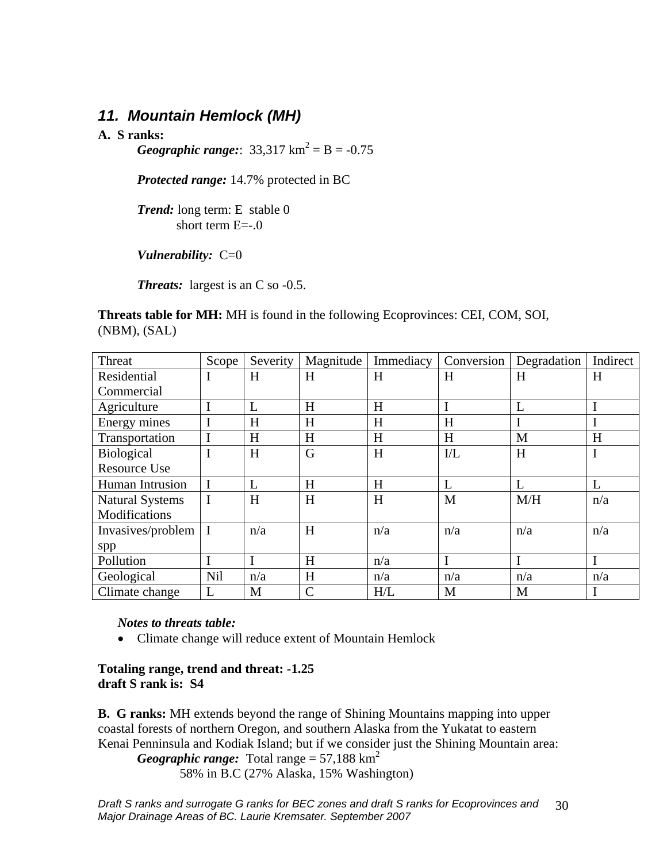### *11. Mountain Hemlock (MH)*

#### **A. S ranks:**

*Geographic range:*:  $33,317 \text{ km}^2 = \text{B} = -0.75$ 

*Protected range:* 14.7% protected in BC

*Trend:* long term: E stable 0 short term  $E=-.0$ 

*Vulnerability:* C=0

**Threats:** largest is an C so -0.5.

**Threats table for MH:** MH is found in the following Ecoprovinces: CEI, COM, SOI, (NBM), (SAL)

| Threat                  | Scope      | Severity    | Magnitude     | Immediacy | Conversion            | Degradation | Indirect    |
|-------------------------|------------|-------------|---------------|-----------|-----------------------|-------------|-------------|
| Residential             | I          | H           | H             | H         | H                     | H           | H           |
| Commercial              |            |             |               |           |                       |             |             |
| Agriculture             |            | L           | H             | H         | I                     | L           | I           |
| Energy mines            |            | H           | H             | H         | H                     |             |             |
| Transportation          |            | H           | H             | H         | H                     | M           | H           |
| Biological              | I          | H           | G             | H         | $\overline{\text{L}}$ | H           | $\mathbf I$ |
| <b>Resource Use</b>     |            |             |               |           |                       |             |             |
| Human Intrusion         | I          | L           | H             | H         | L                     | L           | L           |
| <b>Natural Systems</b>  | I          | H           | H             | H         | M                     | M/H         | n/a         |
| Modifications           |            |             |               |           |                       |             |             |
| Invasives/problem $ I $ |            | n/a         | H             | n/a       | n/a                   | n/a         | n/a         |
| spp                     |            |             |               |           |                       |             |             |
| Pollution               | I          | $\mathbf I$ | H             | n/a       | I                     |             | I           |
| Geological              | <b>Nil</b> | n/a         | H             | n/a       | n/a                   | n/a         | n/a         |
| Climate change          | L          | M           | $\mathcal{C}$ | H/L       | M                     | M           | I           |

*Notes to threats table:* 

• Climate change will reduce extent of Mountain Hemlock

**Totaling range, trend and threat: -1.25 draft S rank is: S4** 

**B. G ranks:** MH extends beyond the range of Shining Mountains mapping into upper coastal forests of northern Oregon, and southern Alaska from the Yukatat to eastern Kenai Penninsula and Kodiak Island; but if we consider just the Shining Mountain area:

*Geographic range:* Total range =  $57,188$  km<sup>2</sup> 58% in B.C (27% Alaska, 15% Washington)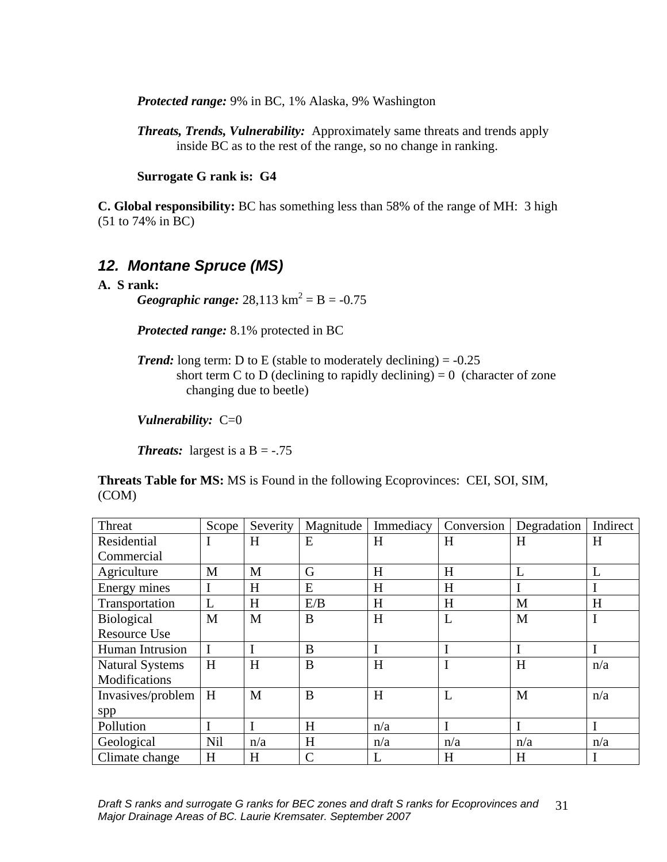*Protected range:* 9% in BC, 1% Alaska, 9% Washington

*Threats, Trends, Vulnerability:* Approximately same threats and trends apply inside BC as to the rest of the range, so no change in ranking.

**Surrogate G rank is: G4** 

**C. Global responsibility:** BC has something less than 58% of the range of MH: 3 high (51 to 74% in BC)

## *12. Montane Spruce (MS)*

#### **A. S rank:**

*Geographic range:*  $28,113$  km<sup>2</sup> = B =  $-0.75$ 

*Protected range:* 8.1% protected in BC

*Trend:* long term: D to E (stable to moderately declining)  $= -0.25$ short term C to D (declining to rapidly declining)  $= 0$  (character of zone changing due to beetle)

*Vulnerability:* C=0

**Threats:** largest is a  $B = -.75$ 

**Threats Table for MS:** MS is Found in the following Ecoprovinces: CEI, SOI, SIM, (COM)

| Threat                 | Scope      | Severity | Magnitude     | Immediacy | Conversion | Degradation | Indirect |
|------------------------|------------|----------|---------------|-----------|------------|-------------|----------|
| Residential            | T          | H        | E             | H         | H          | H           | H        |
| Commercial             |            |          |               |           |            |             |          |
| Agriculture            | M          | M        | G             | H         | H          | L           | L        |
| Energy mines           |            | H        | E             | H         | H          | I           | I        |
| Transportation         | L          | H        | E/B           | H         | H          | M           | H        |
| <b>Biological</b>      | M          | M        | B             | H         | L          | M           | I        |
| <b>Resource Use</b>    |            |          |               |           |            |             |          |
| <b>Human Intrusion</b> | I          | I        | B             | I         |            | I           | I        |
| <b>Natural Systems</b> | H          | H        | B             | H         |            | H           | n/a      |
| Modifications          |            |          |               |           |            |             |          |
| Invasives/problem      | H          | M        | B             | H         | L          | M           | n/a      |
| spp                    |            |          |               |           |            |             |          |
| Pollution              |            | I        | H             | n/a       |            |             | I        |
| Geological             | <b>Nil</b> | n/a      | H             | n/a       | n/a        | n/a         | n/a      |
| Climate change         | H          | H        | $\mathcal{C}$ | L         | H          | H           |          |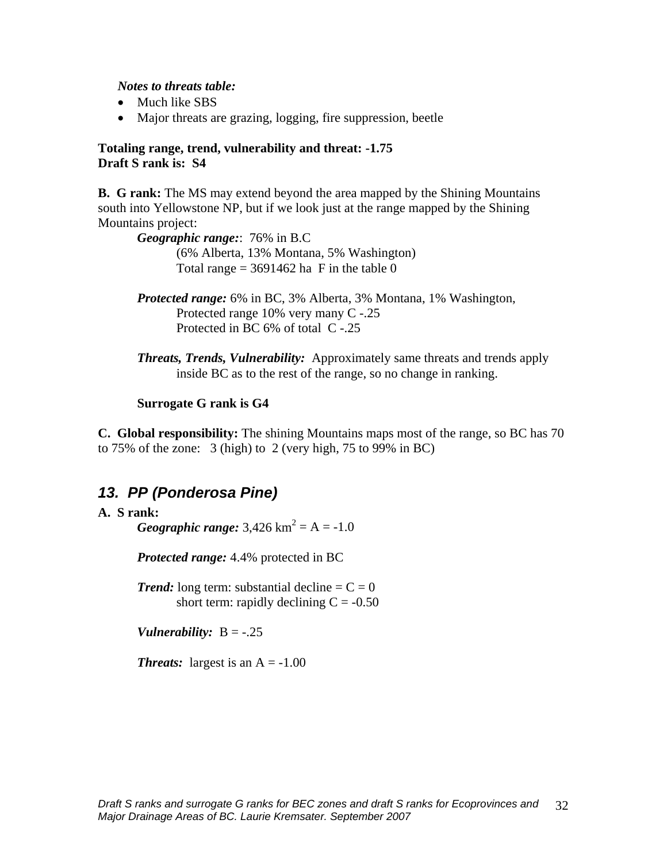#### *Notes to threats table:*

- Much like SBS
- Major threats are grazing, logging, fire suppression, beetle

#### **Totaling range, trend, vulnerability and threat: -1.75 Draft S rank is: S4**

**B. G rank:** The MS may extend beyond the area mapped by the Shining Mountains south into Yellowstone NP, but if we look just at the range mapped by the Shining Mountains project:

*Geographic range:*: 76% in B.C (6% Alberta, 13% Montana, 5% Washington) Total range =  $3691462$  ha F in the table 0

- *Protected range:* 6% in BC, 3% Alberta, 3% Montana, 1% Washington, Protected range 10% very many C -.25 Protected in BC 6% of total C -.25
- *Threats, Trends, Vulnerability:* Approximately same threats and trends apply inside BC as to the rest of the range, so no change in ranking.

**Surrogate G rank is G4** 

**C. Global responsibility:** The shining Mountains maps most of the range, so BC has 70 to 75% of the zone: 3 (high) to2 (very high, 75 to 99% in BC)

### *13. PP (Ponderosa Pine)*

#### **A. S rank:**

*Geographic range:*  $3,426 \text{ km}^2 = \text{A} = -1.0$ 

*Protected range:* 4.4% protected in BC

*Trend:* long term: substantial decline  $= C = 0$ short term: rapidly declining  $C = -0.50$ 

*Vulnerability:*  $B = -.25$ 

**Threats:** largest is an  $A = -1.00$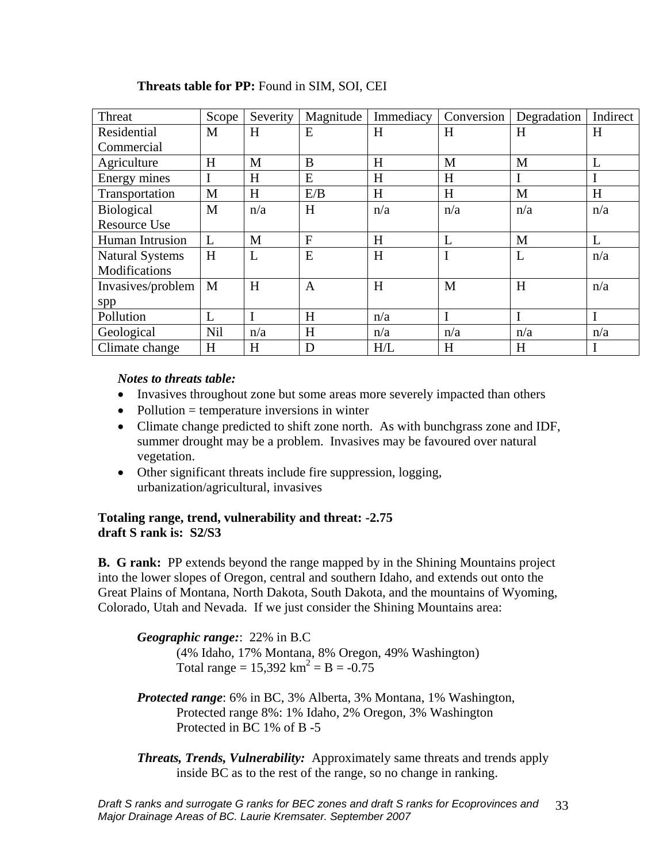| Threat                 | Scope       | Severity | Magnitude    | Immediacy | Conversion | Degradation | Indirect |
|------------------------|-------------|----------|--------------|-----------|------------|-------------|----------|
| Residential            | M           | H        | E            | H         | H          | H           | H        |
| Commercial             |             |          |              |           |            |             |          |
| Agriculture            | H           | M        | B            | H         | M          | M           | L        |
| Energy mines           | $\mathbf I$ | H        | E            | H         | H          | I           | I        |
| Transportation         | M           | H        | E/B          | H         | H          | M           | H        |
| <b>Biological</b>      | M           | n/a      | H            | n/a       | n/a        | n/a         | n/a      |
| <b>Resource Use</b>    |             |          |              |           |            |             |          |
| Human Intrusion        | L           | M        | F            | H         | L          | M           | L        |
| <b>Natural Systems</b> | H           | L        | E            | H         | I          | L           | n/a      |
| Modifications          |             |          |              |           |            |             |          |
| Invasives/problem      | M           | H        | $\mathbf{A}$ | H         | M          | H           | n/a      |
| spp                    |             |          |              |           |            |             |          |
| Pollution              | L           |          | H            | n/a       | I          |             | I        |
| Geological             | Nil         | n/a      | H            | n/a       | n/a        | n/a         | n/a      |
| Climate change         | H           | H        | D            | H/L       | H          | H           | $\bf{I}$ |

#### **Threats table for PP:** Found in SIM, SOI, CEI

#### *Notes to threats table:*

- Invasives throughout zone but some areas more severely impacted than others
- Pollution  $=$  temperature inversions in winter
- Climate change predicted to shift zone north. As with bunchgrass zone and IDF, summer drought may be a problem. Invasives may be favoured over natural vegetation.
- Other significant threats include fire suppression, logging, urbanization/agricultural, invasives

#### **Totaling range, trend, vulnerability and threat: -2.75 draft S rank is: S2/S3**

**B.** G rank: PP extends beyond the range mapped by in the Shining Mountains project into the lower slopes of Oregon, central and southern Idaho, and extends out onto the Great Plains of Montana, North Dakota, South Dakota, and the mountains of Wyoming, Colorado, Utah and Nevada. If we just consider the Shining Mountains area:

*Geographic range:*: 22% in B.C (4% Idaho, 17% Montana, 8% Oregon, 49% Washington) Total range =  $15,392$  km<sup>2</sup> = B = -0.75

- *Protected range*: 6% in BC, 3% Alberta, 3% Montana, 1% Washington, Protected range 8%: 1% Idaho, 2% Oregon, 3% Washington Protected in BC 1% of B -5
- *Threats, Trends, Vulnerability:* Approximately same threats and trends apply inside BC as to the rest of the range, so no change in ranking.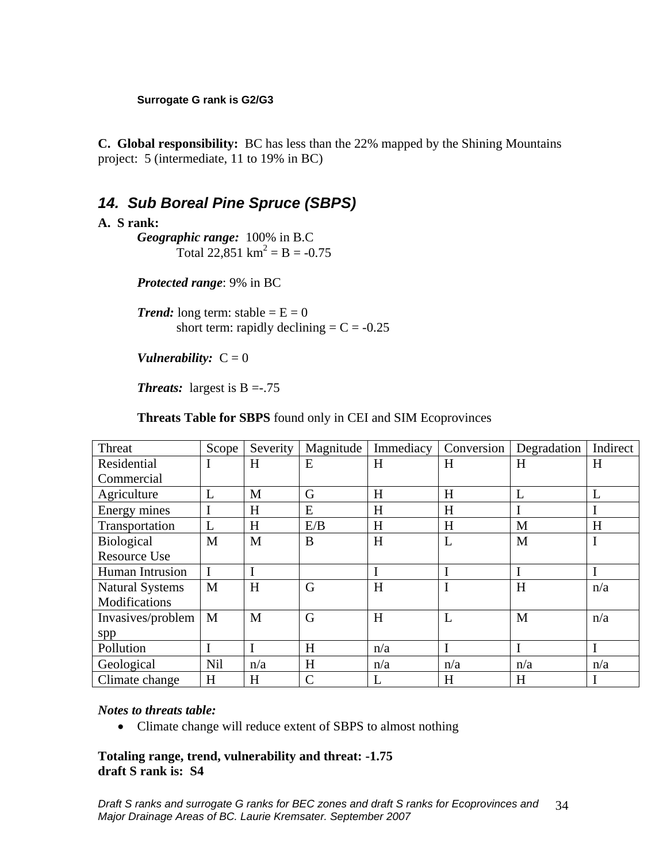**C. Global responsibility:** BC has less than the 22% mapped by the Shining Mountains project: 5 (intermediate, 11 to 19% in BC)

## *14. Sub Boreal Pine Spruce (SBPS)*

#### **A. S rank:**

*Geographic range:* 100% in B.C Total 22,851 km<sup>2</sup> = B = -0.75

*Protected range*: 9% in BC

*Trend:* long term: stable  $= E = 0$ short term: rapidly declining  $= C = -0.25$ 

*Vulnerability:*  $C = 0$ 

**Threats:** largest is  $B = -0.75$ 

**Threats Table for SBPS** found only in CEI and SIM Ecoprovinces

| Threat                 | Scope | Severity  | Magnitude      | Immediacy | Conversion | Degradation | Indirect    |
|------------------------|-------|-----------|----------------|-----------|------------|-------------|-------------|
| Residential            | T     | $H_{\rm}$ | E              | H         | H          | H           | H           |
| Commercial             |       |           |                |           |            |             |             |
| Agriculture            | L     | M         | G              | H         | H          | L           | L           |
| Energy mines           |       | H         | E              | H         | H          | I           | $\mathbf I$ |
| Transportation         | L     | H         | E/B            | H         | H          | M           | H           |
| <b>Biological</b>      | M     | M         | B              | H         | L          | M           | $\bf{I}$    |
| <b>Resource Use</b>    |       |           |                |           |            |             |             |
| Human Intrusion        |       | I         |                |           | I          | I           | I           |
| <b>Natural Systems</b> | M     | H         | G              | H         | I          | H           | n/a         |
| Modifications          |       |           |                |           |            |             |             |
| Invasives/problem      | M     | M         | G              | H         | L          | M           | n/a         |
| spp                    |       |           |                |           |            |             |             |
| Pollution              |       |           | H              | n/a       | I          | I           | I           |
| Geological             | Nil   | n/a       | H              | n/a       | n/a        | n/a         | n/a         |
| Climate change         | H     | H         | $\overline{C}$ | L         | H          | H           | $\mathbf I$ |

#### *Notes to threats table:*

• Climate change will reduce extent of SBPS to almost nothing

#### **Totaling range, trend, vulnerability and threat: -1.75 draft S rank is: S4**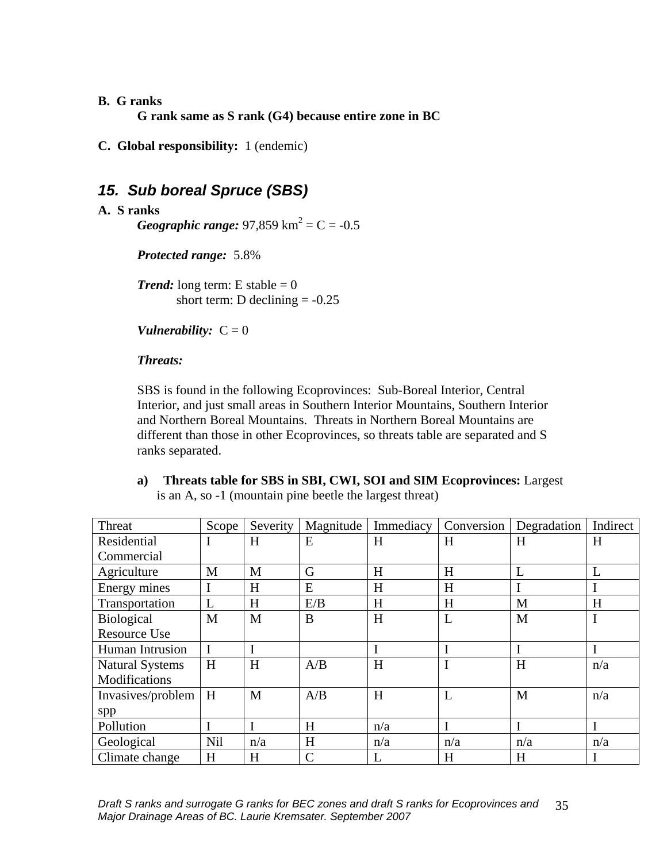#### **B. G ranks**

**G rank same as S rank (G4) because entire zone in BC** 

**C. Global responsibility:** 1 (endemic)

## *15. Sub boreal Spruce (SBS)*

#### **A. S ranks**

*Geographic range:*  $97,859$  km<sup>2</sup> = C = -0.5

*Protected range:* 5.8%

*Trend:* long term: E stable  $= 0$ short term: D declining  $= -0.25$ 

*Vulnerability:*  $C = 0$ 

#### *Threats:*

SBS is found in the following Ecoprovinces: Sub-Boreal Interior, Central Interior, and just small areas in Southern Interior Mountains, Southern Interior and Northern Boreal Mountains. Threats in Northern Boreal Mountains are different than those in other Ecoprovinces, so threats table are separated and S ranks separated.

**a) Threats table for SBS in SBI, CWI, SOI and SIM Ecoprovinces:** Largest is an A, so -1 (mountain pine beetle the largest threat)

| Threat                 | Scope       | Severity | Magnitude     | Immediacy | Conversion | Degradation | Indirect |
|------------------------|-------------|----------|---------------|-----------|------------|-------------|----------|
| Residential            | I           | H        | E             | H         | H          | H           | H        |
| Commercial             |             |          |               |           |            |             |          |
| Agriculture            | M           | M        | G             | H         | H          | L           | L        |
| Energy mines           | I           | H        | E             | H         | H          |             | I        |
| Transportation         | L           | H        | E/B           | H         | H          | M           | H        |
| <b>Biological</b>      | M           | M        | B             | H         | L          | M           | I        |
| <b>Resource Use</b>    |             |          |               |           |            |             |          |
| Human Intrusion        | $\mathbf I$ |          |               |           |            |             | I        |
| <b>Natural Systems</b> | H           | H        | A/B           | H         | I          | H           | n/a      |
| Modifications          |             |          |               |           |            |             |          |
| Invasives/problem      | H           | M        | A/B           | H         | L          | M           | n/a      |
| spp                    |             |          |               |           |            |             |          |
| Pollution              | I           |          | H             | n/a       |            |             | I        |
| Geological             | <b>Nil</b>  | n/a      | H             | n/a       | n/a        | n/a         | n/a      |
| Climate change         | H           | H        | $\mathcal{C}$ | L         | H          | H           | I        |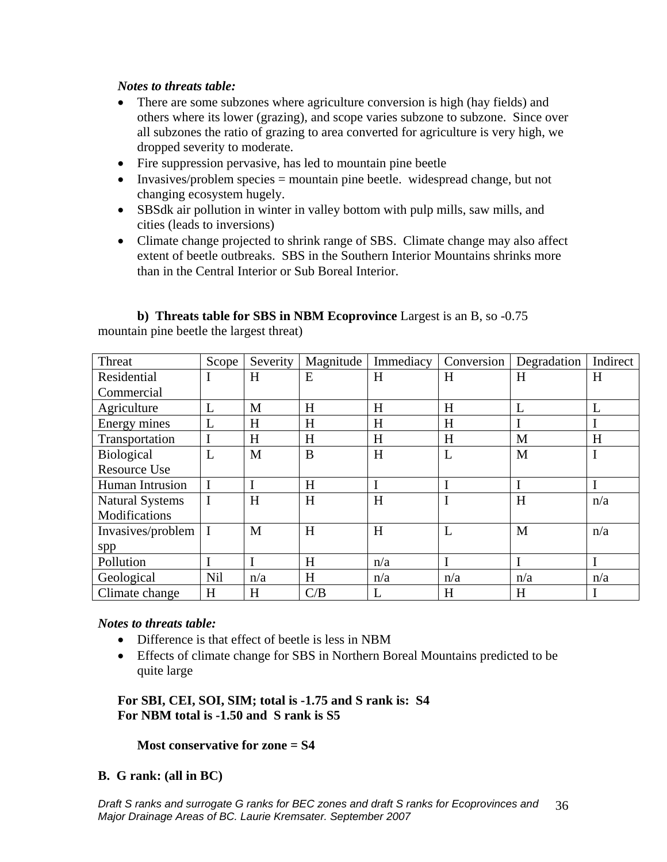#### *Notes to threats table:*

- There are some subzones where agriculture conversion is high (hay fields) and others where its lower (grazing), and scope varies subzone to subzone. Since over all subzones the ratio of grazing to area converted for agriculture is very high, we dropped severity to moderate.
- Fire suppression pervasive, has led to mountain pine beetle
- Invasives/problem species = mountain pine beetle. widespread change, but not changing ecosystem hugely.
- SBSdk air pollution in winter in valley bottom with pulp mills, saw mills, and cities (leads to inversions)
- Climate change projected to shrink range of SBS. Climate change may also affect extent of beetle outbreaks. SBS in the Southern Interior Mountains shrinks more than in the Central Interior or Sub Boreal Interior.

| Threat                 | Scope       | Severity | Magnitude | Immediacy | Conversion | Degradation | Indirect    |
|------------------------|-------------|----------|-----------|-----------|------------|-------------|-------------|
| Residential            | I           | H        | E         | H         | H          | H           | H           |
| Commercial             |             |          |           |           |            |             |             |
| Agriculture            | L           | M        | H         | H         | H          | L           | L           |
| Energy mines           | L           | H        | H         | H         | H          | I           | $\mathbf I$ |
| Transportation         |             | H        | H         | H         | H          | M           | H           |
| <b>Biological</b>      | L           | M        | B         | H         | L          | M           | I           |
| <b>Resource Use</b>    |             |          |           |           |            |             |             |
| Human Intrusion        | I           |          | H         |           | I          | I           | $\mathbf I$ |
| <b>Natural Systems</b> | $\mathbf I$ | H        | H         | H         | I          | H           | n/a         |
| Modifications          |             |          |           |           |            |             |             |
| Invasives/problem      | I           | M        | H         | H         | L          | M           | n/a         |
| spp                    |             |          |           |           |            |             |             |
| Pollution              |             |          | H         | n/a       | I          |             | I           |
| Geological             | Nil         | n/a      | H         | n/a       | n/a        | n/a         | n/a         |
| Climate change         | H           | H        | C/B       | L         | H          | H           | $\mathbf I$ |

**b) Threats table for SBS in NBM Ecoprovince** Largest is an B, so -0.75 mountain pine beetle the largest threat)

#### *Notes to threats table:*

- Difference is that effect of beetle is less in NBM
- Effects of climate change for SBS in Northern Boreal Mountains predicted to be quite large

#### **For SBI, CEI, SOI, SIM; total is -1.75 and S rank is: S4 For NBM total is -1.50 and S rank is S5**

#### **Most conservative for zone = S4**

#### **B. G rank: (all in BC)**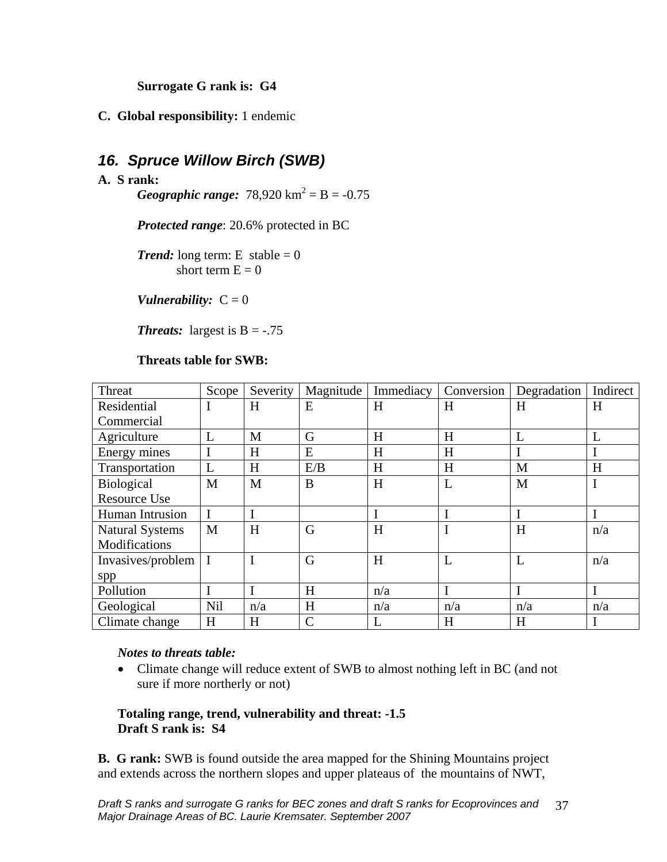#### **Surrogate G rank is: G4**

#### **C. Global responsibility:** 1 endemic

## *16. Spruce Willow Birch (SWB)*

#### **A. S rank:**

*Geographic range:*  $78,920 \text{ km}^2 = B = -0.75$ 

*Protected range*: 20.6% protected in BC

*Trend:* long term: E stable =  $0$ short term  $E = 0$ 

*Vulnerability:*  $C = 0$ 

**Threats:** largest is  $B = -.75$ 

#### **Threats table for SWB:**

| Threat                  | Scope       | Severity | Magnitude     | Immediacy | Conversion | Degradation | Indirect |
|-------------------------|-------------|----------|---------------|-----------|------------|-------------|----------|
| Residential             | I           | H        | E             | H         | H          | H           | H        |
| Commercial              |             |          |               |           |            |             |          |
| Agriculture             | L           | M        | G             | H         | H          | L           | L        |
| Energy mines            |             | H        | E             | H         | H          |             |          |
| Transportation          | L           | H        | E/B           | H         | H          | M           | H        |
| <b>Biological</b>       | M           | M        | B             | H         | L          | M           | I        |
| Resource Use            |             |          |               |           |            |             |          |
| Human Intrusion         | $\mathbf I$ |          |               | I         | I          |             |          |
| <b>Natural Systems</b>  | M           | H        | G             | H         | I          | H           | n/a      |
| Modifications           |             |          |               |           |            |             |          |
| Invasives/problem $ I $ |             |          | G             | H         | L          | L           | n/a      |
| spp                     |             |          |               |           |            |             |          |
| Pollution               | $\mathbf I$ |          | H             | n/a       | I          |             |          |
| Geological              | <b>Nil</b>  | n/a      | H             | n/a       | n/a        | n/a         | n/a      |
| Climate change          | H           | H        | $\mathcal{C}$ |           | H          | H           |          |

#### *Notes to threats table:*

• Climate change will reduce extent of SWB to almost nothing left in BC (and not sure if more northerly or not)

#### **Totaling range, trend, vulnerability and threat: -1.5 Draft S rank is: S4**

**B. G rank:** SWB is found outside the area mapped for the Shining Mountains project and extends across the northern slopes and upper plateaus of the mountains of NWT,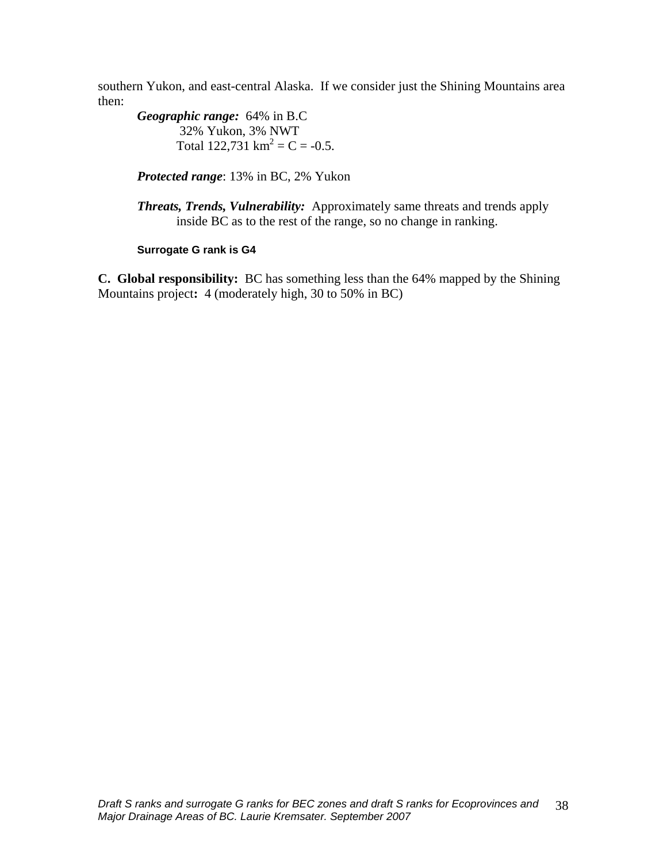southern Yukon, and east-central Alaska. If we consider just the Shining Mountains area then:

*Geographic range:* 64% in B.C 32% Yukon, 3% NWT Total 122,731  $km^2 = C = -0.5$ .

*Protected range*: 13% in BC, 2% Yukon

*Threats, Trends, Vulnerability:* Approximately same threats and trends apply inside BC as to the rest of the range, so no change in ranking.

**Surrogate G rank is G4** 

**C. Global responsibility:** BC has something less than the 64% mapped by the Shining Mountains project**:** 4 (moderately high, 30 to 50% in BC)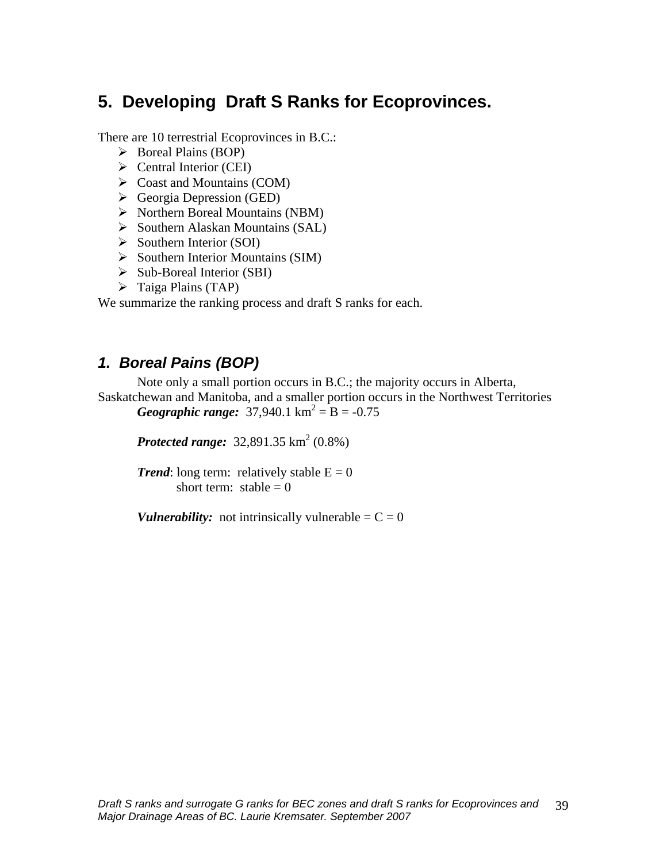## **5. Developing Draft S Ranks for Ecoprovinces.**

There are 10 terrestrial Ecoprovinces in B.C.:

- ¾ Boreal Plains (BOP)
- $\triangleright$  Central Interior (CEI)
- $\triangleright$  Coast and Mountains (COM)
- $\triangleright$  Georgia Depression (GED)
- $\triangleright$  Northern Boreal Mountains (NBM)
- $\triangleright$  Southern Alaskan Mountains (SAL)
- $\triangleright$  Southern Interior (SOI)
- $\triangleright$  Southern Interior Mountains (SIM)
- $\triangleright$  Sub-Boreal Interior (SBI)
- $\triangleright$  Taiga Plains (TAP)

We summarize the ranking process and draft S ranks for each.

## *1. Boreal Pains (BOP)*

Note only a small portion occurs in B.C.; the majority occurs in Alberta, Saskatchewan and Manitoba, and a smaller portion occurs in the Northwest Territories *Geographic range:*  $37,940.1 \text{ km}^2 = B = -0.75$ 

**Protected range:**  $32,891.35 \text{ km}^2 (0.8\%)$ 

*Trend*: long term: relatively stable  $E = 0$ short term: stable  $= 0$ 

*Vulnerability:* not intrinsically vulnerable =  $C = 0$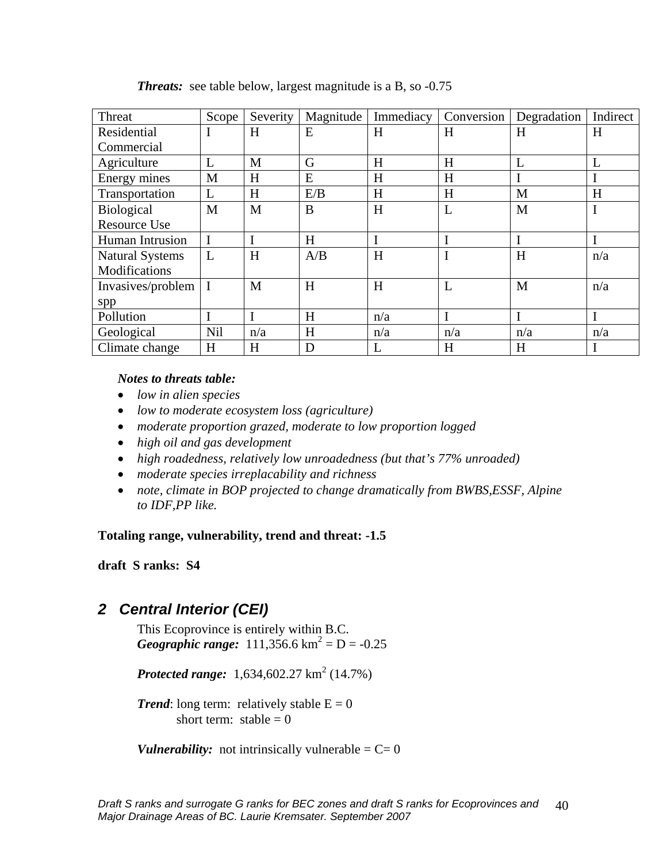| Threat                  | Scope      | Severity | Magnitude | Immediacy | Conversion | Degradation | Indirect |
|-------------------------|------------|----------|-----------|-----------|------------|-------------|----------|
| Residential             | I          | H        | E         | H         | H          | H           | H        |
| Commercial              |            |          |           |           |            |             |          |
| Agriculture             | L          | M        | G         | H         | H          | L           | L        |
| Energy mines            | M          | H        | E         | H         | H          |             |          |
| Transportation          | L          | H        | E/B       | H         | H          | M           | H        |
| Biological              | M          | M        | B         | H         | L          | M           | I        |
| <b>Resource Use</b>     |            |          |           |           |            |             |          |
| Human Intrusion         | I          |          | H         |           |            |             |          |
| <b>Natural Systems</b>  | L          | H        | A/B       | H         | I          | H           | n/a      |
| Modifications           |            |          |           |           |            |             |          |
| Invasives/problem $ I $ |            | M        | H         | H         | L          | M           | n/a      |
| spp                     |            |          |           |           |            |             |          |
| Pollution               |            |          | H         | n/a       |            |             |          |
| Geological              | <b>Nil</b> | n/a      | H         | n/a       | n/a        | n/a         | n/a      |
| Climate change          | H          | H        | D         | L         | H          | H           |          |

**Threats:** see table below, largest magnitude is a B, so -0.75

#### *Notes to threats table:*

- *low in alien species*
- *low to moderate ecosystem loss (agriculture)*
- *moderate proportion grazed, moderate to low proportion logged*
- *high oil and gas development*
- *high roadedness, relatively low unroadedness (but that's 77% unroaded)*
- *moderate species irreplacability and richness*
- *note, climate in BOP projected to change dramatically from BWBS,ESSF, Alpine to IDF,PP like.*

**Totaling range, vulnerability, trend and threat: -1.5** 

**draft S ranks: S4** 

## *2 Central Interior (CEI)*

 This Ecoprovince is entirely within B.C. *Geographic range:*  $111,356.6 \text{ km}^2 = D = -0.25$ 

*Protected range:* 1,634,602.27 km<sup>2</sup> (14.7%)

*Trend*: long term: relatively stable  $E = 0$ short term: stable  $= 0$ 

*Vulnerability:* not intrinsically vulnerable  $= C = 0$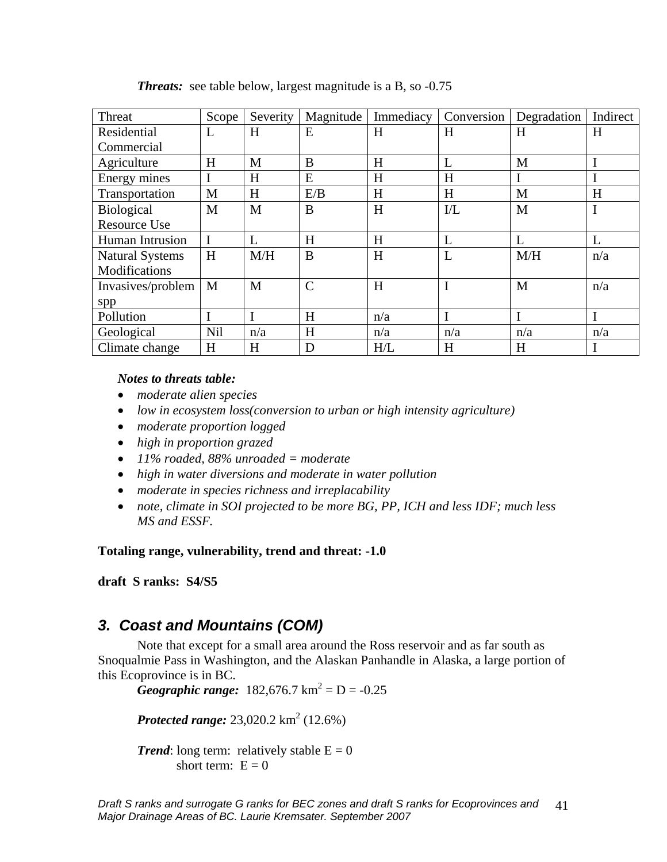| Threat                 | Scope      | Severity | Magnitude     | Immediacy | Conversion            | Degradation | Indirect |
|------------------------|------------|----------|---------------|-----------|-----------------------|-------------|----------|
| Residential            | L          | H        | E             | H         | H                     | H           | H        |
| Commercial             |            |          |               |           |                       |             |          |
| Agriculture            | H          | M        | B             | H         | L                     | M           |          |
| Energy mines           |            | H        | E             | H         | H                     |             |          |
| Transportation         | M          | H        | E/B           | H         | H                     | M           | H        |
| <b>Biological</b>      | M          | M        | B             | H         | $\overline{\text{L}}$ | M           | I        |
| <b>Resource Use</b>    |            |          |               |           |                       |             |          |
| Human Intrusion        | I          | L        | H             | H         | L                     | L           | L        |
| <b>Natural Systems</b> | H          | M/H      | B             | H         | L                     | M/H         | n/a      |
| Modifications          |            |          |               |           |                       |             |          |
| Invasives/problem      | M          | M        | $\mathcal{C}$ | H         |                       | M           | n/a      |
| spp                    |            |          |               |           |                       |             |          |
| Pollution              |            |          | H             | n/a       |                       |             | I        |
| Geological             | <b>Nil</b> | n/a      | H             | n/a       | n/a                   | n/a         | n/a      |
| Climate change         | H          | H        | D             | H/L       | H                     | H           |          |

**Threats:** see table below, largest magnitude is a B, so -0.75

#### *Notes to threats table:*

- *moderate alien species*
- *low in ecosystem loss(conversion to urban or high intensity agriculture)*
- *moderate proportion logged*
- *high in proportion grazed*
- *11% roaded, 88% unroaded = moderate*
- *high in water diversions and moderate in water pollution*
- *moderate in species richness and irreplacability*
- *note, climate in SOI projected to be more BG, PP, ICH and less IDF; much less MS and ESSF.*

**Totaling range, vulnerability, trend and threat: -1.0** 

**draft S ranks: S4/S5** 

## *3. Coast and Mountains (COM)*

 Note that except for a small area around the Ross reservoir and as far south as Snoqualmie Pass in Washington, and the Alaskan Panhandle in Alaska, a large portion of this Ecoprovince is in BC.

```
\hat{G}eographic \ range: 182,676.7 \text{ km}^2 = D = -0.25
```
*Protected range:* 23,020.2 km<sup>2</sup> (12.6%)

*Trend*: long term: relatively stable  $E = 0$ short term:  $E = 0$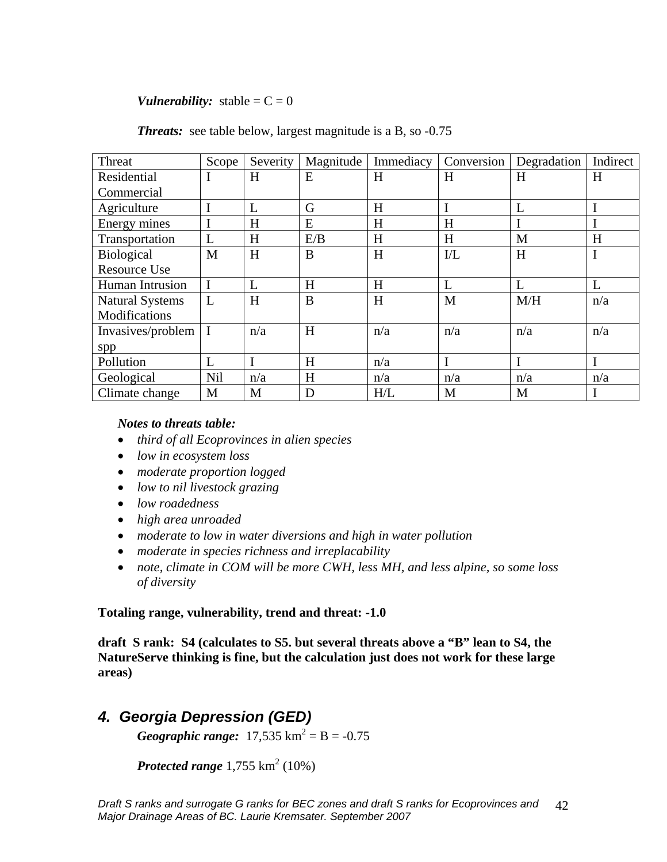#### *Vulnerability:* stable =  $C = 0$

| Threat                  | Scope       | Severity | Magnitude | Immediacy | Conversion            | Degradation | Indirect |
|-------------------------|-------------|----------|-----------|-----------|-----------------------|-------------|----------|
| Residential             | $\bf{I}$    | H        | E         | H         | H                     | H           | H        |
| Commercial              |             |          |           |           |                       |             |          |
| Agriculture             | I           | L        | G         | H         |                       | L           |          |
| Energy mines            | I           | H        | E         | H         | H                     | I           |          |
| Transportation          | L           | H        | E/B       | H         | H                     | M           | H        |
| <b>Biological</b>       | M           | H        | B         | H         | $\overline{\text{L}}$ | H           | I        |
| <b>Resource Use</b>     |             |          |           |           |                       |             |          |
| Human Intrusion         | $\mathbf I$ | L        | H         | H         | L                     | L           | L        |
| <b>Natural Systems</b>  | L           | H        | B         | H         | M                     | M/H         | n/a      |
| Modifications           |             |          |           |           |                       |             |          |
| Invasives/problem $ I $ |             | n/a      | H         | n/a       | n/a                   | n/a         | n/a      |
| spp                     |             |          |           |           |                       |             |          |
| Pollution               | L           | I        | H         | n/a       | I                     | I           |          |
| Geological              | <b>Nil</b>  | n/a      | H         | n/a       | n/a                   | n/a         | n/a      |
| Climate change          | M           | M        | D         | H/L       | M                     | M           |          |

**Threats:** see table below, largest magnitude is a B, so -0.75

#### *Notes to threats table:*

- *third of all Ecoprovinces in alien species*
- *low in ecosystem loss*
- *moderate proportion logged*
- *low to nil livestock grazing*
- *low roadedness*
- *high area unroaded*
- *moderate to low in water diversions and high in water pollution*
- *moderate in species richness and irreplacability*
- *note, climate in COM will be more CWH, less MH, and less alpine, so some loss of diversity*

#### **Totaling range, vulnerability, trend and threat: -1.0**

**draft S rank: S4 (calculates to S5. but several threats above a "B" lean to S4, the NatureServe thinking is fine, but the calculation just does not work for these large areas)** 

## *4. Georgia Depression (GED)*

*Geographic range:*  $17,535 \text{ km}^2 = \text{B} = -0.75$ 

*Protected range*  $1,755$  km<sup>2</sup> (10%)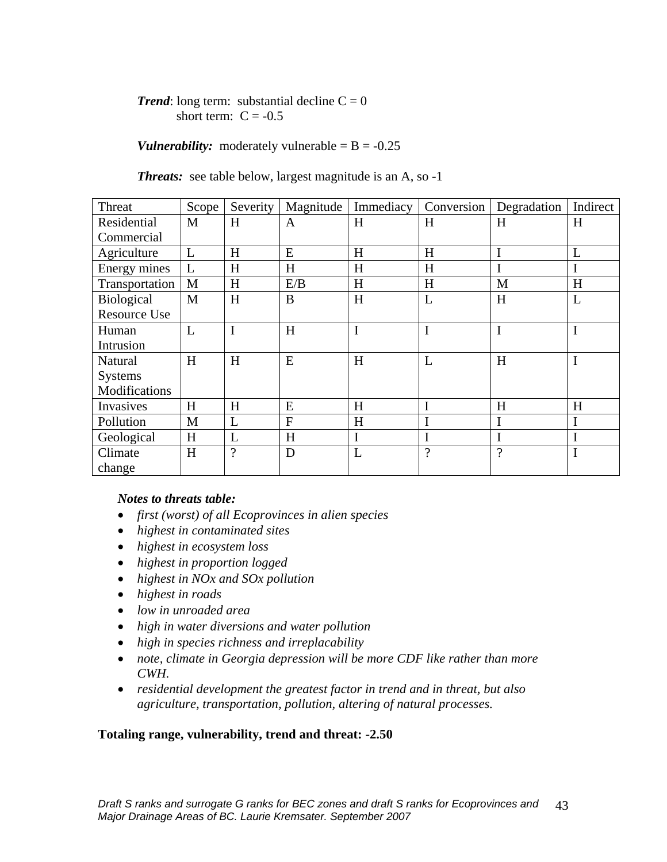*Trend*: long term: substantial decline  $C = 0$ short term:  $C = -0.5$ 

*Vulnerability:* moderately vulnerable =  $B = -0.25$ 

*Threats:* see table below, largest magnitude is an A, so -1

| Threat              | Scope | Severity    | Magnitude      | Immediacy | Conversion  | Degradation | Indirect       |
|---------------------|-------|-------------|----------------|-----------|-------------|-------------|----------------|
| Residential         | M     | H           | A              | H         | H           | H           | H              |
| Commercial          |       |             |                |           |             |             |                |
| Agriculture         | L     | H           | E              | H         | H           |             | L              |
| Energy mines        | L     | H           | H              | H         | H           |             | I              |
| Transportation      | M     | H           | E/B            | H         | H           | M           | H              |
| <b>Biological</b>   | M     | H           | B              | H         | L           | H           | L              |
| <b>Resource Use</b> |       |             |                |           |             |             |                |
| Human               | L     | $\mathbf I$ | H              | I         | $\mathbf I$ | I           | $\overline{I}$ |
| Intrusion           |       |             |                |           |             |             |                |
| Natural             | H     | H           | E              | H         | L           | H           | I              |
| <b>Systems</b>      |       |             |                |           |             |             |                |
| Modifications       |       |             |                |           |             |             |                |
| Invasives           | H     | H           | E              | H         | I           | H           | H              |
| Pollution           | M     | L           | $\overline{F}$ | H         |             |             | I              |
| Geological          | H     | L           | H              |           | I           |             | I              |
| Climate             | H     | $\ddot{?}$  | D              | L         | $\gamma$    | $\gamma$    | I              |
| change              |       |             |                |           |             |             |                |

#### *Notes to threats table:*

- *first (worst) of all Ecoprovinces in alien species*
- *highest in contaminated sites*
- *highest in ecosystem loss*
- *highest in proportion logged*
- *highest in NOx and SOx pollution*
- *highest in roads*
- *low in unroaded area*
- *high in water diversions and water pollution*
- *high in species richness and irreplacability*
- *note, climate in Georgia depression will be more CDF like rather than more CWH.*
- *residential development the greatest factor in trend and in threat, but also agriculture, transportation, pollution, altering of natural processes.*

#### **Totaling range, vulnerability, trend and threat: -2.50**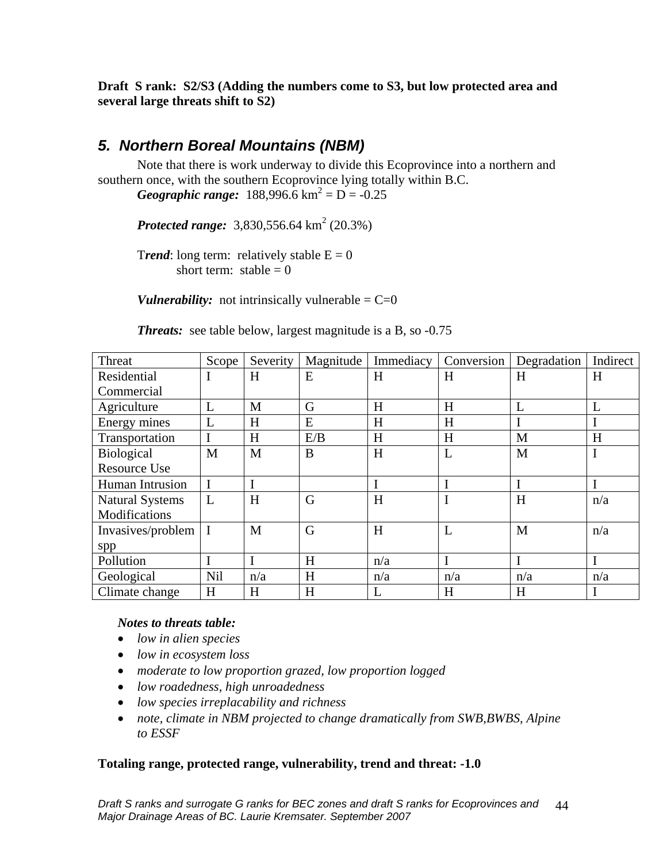**Draft S rank: S2/S3 (Adding the numbers come to S3, but low protected area and several large threats shift to S2)** 

## *5. Northern Boreal Mountains (NBM)*

Note that there is work underway to divide this Ecoprovince into a northern and southern once, with the southern Ecoprovince lying totally within B.C.

*Geographic range:*  $188,996.6 \text{ km}^2 = D = -0.25$ 

**Protected range:**  $3,830,556.64 \text{ km}^2 (20.3\%)$ 

Trend: long term: relatively stable  $E = 0$ short term: stable  $= 0$ 

*Vulnerability:* not intrinsically vulnerable  $= C=0$ 

|  |  | <b>Threats:</b> see table below, largest magnitude is a B, so -0.75 |  |
|--|--|---------------------------------------------------------------------|--|
|--|--|---------------------------------------------------------------------|--|

| Threat                 | Scope       | Severity | Magnitude | Immediacy | Conversion | Degradation | Indirect |
|------------------------|-------------|----------|-----------|-----------|------------|-------------|----------|
| Residential            | I           | H        | E         | H         | H          | H           | H        |
| Commercial             |             |          |           |           |            |             |          |
| Agriculture            | L           | M        | G         | H         | H          | L           | L        |
| Energy mines           | L           | H        | E         | H         | H          |             | $\bf{I}$ |
| Transportation         | I           | H        | E/B       | H         | H          | M           | H        |
| Biological             | M           | M        | B         | H         | L          | M           | $\bf{I}$ |
| <b>Resource Use</b>    |             |          |           |           |            |             |          |
| Human Intrusion        | I           | I        |           | I         | I          |             | I        |
| <b>Natural Systems</b> | L           | H        | G         | H         | Ī          | H           | n/a      |
| Modifications          |             |          |           |           |            |             |          |
| Invasives/problem      | $\mathbf I$ | M        | G         | H         | L          | M           | n/a      |
| spp                    |             |          |           |           |            |             |          |
| Pollution              | I           | I        | H         | n/a       | Ī          | I           | I        |
| Geological             | <b>Nil</b>  | n/a      | H         | n/a       | n/a        | n/a         | n/a      |
| Climate change         | H           | H        | H         | L         | H          | H           | I        |

#### *Notes to threats table:*

- *low in alien species*
- *low in ecosystem loss*
- *moderate to low proportion grazed, low proportion logged*
- *low roadedness, high unroadedness*
- *low species irreplacability and richness*
- *note, climate in NBM projected to change dramatically from SWB,BWBS, Alpine to ESSF*

#### **Totaling range, protected range, vulnerability, trend and threat: -1.0**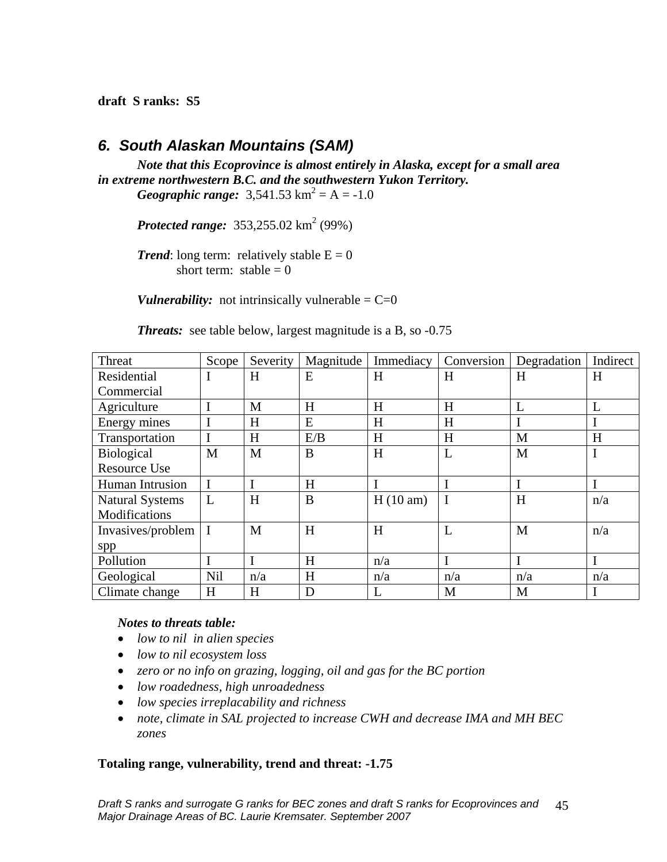**draft S ranks: S5** 

### *6. South Alaskan Mountains (SAM)*

*Note that this Ecoprovince is almost entirely in Alaska, except for a small area in extreme northwestern B.C. and the southwestern Yukon Territory.* 

*Geographic range:*  $3{,}541.53 \text{ km}^2 = \text{A} = -1.0$ 

**Protected range:**  $353,255.02 \text{ km}^2 (99\%)$ 

*Trend*: long term: relatively stable  $E = 0$ short term: stable  $= 0$ 

*Vulnerability:* not intrinsically vulnerable =  $C=0$ 

*Threats:* see table below, largest magnitude is a B, so -0.75

| Threat                  | Scope       | Severity  | Magnitude | Immediacy | Conversion | Degradation | Indirect |
|-------------------------|-------------|-----------|-----------|-----------|------------|-------------|----------|
| Residential             | I           | H         | E         | H         | H          | H           | H        |
| Commercial              |             |           |           |           |            |             |          |
| Agriculture             | I           | M         | H         | H         | H          | L           | L        |
| Energy mines            | I           | $H_{\rm}$ | ${\bf E}$ | H         | H          |             |          |
| Transportation          |             | H         | E/B       | H         | H          | M           | H        |
| Biological              | M           | M         | B         | H         | L          | M           | I        |
| <b>Resource Use</b>     |             |           |           |           |            |             |          |
| Human Intrusion         | $\mathbf I$ |           | H         |           | I          |             |          |
| <b>Natural Systems</b>  | L           | H         | B         | H(10 am)  | I          | H           | n/a      |
| Modifications           |             |           |           |           |            |             |          |
| Invasives/problem $ I $ |             | M         | H         | H         | L          | M           | n/a      |
| spp                     |             |           |           |           |            |             |          |
| Pollution               | I           |           | H         | n/a       | I          |             | I        |
| Geological              | <b>Nil</b>  | n/a       | H         | n/a       | n/a        | n/a         | n/a      |
| Climate change          | H           | H         | D         | L         | M          | M           |          |

#### *Notes to threats table:*

- *low to nil in alien species*
- *low to nil ecosystem loss*
- *zero or no info on grazing, logging, oil and gas for the BC portion*
- *low roadedness, high unroadedness*
- *low species irreplacability and richness*
- *note, climate in SAL projected to increase CWH and decrease IMA and MH BEC zones*

#### **Totaling range, vulnerability, trend and threat: -1.75**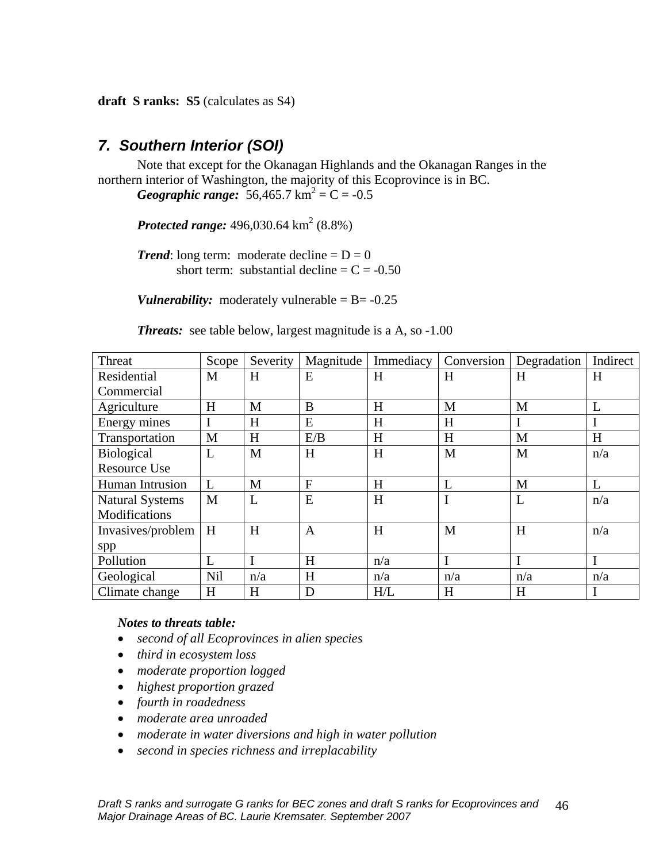**draft S ranks: S5** (calculates as S4)

## *7. Southern Interior (SOI)*

Note that except for the Okanagan Highlands and the Okanagan Ranges in the northern interior of Washington, the majority of this Ecoprovince is in BC.

*Geographic range:* 56,465.7 km<sup>2</sup> =  $C = -0.5$ 

**Protected range:**  $496,030.64 \text{ km}^2 (8.8\%)$ 

*Trend*: long term: moderate decline  $= D = 0$ short term: substantial decline  $= C = -0.50$ 

*Vulnerability:* moderately vulnerable  $=$  B $=$  -0.25

| <b>Threats:</b> see table below, largest magnitude is a A, so -1.00 |  |  |  |
|---------------------------------------------------------------------|--|--|--|
|---------------------------------------------------------------------|--|--|--|

| Threat                 | Scope      | Severity | Magnitude      | Immediacy | Conversion | Degradation | Indirect |
|------------------------|------------|----------|----------------|-----------|------------|-------------|----------|
| Residential            | M          | H        | E              | H         | H          | H           | H        |
| Commercial             |            |          |                |           |            |             |          |
| Agriculture            | H          | M        | B              | H         | M          | M           | L        |
| Energy mines           |            | H        | E              | H         | H          | I           | $\bf{I}$ |
| Transportation         | M          | H        | E/B            | H         | H          | M           | H        |
| Biological             | L          | M        | H              | H         | M          | M           | n/a      |
| Resource Use           |            |          |                |           |            |             |          |
| Human Intrusion        | L          | M        | $\mathbf{F}$   | H         | L          | M           | L        |
| <b>Natural Systems</b> | M          | L        | E              | H         | I          | L           | n/a      |
| Modifications          |            |          |                |           |            |             |          |
| Invasives/problem      | H          | H        | $\overline{A}$ | H         | M          | H           | n/a      |
| spp                    |            |          |                |           |            |             |          |
| Pollution              | L          |          | H              | n/a       | Ī          | I           | I        |
| Geological             | <b>Nil</b> | n/a      | H              | n/a       | n/a        | n/a         | n/a      |
| Climate change         | H          | H        | D              | H/L       | H          | H           | I        |

- *second of all Ecoprovinces in alien species*
- *third in ecosystem loss*
- *moderate proportion logged*
- *highest proportion grazed*
- *fourth in roadedness*
- *moderate area unroaded*
- *moderate in water diversions and high in water pollution*
- *second in species richness and irreplacability*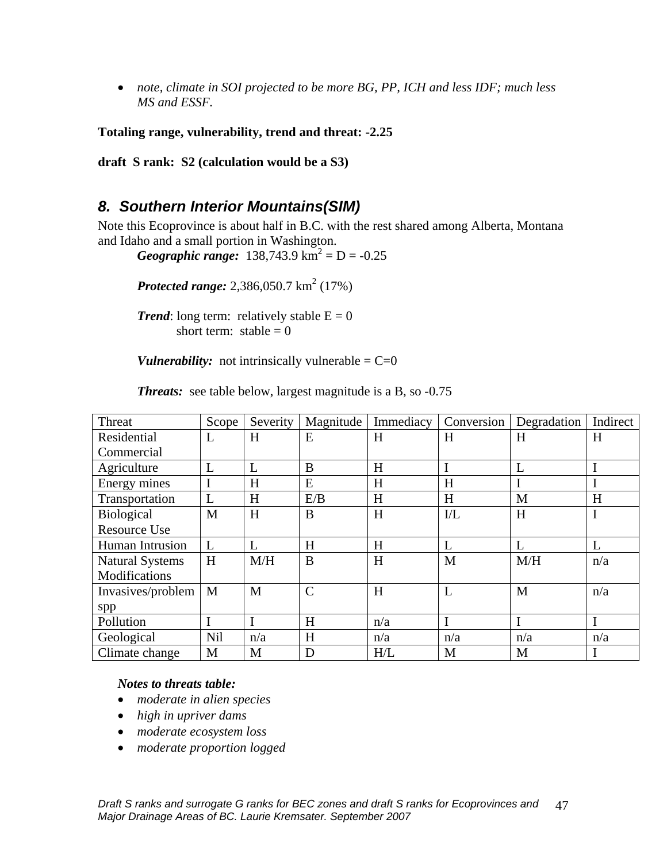• *note, climate in SOI projected to be more BG, PP, ICH and less IDF; much less MS and ESSF.* 

**Totaling range, vulnerability, trend and threat: -2.25** 

**draft S rank: S2 (calculation would be a S3)** 

### *8. Southern Interior Mountains(SIM)*

Note this Ecoprovince is about half in B.C. with the rest shared among Alberta, Montana and Idaho and a small portion in Washington.

*Geographic range:*  $138,743.9 \text{ km}^2 = D = -0.25$ 

**Protected range:** 2,386,050.7  $km^2(17\%)$ 

*Trend*: long term: relatively stable  $E = 0$ short term: stable  $= 0$ 

*Vulnerability:* not intrinsically vulnerable  $= C=0$ 

**Threats:** see table below, largest magnitude is a B, so -0.75

| Threat                 | Scope       | Severity | Magnitude     | Immediacy | Conversion | Degradation | Indirect |
|------------------------|-------------|----------|---------------|-----------|------------|-------------|----------|
| Residential            | L           | H        | E             | H         | H          | H           | H        |
| Commercial             |             |          |               |           |            |             |          |
| Agriculture            | L           | L        | B             | H         | I          | L           |          |
| Energy mines           |             | H        | E             | H         | H          |             |          |
| Transportation         | L           | H        | E/B           | H         | H          | M           | H        |
| Biological             | M           | H        | B             | H         | I/L        | H           | I        |
| <b>Resource Use</b>    |             |          |               |           |            |             |          |
| Human Intrusion        | L           | L        | H             | H         | L          | L           | L        |
| <b>Natural Systems</b> | H           | M/H      | B             | H         | M          | M/H         | n/a      |
| Modifications          |             |          |               |           |            |             |          |
| Invasives/problem      | M           | M        | $\mathcal{C}$ | H         | L          | M           | n/a      |
| spp                    |             |          |               |           |            |             |          |
| Pollution              | $\mathbf I$ |          | H             | n/a       | I          |             |          |
| Geological             | Nil         | n/a      | H             | n/a       | n/a        | n/a         | n/a      |
| Climate change         | M           | M        | D             | H/L       | M          | M           |          |

- *moderate in alien species*
- *high in upriver dams*
- *moderate ecosystem loss*
- *moderate proportion logged*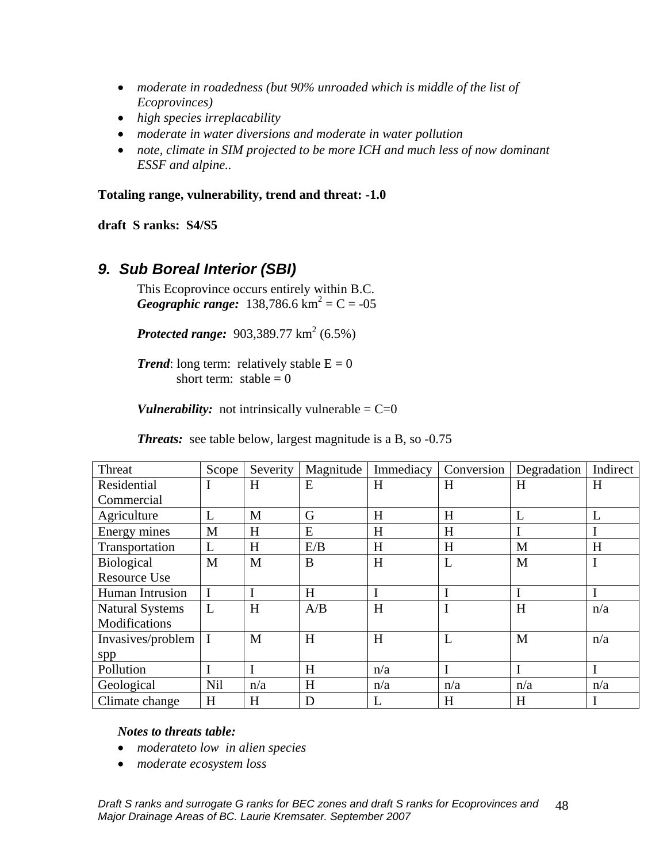- *moderate in roadedness (but 90% unroaded which is middle of the list of Ecoprovinces)*
- *high species irreplacability*
- *moderate in water diversions and moderate in water pollution*
- *note, climate in SIM projected to be more ICH and much less of now dominant ESSF and alpine..*

**draft S ranks: S4/S5** 

## *9. Sub Boreal Interior (SBI)*

This Ecoprovince occurs entirely within B.C. *Geographic range:* 138,786.6  $km^2 = C = -05$ 

**Protected range:**  $903,389.77 \text{ km}^2 (6.5\%)$ 

*Trend*: long term: relatively stable  $E = 0$ short term: stable  $= 0$ 

*Vulnerability:* not intrinsically vulnerable  $= C=0$ 

|  |  |  | <b>Threats:</b> see table below, largest magnitude is a B, so -0.75 |
|--|--|--|---------------------------------------------------------------------|
|--|--|--|---------------------------------------------------------------------|

| Threat                 | Scope        | Severity  | Magnitude | Immediacy | Conversion | Degradation | Indirect    |
|------------------------|--------------|-----------|-----------|-----------|------------|-------------|-------------|
| Residential            | I            | $H_{\rm}$ | E         | H         | H          | H           | H           |
| Commercial             |              |           |           |           |            |             |             |
| Agriculture            | L            | M         | G         | H         | H          | L           | L           |
| Energy mines           | M            | H         | E         | H         | H          | $\mathbf I$ | I           |
| Transportation         | L            | H         | E/B       | H         | H          | M           | H           |
| <b>Biological</b>      | M            | M         | B         | H         | L          | M           | I           |
| Resource Use           |              |           |           |           |            |             |             |
| Human Intrusion        | $\mathbf I$  |           | H         | I         | I          | I           | I           |
| <b>Natural Systems</b> | L            | H         | A/B       | H         | I          | H           | n/a         |
| Modifications          |              |           |           |           |            |             |             |
| Invasives/problem      | $\mathbf{I}$ | M         | H         | H         | L          | M           | n/a         |
| spp                    |              |           |           |           |            |             |             |
| Pollution              | $\mathbf I$  |           | H         | n/a       | I          | I           | I           |
| Geological             | <b>Nil</b>   | n/a       | H         | n/a       | n/a        | n/a         | n/a         |
| Climate change         | H            | H         | D         |           | H          | H           | $\mathbf I$ |

- *moderateto low in alien species*
- *moderate ecosystem loss*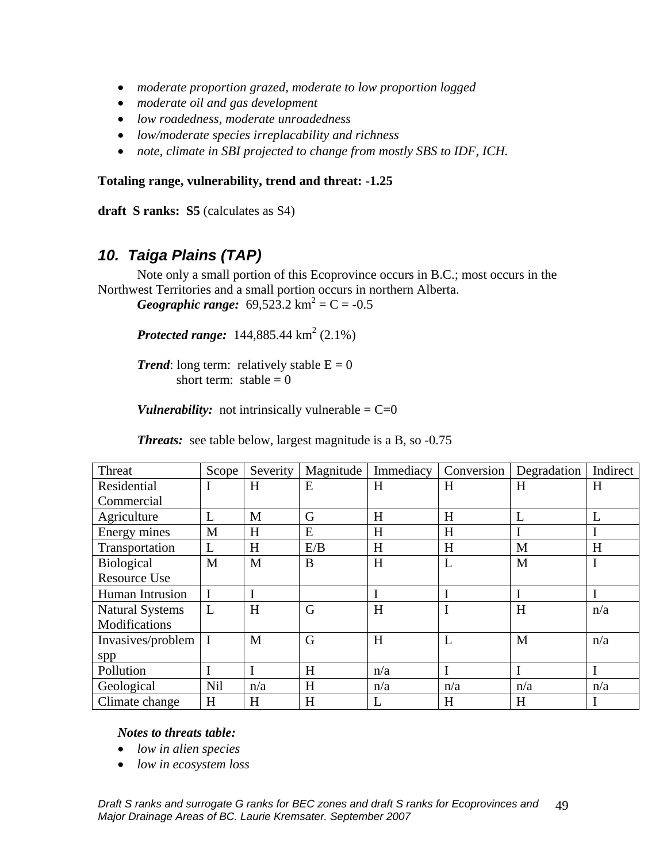- *moderate proportion grazed, moderate to low proportion logged*
- *moderate oil and gas development*
- *low roadedness, moderate unroadedness*
- *low/moderate species irreplacability and richness*
- *note, climate in SBI projected to change from mostly SBS to IDF, ICH.*

**draft S ranks: S5** (calculates as S4)

### *10. Taiga Plains (TAP)*

Note only a small portion of this Ecoprovince occurs in B.C.; most occurs in the Northwest Territories and a small portion occurs in northern Alberta.

*Geographic range:*  $69,523.2 \text{ km}^2 = C = -0.5$ 

**Protected range:**  $144,885.44 \text{ km}^2 (2.1\%)$ 

*Trend*: long term: relatively stable  $E = 0$ short term: stable  $= 0$ 

*Vulnerability:* not intrinsically vulnerable =  $C=0$ 

|  |  |  | <b>Threats:</b> see table below, largest magnitude is a B, so -0.75 |
|--|--|--|---------------------------------------------------------------------|
|--|--|--|---------------------------------------------------------------------|

| Threat                 | Scope        | Severity  | Magnitude | Immediacy | Conversion | Degradation | Indirect |
|------------------------|--------------|-----------|-----------|-----------|------------|-------------|----------|
| Residential            | 1            | $H_{\rm}$ | E         | H         | H          | H           | H        |
| Commercial             |              |           |           |           |            |             |          |
| Agriculture            | L            | M         | G         | H         | H          | L           | L        |
| Energy mines           | M            | H         | E         | H         | H          | I           | I        |
| Transportation         | L            | H         | E/B       | H         | H          | M           | H        |
| <b>Biological</b>      | M            | M         | B         | H         | L          | M           | I        |
| <b>Resource Use</b>    |              |           |           |           |            |             |          |
| Human Intrusion        | I            |           |           |           | I          | I           |          |
| <b>Natural Systems</b> | L            | H         | G         | H         | I          | H           | n/a      |
| Modifications          |              |           |           |           |            |             |          |
| Invasives/problem      | $\mathbf{I}$ | M         | G         | H         | L          | M           | n/a      |
| spp                    |              |           |           |           |            |             |          |
| Pollution              |              |           | H         | n/a       |            |             |          |
| Geological             | Nil          | n/a       | H         | n/a       | n/a        | n/a         | n/a      |
| Climate change         | H            | H         | H         | L         | H          | H           | I        |

- *low in alien species*
- *low in ecosystem loss*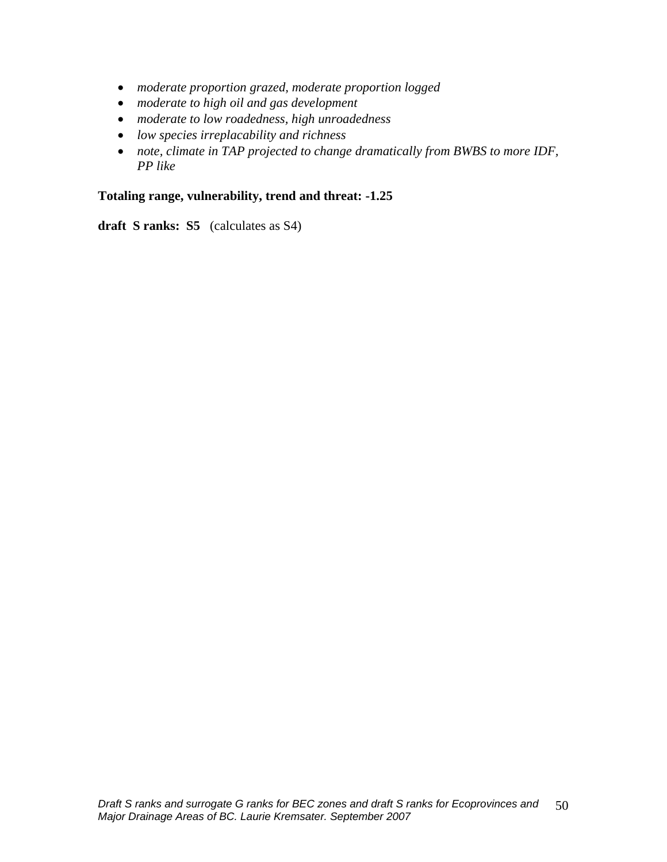- *moderate proportion grazed, moderate proportion logged*
- *moderate to high oil and gas development*
- *moderate to low roadedness, high unroadedness*
- *low species irreplacability and richness*
- *note, climate in TAP projected to change dramatically from BWBS to more IDF, PP like*

**draft S ranks: S5** (calculates as S4)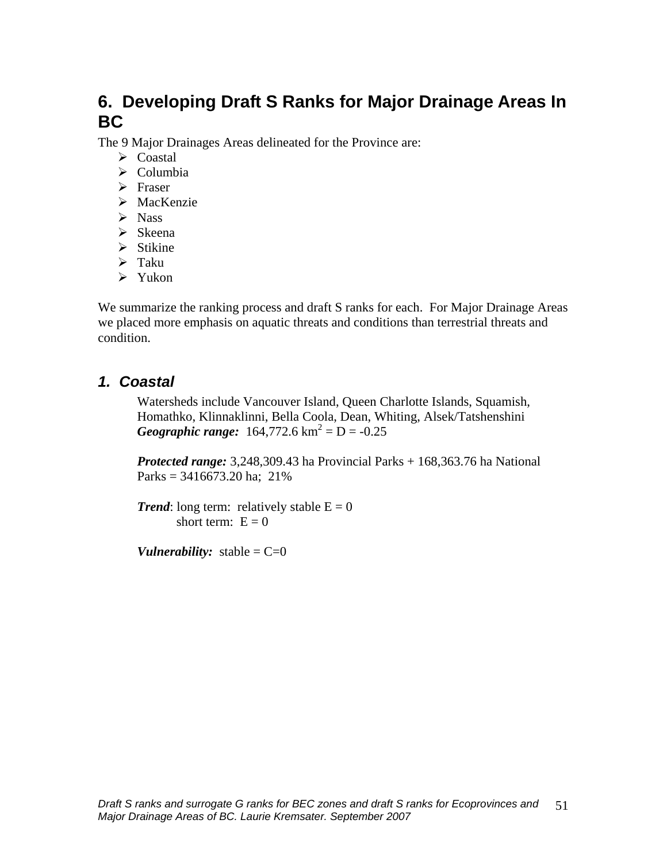## **6. Developing Draft S Ranks for Major Drainage Areas In BC**

The 9 Major Drainages Areas delineated for the Province are:

- $\triangleright$  Coastal
- $\triangleright$  Columbia
- $\triangleright$  Fraser
- $\triangleright$  MacKenzie
- $\triangleright$  Nass
- $\triangleright$  Skeena
- $\triangleright$  Stikine
- $\triangleright$  Taku
- $\triangleright$  Yukon

We summarize the ranking process and draft S ranks for each. For Major Drainage Areas we placed more emphasis on aquatic threats and conditions than terrestrial threats and condition.

## *1. Coastal*

Watersheds include Vancouver Island, Queen Charlotte Islands, Squamish, Homathko, Klinnaklinni, Bella Coola, Dean, Whiting, Alsek/Tatshenshini *Geographic range:*  $164,772.6 \text{ km}^2 = D = -0.25$ 

*Protected range:* 3,248,309.43 ha Provincial Parks + 168,363.76 ha National Parks =  $3416673.20$  ha;  $21\%$ 

*Trend*: long term: relatively stable  $E = 0$ short term:  $E = 0$ 

*Vulnerability:* stable =  $C=0$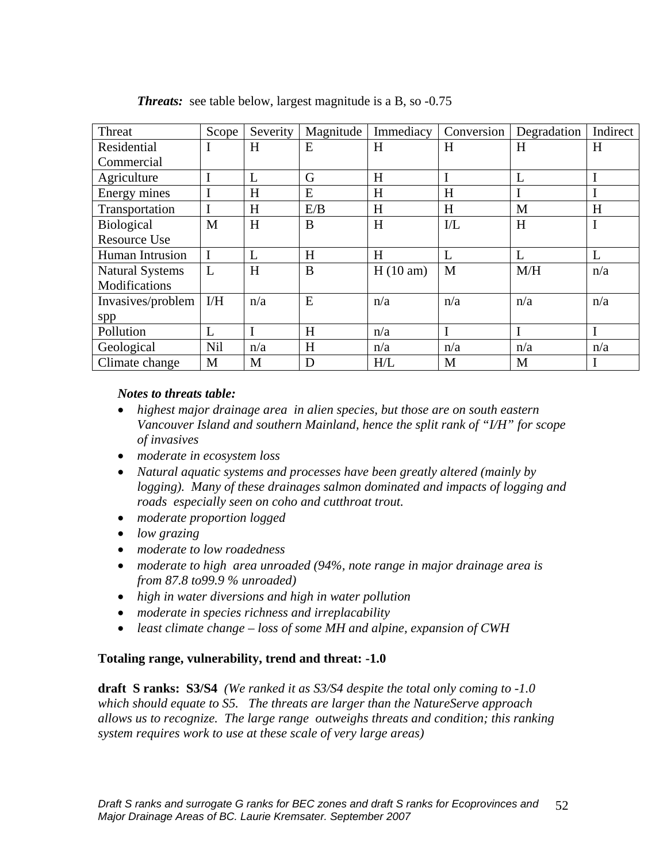| Threat                 | Scope       | Severity | Magnitude | Immediacy | Conversion | Degradation | Indirect |
|------------------------|-------------|----------|-----------|-----------|------------|-------------|----------|
| Residential            | I           | H        | E         | H         | H          | H           | H        |
| Commercial             |             |          |           |           |            |             |          |
| Agriculture            | I           | L        | G         | H         | I          | L           | I        |
| Energy mines           | I           | H        | E         | H         | H          | I           | I        |
| Transportation         | I           | H        | E/B       | H         | H          | M           | H        |
| <b>Biological</b>      | M           | H        | B         | H         | I/L        | H           | I        |
| <b>Resource Use</b>    |             |          |           |           |            |             |          |
| Human Intrusion        | $\mathbf I$ | L        | H         | H         | L          | L           | L        |
| <b>Natural Systems</b> | L           | H        | $\bf{B}$  | H(10 am)  | M          | M/H         | n/a      |
| Modifications          |             |          |           |           |            |             |          |
| Invasives/problem      | I/H         | n/a      | E         | n/a       | n/a        | n/a         | n/a      |
| spp                    |             |          |           |           |            |             |          |
| Pollution              | L           |          | H         | n/a       | I          | I           |          |
| Geological             | Nil         | n/a      | H         | n/a       | n/a        | n/a         | n/a      |
| Climate change         | M           | M        | D         | H/L       | M          | M           | $\bf{I}$ |

**Threats:** see table below, largest magnitude is a B, so -0.75

#### *Notes to threats table:*

- *highest major drainage area in alien species, but those are on south eastern Vancouver Island and southern Mainland, hence the split rank of "I/H" for scope of invasives*
- *moderate in ecosystem loss*
- *Natural aquatic systems and processes have been greatly altered (mainly by logging). Many of these drainages salmon dominated and impacts of logging and roads especially seen on coho and cutthroat trout.*
- *moderate proportion logged*
- *low grazing*
- *moderate to low roadedness*
- *moderate to high area unroaded (94%, note range in major drainage area is from 87.8 to99.9 % unroaded)*
- *high in water diversions and high in water pollution*
- *moderate in species richness and irreplacability*
- *least climate change loss of some MH and alpine, expansion of CWH*

#### **Totaling range, vulnerability, trend and threat: -1.0**

**draft S ranks: S3/S4** *(We ranked it as S3/S4 despite the total only coming to -1.0 which should equate to S5. The threats are larger than the NatureServe approach allows us to recognize. The large range outweighs threats and condition; this ranking system requires work to use at these scale of very large areas)*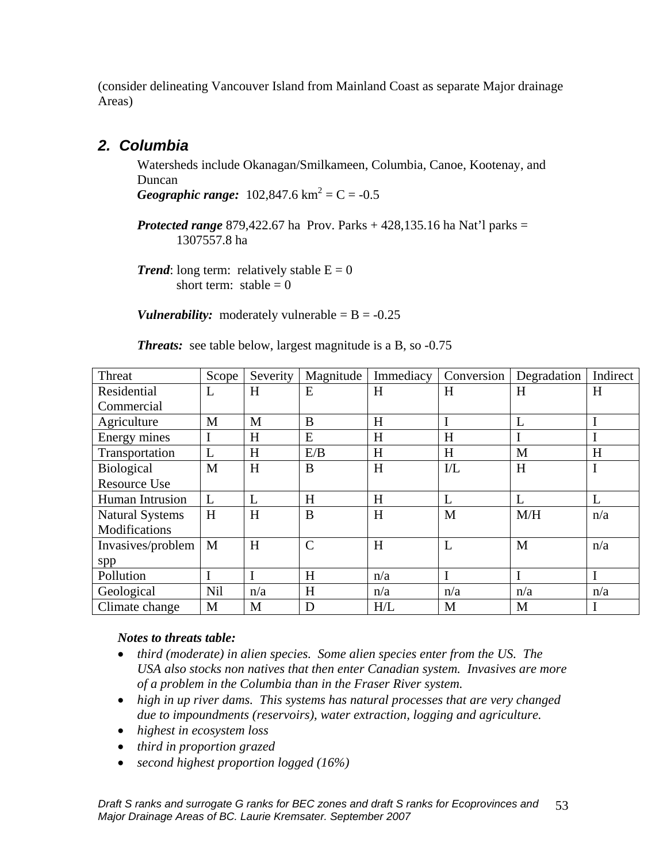(consider delineating Vancouver Island from Mainland Coast as separate Major drainage Areas)

## *2. Columbia*

Watersheds include Okanagan/Smilkameen, Columbia, Canoe, Kootenay, and Duncan

*Geographic range:*  $102,847.6 \text{ km}^2 = C = -0.5$ 

*Protected range* 879,422.67 ha Prov. Parks + 428,135.16 ha Nat'l parks = 1307557.8 ha

*Trend*: long term: relatively stable  $E = 0$ short term: stable  $= 0$ 

*Vulnerability:* moderately vulnerable =  $B = -0.25$ 

| Threat                 | Scope | Severity | Magnitude     | Immediacy | Conversion | Degradation | Indirect |
|------------------------|-------|----------|---------------|-----------|------------|-------------|----------|
| Residential            | L     | H        | E             | H         | H          | H           | H        |
| Commercial             |       |          |               |           |            |             |          |
| Agriculture            | M     | M        | B             | H         | I          | L           |          |
| Energy mines           |       | H        | E             | H         | H          |             |          |
| Transportation         | L     | H        | E/B           | H         | H          | M           | H        |
| Biological             | M     | H        | B             | H         | I/L        | H           |          |
| <b>Resource Use</b>    |       |          |               |           |            |             |          |
| <b>Human Intrusion</b> | L     | L        | H             | H         | L          | L           | L        |
| <b>Natural Systems</b> | H     | H        | B             | H         | M          | M/H         | n/a      |
| Modifications          |       |          |               |           |            |             |          |
| Invasives/problem      | M     | H        | $\mathcal{C}$ | H         | L          | M           | n/a      |
| spp                    |       |          |               |           |            |             |          |
| Pollution              |       | I        | H             | n/a       | I          |             |          |
| Geological             | Nil   | n/a      | H             | n/a       | n/a        | n/a         | n/a      |
| Climate change         | M     | M        | D             | H/L       | M          | M           |          |

**Threats:** see table below, largest magnitude is a B, so -0.75

- *third (moderate) in alien species. Some alien species enter from the US. The USA also stocks non natives that then enter Canadian system. Invasives are more of a problem in the Columbia than in the Fraser River system.*
- *high in up river dams. This systems has natural processes that are very changed due to impoundments (reservoirs), water extraction, logging and agriculture.*
- *highest in ecosystem loss*
- *third in proportion grazed*
- *second highest proportion logged (16%)*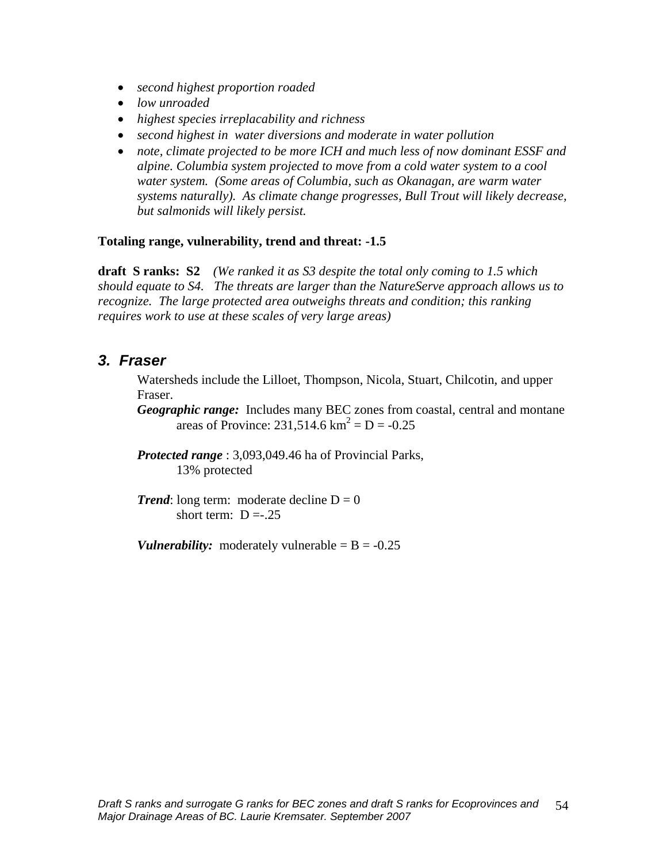- *second highest proportion roaded*
- *low unroaded*
- *highest species irreplacability and richness*
- *second highest in water diversions and moderate in water pollution*
- *note, climate projected to be more ICH and much less of now dominant ESSF and alpine. Columbia system projected to move from a cold water system to a cool water system. (Some areas of Columbia, such as Okanagan, are warm water systems naturally). As climate change progresses, Bull Trout will likely decrease, but salmonids will likely persist.*

**draft S ranks: S2** *(We ranked it as S3 despite the total only coming to 1.5 which should equate to S4. The threats are larger than the NatureServe approach allows us to recognize. The large protected area outweighs threats and condition; this ranking requires work to use at these scales of very large areas)* 

### *3. Fraser*

Watersheds include the Lilloet, Thompson, Nicola, Stuart, Chilcotin, and upper Fraser.

*Geographic range:* Includes many BEC zones from coastal, central and montane areas of Province: 231,514.6  $\text{km}^2 = \text{D} = -0.25$ 

*Protected range* : 3,093,049.46 ha of Provincial Parks, 13% protected

*Trend*: long term: moderate decline  $D = 0$ short term:  $D = -0.25$ 

*Vulnerability:* moderately vulnerable  $=$  B  $=$  -0.25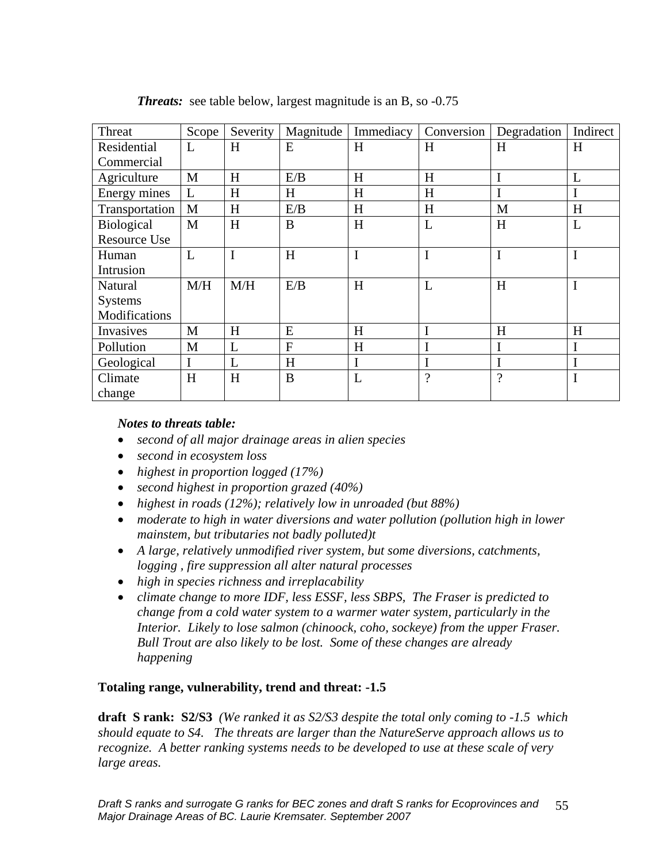| Threat              | Scope | Severity    | Magnitude   | Immediacy | Conversion | Degradation    | Indirect |
|---------------------|-------|-------------|-------------|-----------|------------|----------------|----------|
| Residential         | L     | H           | E           | H         | H          | H              | H        |
| Commercial          |       |             |             |           |            |                |          |
| Agriculture         | M     | H           | E/B         | H         | H          | I              | L        |
| Energy mines        | L     | H           | H           | H         | H          |                | I        |
| Transportation      | M     | H           | E/B         | H         | H          | M              | H        |
| <b>Biological</b>   | M     | H           | B           | H         | L          | H              | L        |
| <b>Resource Use</b> |       |             |             |           |            |                |          |
| Human               | L     | $\mathbf I$ | H           | I         | I          | I              | I        |
| Intrusion           |       |             |             |           |            |                |          |
| Natural             | M/H   | M/H         | E/B         | H         | L          | H              | I        |
| <b>Systems</b>      |       |             |             |           |            |                |          |
| Modifications       |       |             |             |           |            |                |          |
| Invasives           | M     | H           | E           | H         |            | H              | H        |
| Pollution           | M     | L           | $\mathbf F$ | H         |            | I              | I        |
| Geological          |       | L           | H           |           |            |                | I        |
| Climate             | H     | H           | B           | L         | $\gamma$   | $\overline{?}$ | I        |
| change              |       |             |             |           |            |                |          |

**Threats:** see table below, largest magnitude is an B, so -0.75

#### *Notes to threats table:*

- *second of all major drainage areas in alien species*
- *second in ecosystem loss*
- *highest in proportion logged (17%)*
- *second highest in proportion grazed (40%)*
- *highest in roads (12%); relatively low in unroaded (but 88%)*
- *moderate to high in water diversions and water pollution (pollution high in lower mainstem, but tributaries not badly polluted)t*
- *A large, relatively unmodified river system, but some diversions, catchments, logging , fire suppression all alter natural processes*
- *high in species richness and irreplacability*
- *climate change to more IDF, less ESSF, less SBPS, The Fraser is predicted to change from a cold water system to a warmer water system, particularly in the Interior. Likely to lose salmon (chinoock, coho, sockeye) from the upper Fraser. Bull Trout are also likely to be lost. Some of these changes are already happening*

#### **Totaling range, vulnerability, trend and threat: -1.5**

**draft S rank: S2/S3** *(We ranked it as S2/S3 despite the total only coming to -1.5 which should equate to S4. The threats are larger than the NatureServe approach allows us to recognize. A better ranking systems needs to be developed to use at these scale of very large areas.*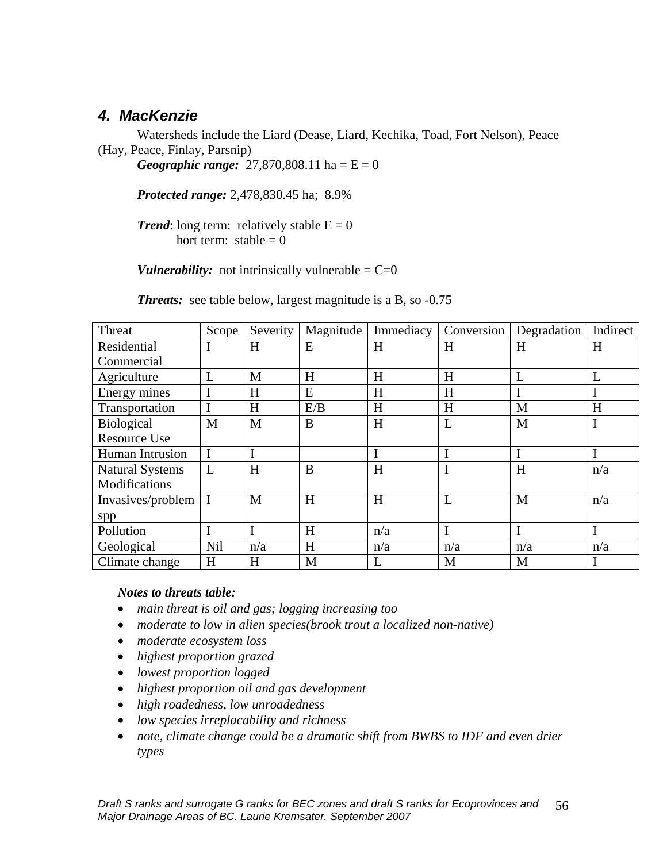### *4. MacKenzie*

 Watersheds include the Liard (Dease, Liard, Kechika, Toad, Fort Nelson), Peace (Hay, Peace, Finlay, Parsnip)

*Geographic range:* 27,870,808.11 ha =  $E = 0$ 

*Protected range:* 2,478,830.45 ha; 8.9%

*Trend*: long term: relatively stable  $E = 0$ hort term: stable  $= 0$ 

*Vulnerability:* not intrinsically vulnerable  $= C=0$ 

*Threats:* see table below, largest magnitude is a B, so -0.75

| Threat                  | Scope       | Severity | Magnitude | Immediacy | Conversion | Degradation | Indirect |
|-------------------------|-------------|----------|-----------|-----------|------------|-------------|----------|
| Residential             | $\bf{I}$    | H        | E         | H         | H          | H           | H        |
| Commercial              |             |          |           |           |            |             |          |
| Agriculture             | L           | M        | H         | H         | H          | L           |          |
| Energy mines            | I           | H        | E         | H         | H          | I           |          |
| Transportation          | I           | H        | E/B       | H         | H          | M           | H        |
| Biological              | M           | M        | B         | H         | L          | M           |          |
| <b>Resource Use</b>     |             |          |           |           |            |             |          |
| Human Intrusion         | $\mathbf I$ |          |           |           | I          | I           |          |
| <b>Natural Systems</b>  | L           | H        | B         | H         | $\bf{I}$   | H           | n/a      |
| Modifications           |             |          |           |           |            |             |          |
| Invasives/problem $ I $ |             | M        | H         | H         | L          | M           | n/a      |
| spp                     |             |          |           |           |            |             |          |
| Pollution               |             | I        | H         | n/a       | I          | I           |          |
| Geological              | <b>Nil</b>  | n/a      | H         | n/a       | n/a        | n/a         | n/a      |
| Climate change          | H           | H        | M         | L         | M          | M           |          |

- *main threat is oil and gas; logging increasing too*
- *moderate to low in alien species(brook trout a localized non-native)*
- *moderate ecosystem loss*
- *highest proportion grazed*
- *lowest proportion logged*
- *highest proportion oil and gas development*
- *high roadedness, low unroadedness*
- *low species irreplacability and richness*
- *note, climate change could be a dramatic shift from BWBS to IDF and even drier types*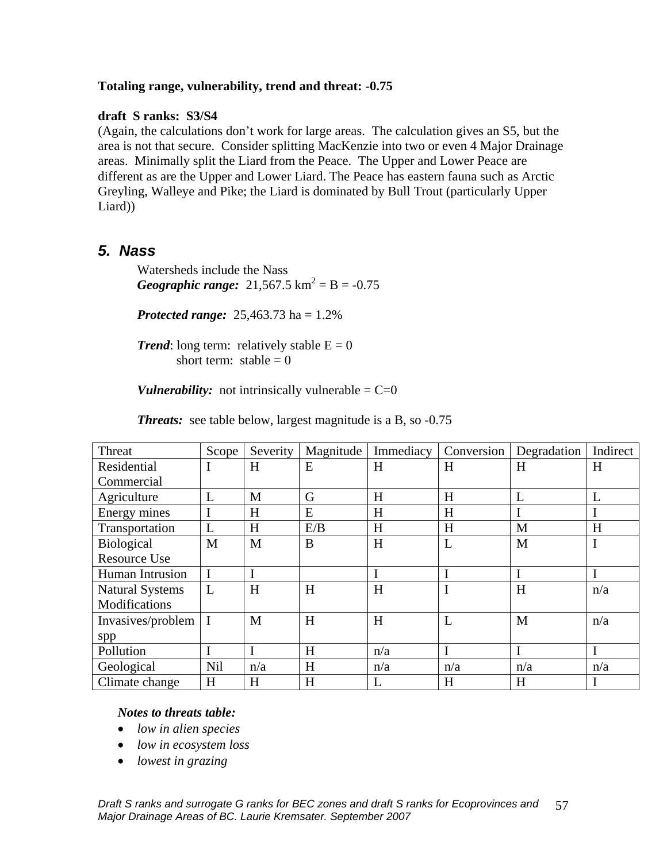#### **draft S ranks: S3/S4**

(Again, the calculations don't work for large areas. The calculation gives an S5, but the area is not that secure. Consider splitting MacKenzie into two or even 4 Major Drainage areas. Minimally split the Liard from the Peace. The Upper and Lower Peace are different as are the Upper and Lower Liard. The Peace has eastern fauna such as Arctic Greyling, Walleye and Pike; the Liard is dominated by Bull Trout (particularly Upper Liard))

### *5. Nass*

Watersheds include the Nass *Geographic range:*  $21,567.5 \text{ km}^2 = B = -0.75$ 

*Protected range:* 25,463.73 ha = 1.2%

*Trend*: long term: relatively stable  $E = 0$ short term: stable  $= 0$ 

*Vulnerability:* not intrinsically vulnerable  $= C=0$ 

*Threats:* see table below, largest magnitude is a B, so -0.75

| Threat                 | Scope       | Severity | Magnitude | Immediacy | Conversion | Degradation | Indirect |
|------------------------|-------------|----------|-----------|-----------|------------|-------------|----------|
| Residential            | I           | H        | E         | H         | H          | H           | H        |
| Commercial             |             |          |           |           |            |             |          |
| Agriculture            | L           | M        | G         | H         | H          | L           | L        |
| Energy mines           |             | H        | E         | H         | H          | I           | I        |
| Transportation         | L           | H        | E/B       | H         | H          | M           | H        |
| <b>Biological</b>      | M           | M        | B         | H         | L          | M           | I        |
| <b>Resource Use</b>    |             |          |           |           |            |             |          |
| Human Intrusion        | I           | I        |           |           | I          | I           |          |
| <b>Natural Systems</b> | L           | H        | H         | H         | I          | H           | n/a      |
| Modifications          |             |          |           |           |            |             |          |
| Invasives/problem      | $\mathbf I$ | M        | H         | H         | L          | M           | n/a      |
| spp                    |             |          |           |           |            |             |          |
| Pollution              |             | I        | H         | n/a       | I          | I           | I        |
| Geological             | Nil         | n/a      | H         | n/a       | n/a        | n/a         | n/a      |
| Climate change         | H           | H        | H         |           | H          | H           |          |

- *low in alien species*
- *low in ecosystem loss*
- *lowest in grazing*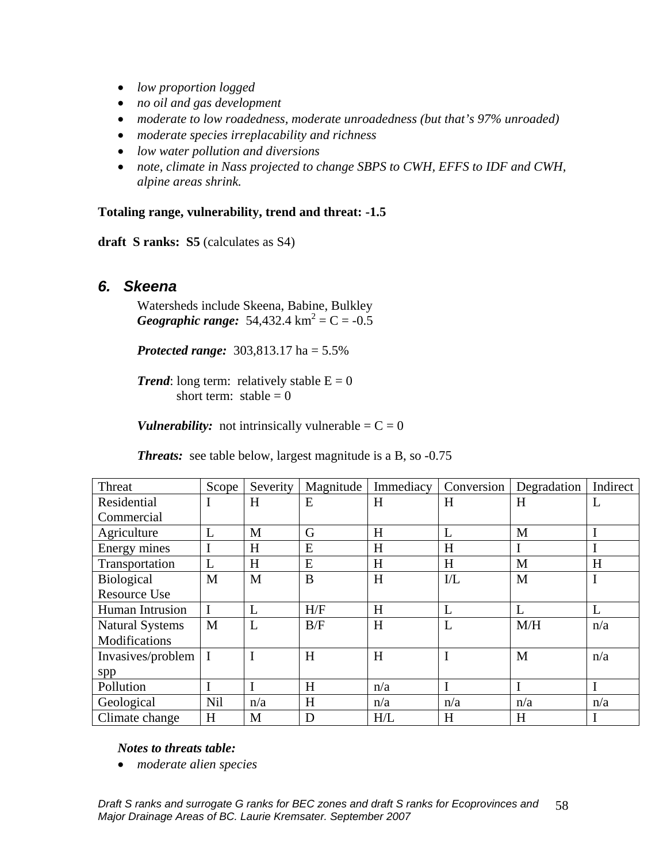- *low proportion logged*
- *no oil and gas development*
- *moderate to low roadedness, moderate unroadedness (but that's 97% unroaded)*
- *moderate species irreplacability and richness*
- *low water pollution and diversions*
- *note, climate in Nass projected to change SBPS to CWH, EFFS to IDF and CWH, alpine areas shrink.*

**draft S ranks: S5** (calculates as S4)

### *6. Skeena*

Watersheds include Skeena, Babine, Bulkley *Geographic range:* 54,432.4  $km^2 = C = -0.5$ 

*Protected range:* 303,813.17 ha = 5.5%

*Trend*: long term: relatively stable  $E = 0$ short term: stable  $= 0$ 

*Vulnerability:* not intrinsically vulnerable  $= C = 0$ 

*Threats:* see table below, largest magnitude is a B, so -0.75

| Threat                 | Scope        | Severity    | Magnitude | Immediacy | Conversion | Degradation | Indirect |
|------------------------|--------------|-------------|-----------|-----------|------------|-------------|----------|
| Residential            | I            | H           | E         | H         | H          | H           | L        |
| Commercial             |              |             |           |           |            |             |          |
| Agriculture            | L            | M           | G         | H         | L          | M           |          |
| Energy mines           | I            | H           | E         | H         | H          | I           |          |
| Transportation         | L            | H           | E         | H         | H          | M           | H        |
| <b>Biological</b>      | M            | M           | B         | H         | I/L        | M           |          |
| <b>Resource Use</b>    |              |             |           |           |            |             |          |
| Human Intrusion        | $\mathbf{I}$ | L           | H/F       | H         | L          | L           | L        |
| <b>Natural Systems</b> | M            | L           | B/F       | H         | L          | M/H         | n/a      |
| Modifications          |              |             |           |           |            |             |          |
| Invasives/problem      | $\mathbf I$  | $\mathbf I$ | H         | H         | I          | M           | n/a      |
| spp                    |              |             |           |           |            |             |          |
| Pollution              | I            | $\mathbf I$ | H         | n/a       | I          | I           |          |
| Geological             | <b>Nil</b>   | n/a         | H         | n/a       | n/a        | n/a         | n/a      |
| Climate change         | H            | M           | D         | H/L       | H          | H           |          |

#### *Notes to threats table:*

• *moderate alien species*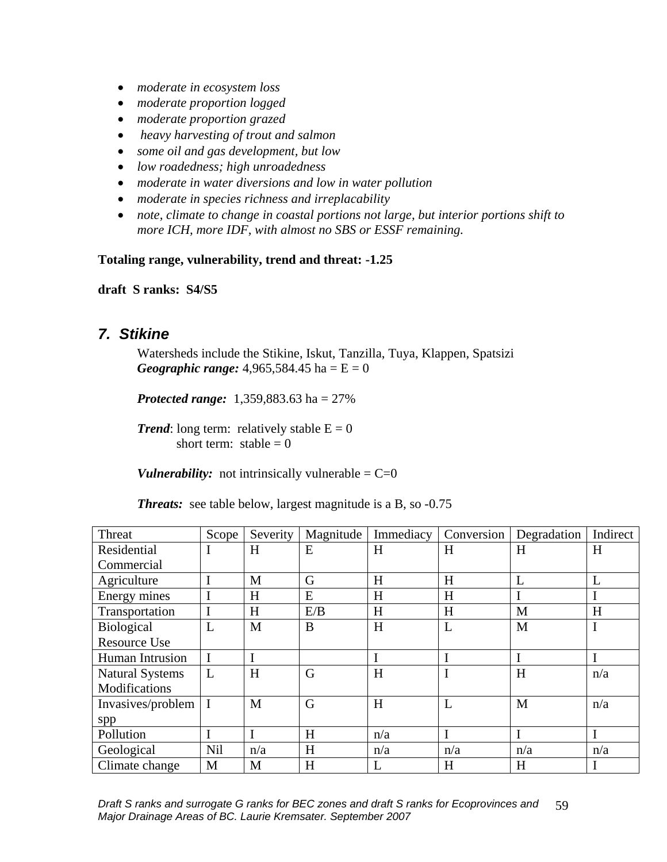- *moderate in ecosystem loss*
- *moderate proportion logged*
- *moderate proportion grazed*
- *heavy harvesting of trout and salmon*
- *some oil and gas development, but low*
- *low roadedness; high unroadedness*
- *moderate in water diversions and low in water pollution*
- *moderate in species richness and irreplacability*
- *note, climate to change in coastal portions not large, but interior portions shift to more ICH, more IDF, with almost no SBS or ESSF remaining.*

#### **draft S ranks: S4/S5**

### *7. Stikine*

Watersheds include the Stikine, Iskut, Tanzilla, Tuya, Klappen, Spatsizi *Geographic range:* 4,965,584.45 ha =  $E = 0$ 

*Protected range:* 1,359,883.63 ha = 27%

*Trend*: long term: relatively stable  $E = 0$ short term:  $stable = 0$ 

*Vulnerability:* not intrinsically vulnerable  $= C=0$ 

*Threats:* see table below, largest magnitude is a B, so -0.75

| Threat                  | Scope       | Severity | Magnitude | Immediacy | Conversion | Degradation | Indirect |
|-------------------------|-------------|----------|-----------|-----------|------------|-------------|----------|
| Residential             | I           | H        | E         | H         | H          | H           | H        |
| Commercial              |             |          |           |           |            |             |          |
| Agriculture             | I           | M        | G         | H         | H          | L           | L        |
| Energy mines            |             | H        | E         | H         | H          | I           | I        |
| Transportation          | I           | H        | E/B       | H         | H          | M           | H        |
| Biological              | L           | M        | B         | H         | L          | M           | I        |
| <b>Resource Use</b>     |             |          |           |           |            |             |          |
| Human Intrusion         | $\mathbf I$ |          |           |           |            | I           | I        |
| <b>Natural Systems</b>  | L           | H        | G         | H         | I          | H           | n/a      |
| Modifications           |             |          |           |           |            |             |          |
| Invasives/problem $ I $ |             | M        | G         | H         | L          | M           | n/a      |
| spp                     |             |          |           |           |            |             |          |
| Pollution               | $\mathbf I$ |          | H         | n/a       | I          | I           | I        |
| Geological              | <b>Nil</b>  | n/a      | H         | n/a       | n/a        | n/a         | n/a      |
| Climate change          | M           | M        | H         | L         | H          | H           | I        |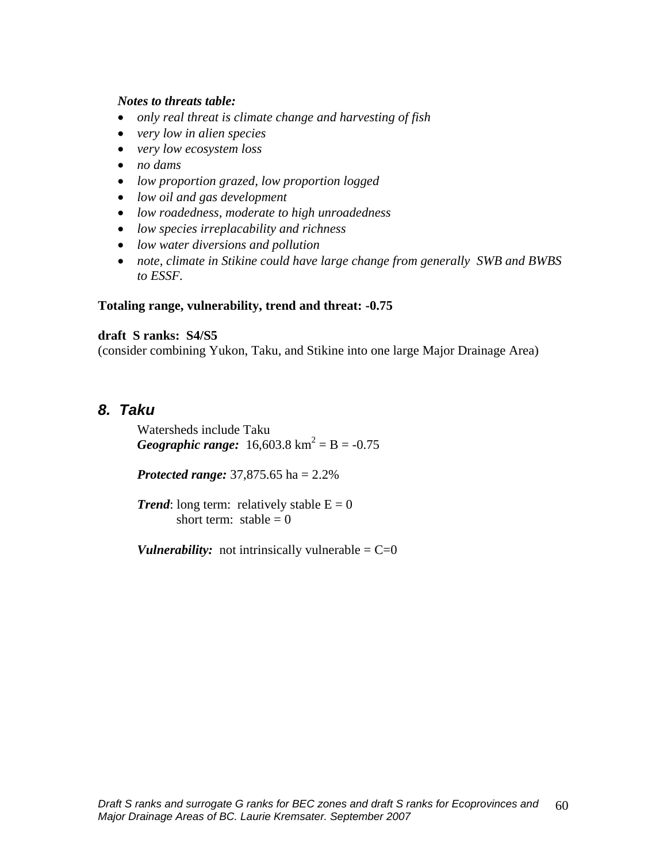#### *Notes to threats table:*

- *only real threat is climate change and harvesting of fish*
- *very low in alien species*
- *very low ecosystem loss*
- *no dams*
- *low proportion grazed, low proportion logged*
- *low oil and gas development*
- *low roadedness, moderate to high unroadedness*
- *low species irreplacability and richness*
- *low water diversions and pollution*
- *note, climate in Stikine could have large change from generally SWB and BWBS to ESSF.*

#### **Totaling range, vulnerability, trend and threat: -0.75**

#### **draft S ranks: S4/S5**

(consider combining Yukon, Taku, and Stikine into one large Major Drainage Area)

### *8. Taku*

Watersheds include Taku *Geographic range:*  $16,603.8 \text{ km}^2 = B = -0.75$ 

*Protected range:* 37,875.65 ha = 2.2%

*Trend*: long term: relatively stable  $E = 0$ short term: stable  $= 0$ 

*Vulnerability:* not intrinsically vulnerable  $= C=0$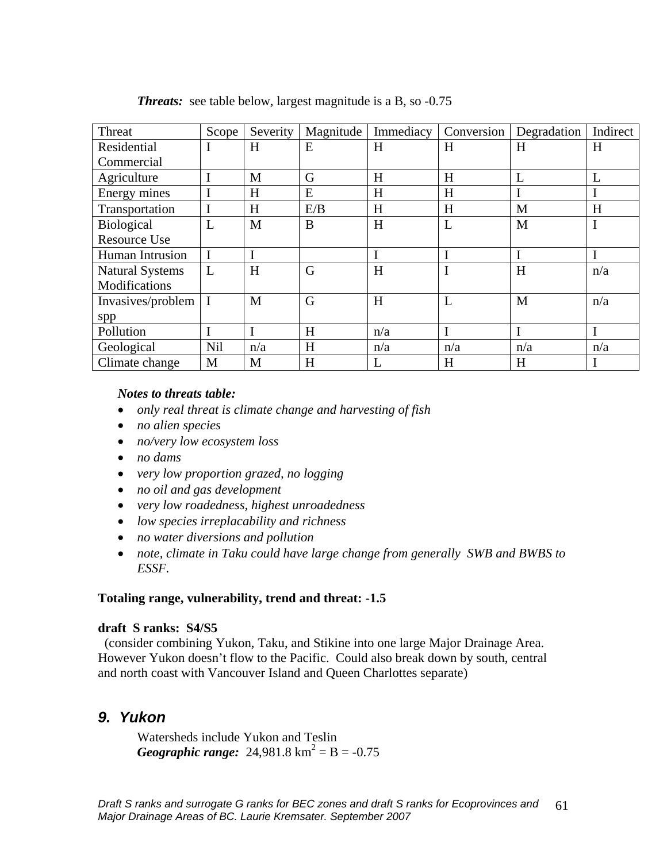| Threat                  | Scope        | Severity    | Magnitude | Immediacy | Conversion | Degradation | Indirect    |
|-------------------------|--------------|-------------|-----------|-----------|------------|-------------|-------------|
| Residential             | $\mathbf{I}$ | H           | E         | H         | H          | H           | H           |
| Commercial              |              |             |           |           |            |             |             |
| Agriculture             |              | M           | G         | H         | H          | L           | L           |
| Energy mines            |              | H           | E         | H         | H          |             | I           |
| Transportation          | I            | H           | E/B       | H         | H          | M           | H           |
| <b>Biological</b>       | L            | M           | B         | H         | L          | M           | $\mathbf I$ |
| <b>Resource Use</b>     |              |             |           |           |            |             |             |
| Human Intrusion         | I            | $\mathbf I$ |           |           |            |             |             |
| <b>Natural Systems</b>  | L            | H           | G         | H         | I          | H           | n/a         |
| Modifications           |              |             |           |           |            |             |             |
| Invasives/problem $ I $ |              | M           | G         | H         | L          | M           | n/a         |
| spp                     |              |             |           |           |            |             |             |
| Pollution               |              | I           | H         | n/a       |            |             | I           |
| Geological              | <b>Nil</b>   | n/a         | H         | n/a       | n/a        | n/a         | n/a         |
| Climate change          | M            | M           | H         | L         | H          | H           | $\mathbf I$ |

**Threats:** see table below, largest magnitude is a B, so -0.75

#### *Notes to threats table:*

- *only real threat is climate change and harvesting of fish*
- *no alien species*
- *no/very low ecosystem loss*
- *no dams*
- *very low proportion grazed, no logging*
- *no oil and gas development*
- *very low roadedness, highest unroadedness*
- *low species irreplacability and richness*
- *no water diversions and pollution*
- *note, climate in Taku could have large change from generally SWB and BWBS to ESSF.*

#### **Totaling range, vulnerability, trend and threat: -1.5**

#### **draft S ranks: S4/S5**

 (consider combining Yukon, Taku, and Stikine into one large Major Drainage Area. However Yukon doesn't flow to the Pacific. Could also break down by south, central and north coast with Vancouver Island and Queen Charlottes separate)

### *9. Yukon*

Watersheds include Yukon and Teslin *Geographic range:*  $24,981.8 \text{ km}^2 = B = -0.75$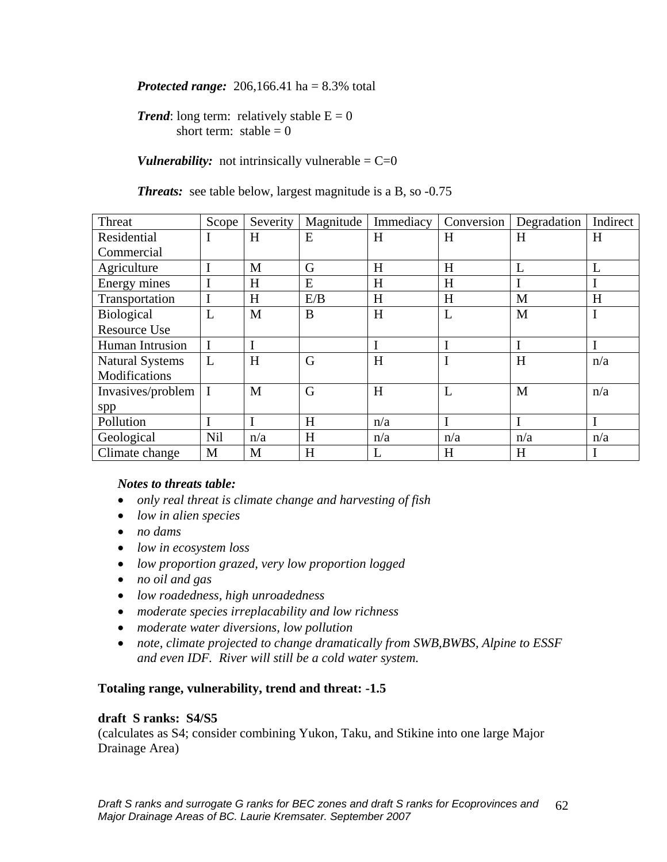*Protected range:* 206,166.41 ha = 8.3% total

*Trend*: long term: relatively stable  $E = 0$ short term: stable  $= 0$ 

*Vulnerability:* not intrinsically vulnerable  $= C=0$ 

*Threats:* see table below, largest magnitude is a B, so  $-0.75$ 

| Threat                 | Scope       | Severity | Magnitude | Immediacy | Conversion | Degradation | Indirect |
|------------------------|-------------|----------|-----------|-----------|------------|-------------|----------|
| Residential            | $\bf{l}$    | H        | E         | H         | H          | H           | H        |
| Commercial             |             |          |           |           |            |             |          |
| Agriculture            | I           | M        | G         | H         | H          | L           | L        |
| Energy mines           | I           | H        | E         | H         | H          | I           | I        |
| Transportation         | I           | H        | E/B       | H         | H          | M           | H        |
| <b>Biological</b>      | L           | M        | B         | H         | L          | M           | I        |
| <b>Resource Use</b>    |             |          |           |           |            |             |          |
| Human Intrusion        | $\mathbf I$ | I        |           | I         | I          | I           | I        |
| <b>Natural Systems</b> | L           | H        | G         | H         | I          | H           | n/a      |
| Modifications          |             |          |           |           |            |             |          |
| Invasives/problem   I  |             | M        | G         | H         | L          | M           | n/a      |
| spp                    |             |          |           |           |            |             |          |
| Pollution              | I           |          | H         | n/a       | I          | I           | I        |
| Geological             | <b>Nil</b>  | n/a      | H         | n/a       | n/a        | n/a         | n/a      |
| Climate change         | M           | M        | H         |           | H          | H           | I        |

#### *Notes to threats table:*

- *only real threat is climate change and harvesting of fish*
- *low in alien species*
- *no dams*
- *low in ecosystem loss*
- *low proportion grazed, very low proportion logged*
- *no oil and gas*
- *low roadedness, high unroadedness*
- *moderate species irreplacability and low richness*
- *moderate water diversions, low pollution*
- *note, climate projected to change dramatically from SWB,BWBS, Alpine to ESSF and even IDF. River will still be a cold water system.*

#### **Totaling range, vulnerability, trend and threat: -1.5**

#### **draft S ranks: S4/S5**

(calculates as S4; consider combining Yukon, Taku, and Stikine into one large Major Drainage Area)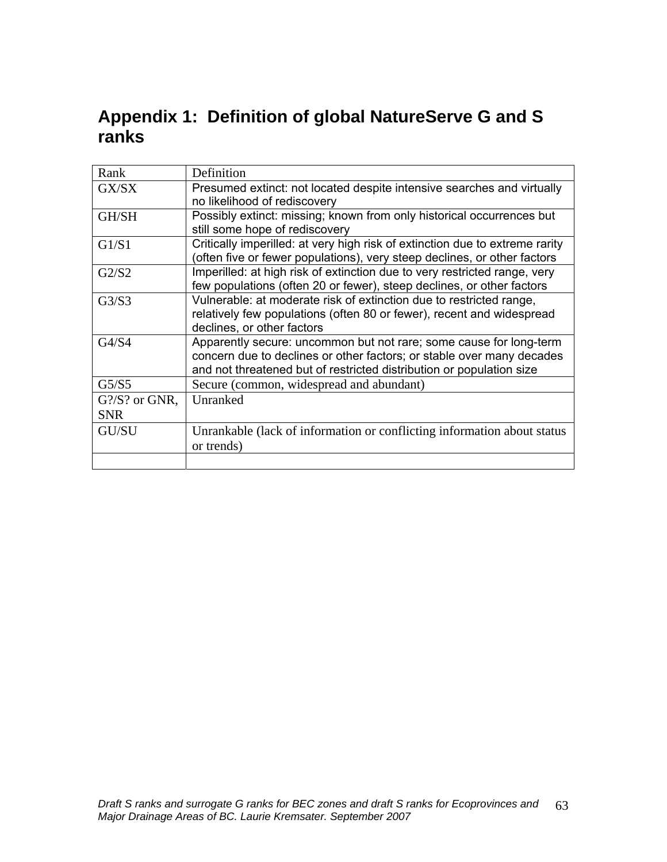## **Appendix 1: Definition of global NatureServe G and S ranks**

| Rank           | Definition                                                                   |
|----------------|------------------------------------------------------------------------------|
| GX/SX          | Presumed extinct: not located despite intensive searches and virtually       |
|                | no likelihood of rediscovery                                                 |
| GH/SH          | Possibly extinct: missing; known from only historical occurrences but        |
|                | still some hope of rediscovery                                               |
| G1/S1          | Critically imperilled: at very high risk of extinction due to extreme rarity |
|                | (often five or fewer populations), very steep declines, or other factors     |
| G2/S2          | Imperilled: at high risk of extinction due to very restricted range, very    |
|                | few populations (often 20 or fewer), steep declines, or other factors        |
| G3/S3          | Vulnerable: at moderate risk of extinction due to restricted range,          |
|                | relatively few populations (often 80 or fewer), recent and widespread        |
|                | declines, or other factors                                                   |
| G4/S4          | Apparently secure: uncommon but not rare; some cause for long-term           |
|                | concern due to declines or other factors; or stable over many decades        |
|                | and not threatened but of restricted distribution or population size         |
| G5/S5          | Secure (common, widespread and abundant)                                     |
| $G$ %? or GNR, | Unranked                                                                     |
| <b>SNR</b>     |                                                                              |
| GU/SU          | Unrankable (lack of information or conflicting information about status)     |
|                | or trends)                                                                   |
|                |                                                                              |